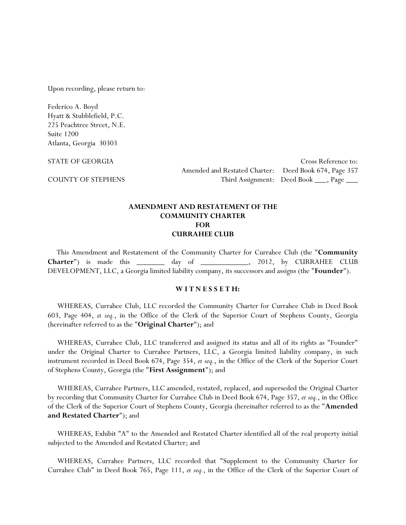Upon recording, please return to:

Federico A. Boyd Hyatt & Stubblefield, P.C. 225 Peachtree Street, N.E. Suite 1200 Atlanta, Georgia 30303

STATE OF GEORGIA Cross Reference to: Amended and Restated Charter: Deed Book 674, Page 357 COUNTY OF STEPHENS Third Assignment: Deed Book \_\_\_, Page \_\_\_

#### **AMENDMENT AND RESTATEMENT OF THE COMMUNITY CHARTER FOR CURRAHEE CLUB**

This Amendment and Restatement of the Community Charter for Currahee Club (the "**Community Charter**") is made this \_\_\_\_\_\_\_ day of \_\_\_\_\_\_\_\_\_\_\_\_, 2012, by CURRAHEE CLUB DEVELOPMENT, LLC, a Georgia limited liability company, its successors and assigns (the "**Founder**").

#### **W I T N E S S E T H:**

WHEREAS, Currahee Club, LLC recorded the Community Charter for Currahee Club in Deed Book 603, Page 404, *et seq.*, in the Office of the Clerk of the Superior Court of Stephens County, Georgia (hereinafter referred to as the "**Original Charter**"); and

WHEREAS, Currahee Club, LLC transferred and assigned its status and all of its rights as "Founder" under the Original Charter to Currahee Partners, LLC, a Georgia limited liability company, in such instrument recorded in Deed Book 674, Page 354, *et seq.*, in the Office of the Clerk of the Superior Court of Stephens County, Georgia (the "**First Assignment**"); and

WHEREAS, Currahee Partners, LLC amended, restated, replaced, and superseded the Original Charter by recording that Community Charter for Currahee Club in Deed Book 674, Page 357, *et seq.*, in the Office of the Clerk of the Superior Court of Stephens County, Georgia (hereinafter referred to as the "**Amended and Restated Charter**"); and

WHEREAS, Exhibit "A" to the Amended and Restated Charter identified all of the real property initial subjected to the Amended and Restated Charter; and

WHEREAS, Currahee Partners, LLC recorded that "Supplement to the Community Charter for Currahee Club" in Deed Book 765, Page 111, *et seq.*, in the Office of the Clerk of the Superior Court of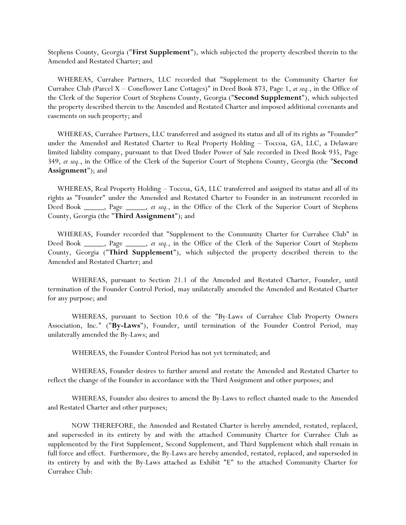Stephens County, Georgia ("**First Supplement**"), which subjected the property described therein to the Amended and Restated Charter; and

WHEREAS, Currahee Partners, LLC recorded that "Supplement to the Community Charter for Currahee Club (Parcel X – Coneflower Lane Cottages)" in Deed Book 873, Page 1, *et seq.*, in the Office of the Clerk of the Superior Court of Stephens County, Georgia ("**Second Supplement**"), which subjected the property described therein to the Amended and Restated Charter and imposed additional covenants and easements on such property; and

WHEREAS, Currahee Partners, LLC transferred and assigned its status and all of its rights as "Founder" under the Amended and Restated Charter to Real Property Holding – Toccoa, GA, LLC, a Delaware limited liability company, pursuant to that Deed Under Power of Sale recorded in Deed Book 935, Page 349, *et seq.*, in the Office of the Clerk of the Superior Court of Stephens County, Georgia (the "**Second Assignment**"); and

WHEREAS, Real Property Holding – Toccoa, GA, LLC transferred and assigned its status and all of its rights as "Founder" under the Amended and Restated Charter to Founder in an instrument recorded in Deed Book \_\_\_\_\_, Page \_\_\_\_\_, *et seq.*, in the Office of the Clerk of the Superior Court of Stephens County, Georgia (the "**Third Assignment**"); and

WHEREAS, Founder recorded that "Supplement to the Community Charter for Currahee Club" in Deed Book \_\_\_\_\_, Page \_\_\_\_\_, *et seq.*, in the Office of the Clerk of the Superior Court of Stephens County, Georgia ("**Third Supplement**"), which subjected the property described therein to the Amended and Restated Charter; and

 WHEREAS, pursuant to Section 21.1 of the Amended and Restated Charter, Founder, until termination of the Founder Control Period, may unilaterally amended the Amended and Restated Charter for any purpose; and

 WHEREAS, pursuant to Section 10.6 of the "By-Laws of Currahee Club Property Owners Association, Inc." ("**By-Laws**"), Founder, until termination of the Founder Control Period, may unilaterally amended the By-Laws; and

WHEREAS, the Founder Control Period has not yet terminated; and

 WHEREAS, Founder desires to further amend and restate the Amended and Restated Charter to reflect the change of the Founder in accordance with the Third Assignment and other purposes; and

 WHEREAS, Founder also desires to amend the By-Laws to reflect chanted made to the Amended and Restated Charter and other purposes;

 NOW THEREFORE, the Amended and Restated Charter is hereby amended, restated, replaced, and superseded in its entirety by and with the attached Community Charter for Currahee Club as supplemented by the First Supplement, Second Supplement, and Third Supplement which shall remain in full force and effect. Furthermore, the By-Laws are hereby amended, restated, replaced, and superseded in its entirety by and with the By-Laws attached as Exhibit "E" to the attached Community Charter for Currahee Club: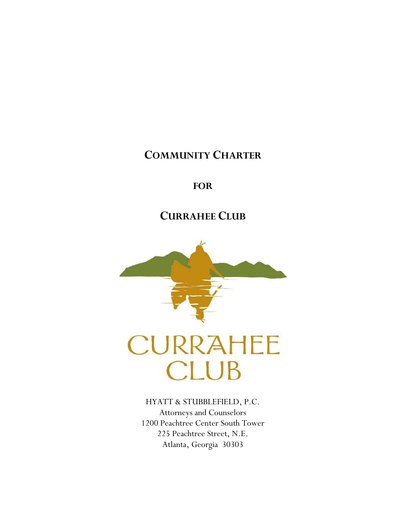# **COMMUNITY CHARTER**

# **FOR**

# **CURRAHEE CLUB**



HYATT & STUBBLEFIELD, P.C. Attorneys and Counselors 1200 Peachtree Center South Tower 225 Peachtree Street, N.E. Atlanta, Georgia 30303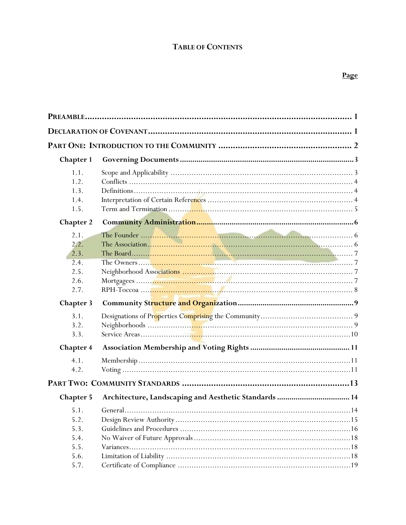| <b>Chapter 1</b>                                     |                                                       |  |  |
|------------------------------------------------------|-------------------------------------------------------|--|--|
| 1.1.<br>1.2.<br>1.3.<br>1.4.<br>1.5.                 |                                                       |  |  |
| <b>Chapter 2</b>                                     |                                                       |  |  |
| 2.1.<br>2.2.<br>2.3.<br>2.4.<br>2.5.<br>2.6.<br>2.7. |                                                       |  |  |
| <b>Chapter 3</b>                                     |                                                       |  |  |
| 3.1.<br>3.2.<br>3.3.                                 |                                                       |  |  |
| <b>Chapter 4</b>                                     |                                                       |  |  |
| 4.1.<br>4.2.                                         |                                                       |  |  |
|                                                      |                                                       |  |  |
| <b>Chapter 5</b>                                     | Architecture, Landscaping and Aesthetic Standards  14 |  |  |
| 5.1.<br>5.2.<br>5.3.<br>5.4.<br>5.5.<br>5.6.         |                                                       |  |  |
| 5.7.                                                 | .19                                                   |  |  |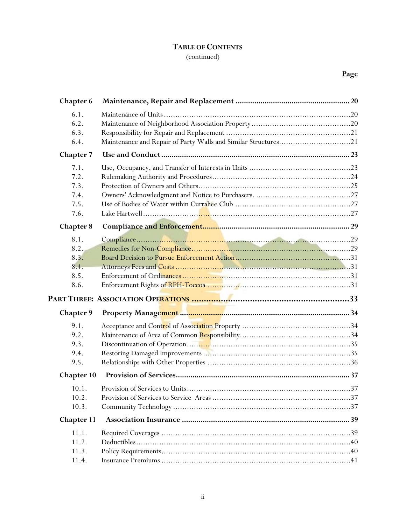(continued)

| <b>Chapter 6</b>  |                                                                |
|-------------------|----------------------------------------------------------------|
| 6.1.              |                                                                |
| 6.2.              |                                                                |
| 6.3.              |                                                                |
| 6.4.              | Maintenance and Repair of Party Walls and Similar Structures21 |
| <b>Chapter 7</b>  |                                                                |
| 7.1.              |                                                                |
| 7.2.              |                                                                |
| 7.3.              |                                                                |
| 7.4.              |                                                                |
| 7.5.              |                                                                |
| 7.6.              |                                                                |
| <b>Chapter 8</b>  |                                                                |
| 8.1.              |                                                                |
| 8.2.              |                                                                |
| 8.3.              |                                                                |
| 8.4.              |                                                                |
| 8.5.              |                                                                |
| 8.6.              |                                                                |
|                   |                                                                |
| <b>Chapter 9</b>  |                                                                |
| 9.1.              |                                                                |
| 9.2.              |                                                                |
| 9.3.              |                                                                |
| 9.4.              |                                                                |
| 9.5.              |                                                                |
| <b>Chapter 10</b> |                                                                |
| 10.1.             |                                                                |
| 10.2.             |                                                                |
| 10.3.             |                                                                |
| <b>Chapter 11</b> |                                                                |
| 11.1.             |                                                                |
| 11.2.             |                                                                |
| 11.3.             |                                                                |
| 11.4.             |                                                                |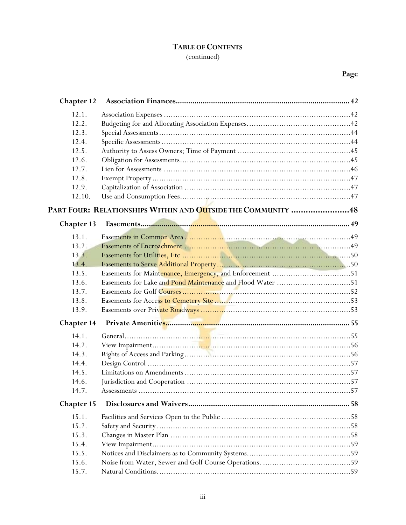(continued)

| <b>Chapter 12</b> |                                                              |
|-------------------|--------------------------------------------------------------|
| 12.1.             |                                                              |
| 12.2.             |                                                              |
| 12.3.             |                                                              |
| 12.4.             |                                                              |
| 12.5.             |                                                              |
| 12.6.             |                                                              |
| 12.7.             |                                                              |
| 12.8.             |                                                              |
| 12.9.             |                                                              |
| 12.10.            |                                                              |
|                   | PART FOUR: RELATIONSHIPS WITHIN AND OUTSIDE THE COMMUNITY 48 |
| Chapter 13        |                                                              |
| 13.1.             |                                                              |
| 13.2.             |                                                              |
| 13.3.             |                                                              |
| 13.4.             |                                                              |
| 13.5.             |                                                              |
| 13.6.             | Easements for Lake and Pond Maintenance and Flood Water 51   |
| 13.7.             |                                                              |
| 13.8.             |                                                              |
| 13.9.             |                                                              |
| Chapter 14        |                                                              |
| 14.1.             |                                                              |
| 14.2.             |                                                              |
| 14.3.             |                                                              |
| 14.4.             |                                                              |
| 14.5.             |                                                              |
| 14.6.             |                                                              |
| 14.7.             |                                                              |
| Chapter 15        |                                                              |
| 15.1.             |                                                              |
| 15.2.             |                                                              |
| 15.3.             |                                                              |
| 15.4.             |                                                              |
| 15.5.             |                                                              |
| 15.6.             |                                                              |
| 15.7.             |                                                              |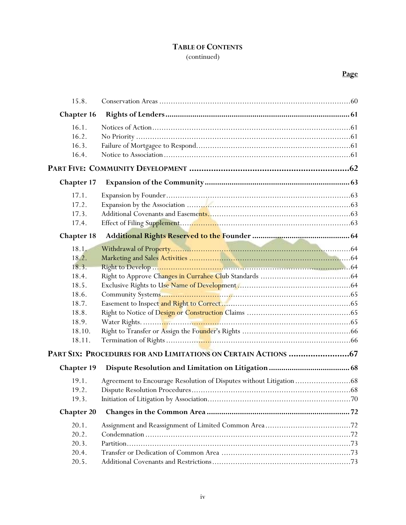(continued)

| 15.8.             |  |  |
|-------------------|--|--|
| Chapter 16        |  |  |
| 16.1.             |  |  |
| 16.2.             |  |  |
| 16.3.             |  |  |
| 16.4.             |  |  |
|                   |  |  |
| <b>Chapter 17</b> |  |  |
| 17.1.             |  |  |
| 17.2.             |  |  |
| 17.3.             |  |  |
| 17.4.             |  |  |
| <b>Chapter 18</b> |  |  |
| 18.1.             |  |  |
| 18.2.             |  |  |
| 18.3.             |  |  |
| 18.4.             |  |  |
| 18.5.             |  |  |
| 18.6.             |  |  |
| 18.7.             |  |  |
| 18.8.             |  |  |
| 18.9.             |  |  |
| 18.10.            |  |  |
| 18.11.            |  |  |
|                   |  |  |
| Chapter 19        |  |  |
| 19.1.             |  |  |
| 19.2.             |  |  |
| 19.3.             |  |  |
| <b>Chapter 20</b> |  |  |
| 20.1.             |  |  |
| 20.2.             |  |  |
| 20.3.             |  |  |
| 20.4.             |  |  |
| 20.5.             |  |  |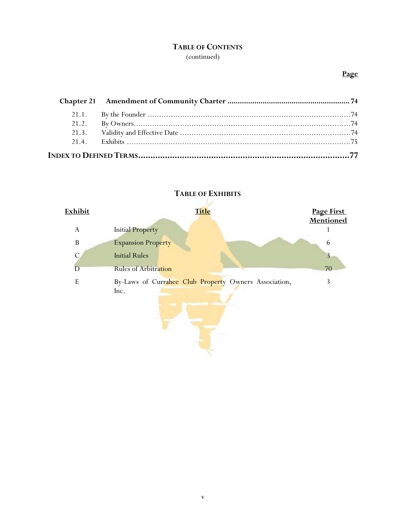(continued)

## **Page**



# **TABLE OF EXHIBITS**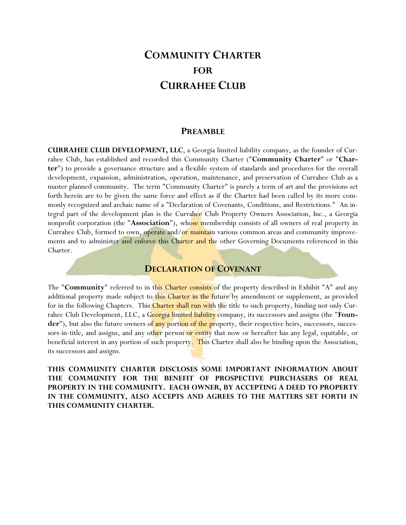# **COMMUNITY CHARTER FOR CURRAHEE CLUB**

### **PREAMBLE**

**CURRAHEE CLUB DEVELOPMENT, LLC**, a Georgia limited liability company, as the founder of Currahee Club, has established and recorded this Community Charter ("**Community Charter**" or "**Charter**") to provide a governance structure and a flexible system of standards and procedures for the overall development, expansion, administration, operation, maintenance, and preservation of Currahee Club as a master planned community. The term "Community Charter" is purely a term of art and the provisions set forth herein are to be given the same force and effect as if the Charter had been called by its more commonly recognized and archaic name of a "Declaration of Covenants, Conditions, and Restrictions." An integral part of the development plan is the Currahee Club Property Owners Association, Inc., a Georgia nonprofit corporation (the "**Association**"), whose membership consists of all owners of real property in Currahee Club, formed to own, operate and/or maintain various common areas and community improvements and to administer and enforce this Charter and the other Governing Documents referenced in this Charter.

#### **DECLARATION OF COVENANT**

The "**Community**" referred to in this Charter consists of the property described in Exhibit "A" and any additional property made subject to this Charter in the future by amendment or supplement, as provided for in the following Chapters. This Charter shall run with the title to such property, binding not only Currahee Club Development, LLC, a Georgia limited liability company, its successors and assigns (the "**Founder**"), but also the future owners of any portion of the property, their respective heirs, successors, successors-in-title, and assigns, and any other person or entity that now or hereafter has any legal, equitable, or beneficial interest in any portion of such property. This Charter shall also be binding upon the Association, its successors and assigns.

**THIS COMMUNITY CHARTER DISCLOSES SOME IMPORTANT INFORMATION ABOUT THE COMMUNITY FOR THE BENEFIT OF PROSPECTIVE PURCHASERS OF REAL PROPERTY IN THE COMMUNITY. EACH OWNER, BY ACCEPTING A DEED TO PROPERTY IN THE COMMUNITY, ALSO ACCEPTS AND AGREES TO THE MATTERS SET FORTH IN THIS COMMUNITY CHARTER.**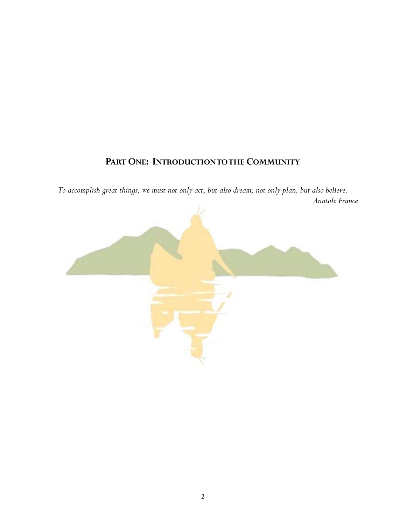# **PART ONE: INTRODUCTION TO THE COMMUNITY**

*To accomplish great things, we must not only act, but also dream; not only plan, but also believe. Anatole France* 

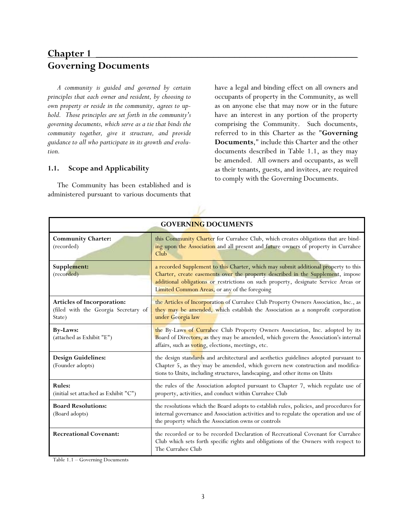# **Chapter 1** \_\_\_\_\_\_\_\_\_\_\_\_\_\_\_\_\_\_\_\_\_\_\_\_\_\_\_\_\_\_\_\_\_\_\_\_\_\_\_\_\_\_\_\_\_\_\_\_\_ **Governing Documents**

*A community is guided and governed by certain principles that each owner and resident, by choosing to own property or reside in the community, agrees to uphold. Those principles are set forth in the community's governing documents, which serve as a tie that binds the community together, give it structure, and provide guidance to all who participate in its growth and evolution.* 

#### **1.1. Scope and Applicability**

The Community has been established and is administered pursuant to various documents that have a legal and binding effect on all owners and occupants of property in the Community, as well as on anyone else that may now or in the future have an interest in any portion of the property comprising the Community. Such documents, referred to in this Charter as the "**Governing Documents**," include this Charter and the other documents described in Table 1.1, as they may be amended. All owners and occupants, as well as their tenants, guests, and invitees, are required to comply with the Governing Documents.

| <b>GOVERNING DOCUMENTS</b>                                                   |                                                                                                                                                                                                                                                                                                                |  |  |
|------------------------------------------------------------------------------|----------------------------------------------------------------------------------------------------------------------------------------------------------------------------------------------------------------------------------------------------------------------------------------------------------------|--|--|
| <b>Community Charter:</b><br>(recorded)                                      | this Community Charter for Currahee Club, which creates obligations that are bind-<br>ing upon the Association and all present and future owners of property in Currahee<br>Club                                                                                                                               |  |  |
| Supplement:<br>(recorded)                                                    | a recorded Supplement to this Charter, which may submit additional property to this<br>Charter, create easements over the property described in the Supplement, impose<br>additional obligations or restrictions on such property, designate Service Areas or<br>Limited Common Areas, or any of the foregoing |  |  |
| Articles of Incorporation:<br>(filed with the Georgia Secretary of<br>State) | the Articles of Incorporation of Currahee Club Property Owners Association, Inc., as<br>they may be amended, which establish the Association as a nonprofit corporation<br>under Georgia law                                                                                                                   |  |  |
| <b>By-Laws:</b><br>(attached as Exhibit "E")                                 | the By-Laws of Currahee Club Property Owners Association, Inc. adopted by its<br>Board of Directors, as they may be amended, which govern the Association's internal<br>affairs, such as voting, elections, meetings, etc.                                                                                     |  |  |
| <b>Design Guidelines:</b><br>(Founder adopts)                                | the design standards and architectural and aesthetics guidelines adopted pursuant to<br>Chapter 5, as they may be amended, which govern new construction and modifica-<br>tions to Units, including structures, landscaping, and other items on Units                                                          |  |  |
| <b>Rules:</b><br>(initial set attached as Exhibit "C")                       | the rules of the Association adopted pursuant to Chapter 7, which regulate use of<br>property, activities, and conduct within Currahee Club                                                                                                                                                                    |  |  |
| <b>Board Resolutions:</b><br>(Board adopts)                                  | the resolutions which the Board adopts to establish rules, policies, and procedures for<br>internal governance and Association activities and to regulate the operation and use of<br>the property which the Association owns or controls                                                                      |  |  |
| <b>Recreational Covenant:</b>                                                | the recorded or to be recorded Declaration of Recreational Covenant for Currahee<br>Club which sets forth specific rights and obligations of the Owners with respect to<br>The Currahee Club                                                                                                                   |  |  |

Table 1.1 – Governing Documents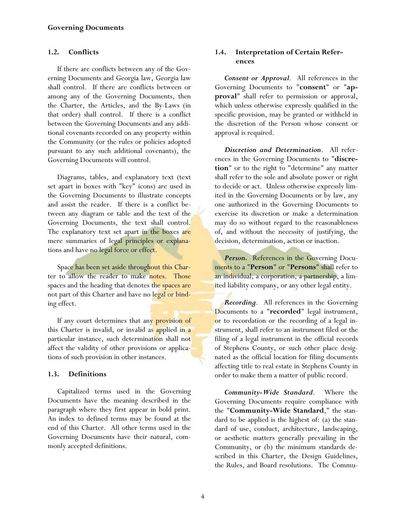### **1.2. Conflicts**

If there are conflicts between any of the Governing Documents and Georgia law, Georgia law shall control. If there are conflicts between or among any of the Governing Documents, then the Charter, the Articles, and the By-Laws (in that order) shall control. If there is a conflict between the Governing Documents and any additional covenants recorded on any property within the Community (or the rules or policies adopted pursuant to any such additional covenants), the Governing Documents will control.

Diagrams, tables, and explanatory text (text set apart in boxes with "key" icons) are used in the Governing Documents to illustrate concepts and assist the reader. If there is a conflict between any diagram or table and the text of the Governing Documents, the text shall control. The explanatory text set apart in the boxes are mere summaries of legal principles or explanations and have no legal force or effect.

Space has been set aside throughout this Charter to allow the reader to make notes. Those spaces and the heading that denotes the spaces are not part of this Charter and have no legal or binding effect.

If any court determines that any provision of this Charter is invalid, or invalid as applied in a particular instance, such determination shall not affect the validity of other provisions or applications of such provision in other instances.

## **1.3. Definitions**

Capitalized terms used in the Governing Documents have the meaning described in the paragraph where they first appear in bold print. An index to defined terms may be found at the end of this Charter. All other terms used in the Governing Documents have their natural, commonly accepted definitions.

### **1.4. Interpretation of Certain References**

*Consent or Approval*. All references in the Governing Documents to "**consent**" or "**approval**" shall refer to permission or approval, which unless otherwise expressly qualified in the specific provision, may be granted or withheld in the discretion of the Person whose consent or approval is required.

*Discretion and Determination*. All references in the Governing Documents to "**discretion**" or to the right to "determine" any matter shall refer to the sole and absolute power or right to decide or act. Unless otherwise expressly limited in the Governing Documents or by law, any one authorized in the Governing Documents to exercise its discretion or make a determination may do so without regard to the reasonableness of, and without the necessity of justifying, the decision, determination, action or inaction.

**Person.** References in the Governing Documents to a "**Person**" or "**Persons**" shall refer to an individual, a corporation, a partnership, a limited liability company, or any other legal entity.

*Recording*. All references in the Governing Documents to a "**recorded**" legal instrument, or to recordation or the recording of a legal instrument, shall refer to an instrument filed or the filing of a legal instrument in the official records of Stephens County, or such other place designated as the official location for filing documents affecting title to real estate in Stephens County in order to make them a matter of public record.

*Community-Wide Standard*. Where the Governing Documents require compliance with the "**Community-Wide Standard**," the standard to be applied is the highest of: (a) the standard of use, conduct, architecture, landscaping, or aesthetic matters generally prevailing in the Community, or (b) the minimum standards described in this Charter, the Design Guidelines, the Rules, and Board resolutions. The Commu-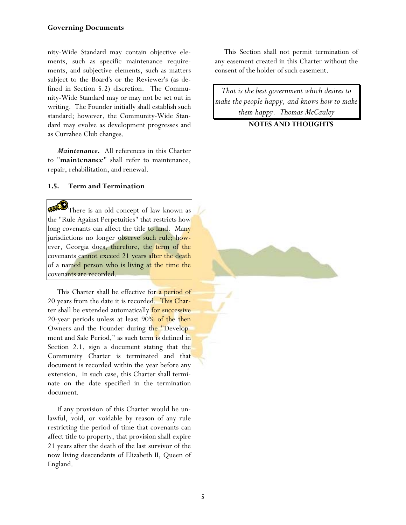#### **Governing Documents**

nity-Wide Standard may contain objective elements, such as specific maintenance requirements, and subjective elements, such as matters subject to the Board's or the Reviewer's (as defined in Section 5.2) discretion. The Community-Wide Standard may or may not be set out in writing. The Founder initially shall establish such standard; however, the Community-Wide Standard may evolve as development progresses and as Currahee Club changes.

*Maintenance***.** All references in this Charter to "**maintenance**" shall refer to maintenance, repair, rehabilitation, and renewal.

#### **1.5. Term and Termination**

There is an old concept of law known as the "Rule Against Perpetuities" that restricts how long covenants can affect the title to land. Many jurisdictions no longer observe such rule; however, Georgia does, therefore, the term of the covenants cannot exceed 21 years after the death of a named person who is living at the time the covenants are recorded.

This Charter shall be effective for a period of 20 years from the date it is recorded. This Charter shall be extended automatically for successive 20-year periods unless at least  $90\%$  of the then Owners and the Founder during the "Development and Sale Period," as such term is defined in Section 2.1, sign a document stating that the Community Charter is terminated and that document is recorded within the year before any extension. In such case, this Charter shall terminate on the date specified in the termination document.

If any provision of this Charter would be unlawful, void, or voidable by reason of any rule restricting the period of time that covenants can affect title to property, that provision shall expire 21 years after the death of the last survivor of the now living descendants of Elizabeth II, Queen of England.

This Section shall not permit termination of any easement created in this Charter without the consent of the holder of such easement.

*That is the best government which desires to make the people happy, and knows how to make them happy. Thomas McCauley* 

#### **NOTES AND THOUGHTS**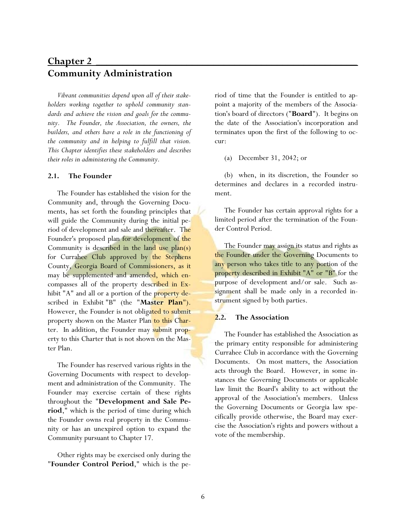# **Chapter 2 \_\_\_\_\_\_\_\_\_\_\_\_\_\_\_\_\_\_\_\_\_\_\_\_\_\_\_\_\_\_\_\_\_\_\_\_\_\_\_\_\_\_\_\_\_\_\_\_\_ Community Administration**

*Vibrant communities depend upon all of their stakeholders working together to uphold community standards and achieve the vision and goals for the community. The Founder, the Association, the owners, the builders, and others have a role in the functioning of the community and in helping to fulfill that vision. This Chapter identifies these stakeholders and describes their roles in administering the Community.* 

#### **2.1. The Founder**

The Founder has established the vision for the Community and, through the Governing Documents, has set forth the founding principles that will guide the Community during the initial period of development and sale and thereafter. The Founder's proposed plan for development of the Community is described in the land use  $plan(s)$ for Currahee Club approved by the Stephens County, Georgia Board of Commissioners, as it may be supplemented and amended, which encompasses all of the property described in Exhibit "A" and all or a portion of the property described in Exhibit "B" (the "**Master Plan**"). However, the Founder is not obligated to submit property shown on the Master Plan to this Charter. In addition, the Founder may submit property to this Charter that is not shown on the Master Plan.

The Founder has reserved various rights in the Governing Documents with respect to development and administration of the Community. The Founder may exercise certain of these rights throughout the "**Development and Sale Period**," which is the period of time during which the Founder owns real property in the Community or has an unexpired option to expand the Community pursuant to Chapter 17.

Other rights may be exercised only during the "**Founder Control Period**," which is the period of time that the Founder is entitled to appoint a majority of the members of the Association's board of directors ("**Board**"). It begins on the date of the Association's incorporation and terminates upon the first of the following to occur:

(a) December 31, 2042; or

(b) when, in its discretion, the Founder so determines and declares in a recorded instrument.

The Founder has certain approval rights for a limited period after the termination of the Founder Control Period.

The Founder may assign its status and rights as the Founder under the Governing Documents to any person who takes title to any portion of the property described in Exhibit "A" or "B" for the purpose of development and/or sale. Such assignment shall be made only in a recorded instrument signed by both parties.

#### **2.2. The Association**

The Founder has established the Association as the primary entity responsible for administering Currahee Club in accordance with the Governing Documents. On most matters, the Association acts through the Board. However, in some instances the Governing Documents or applicable law limit the Board's ability to act without the approval of the Association's members. Unless the Governing Documents or Georgia law specifically provide otherwise, the Board may exercise the Association's rights and powers without a vote of the membership.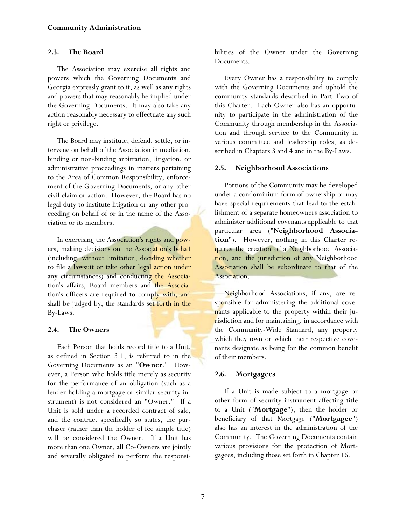#### **2.3. The Board**

The Association may exercise all rights and powers which the Governing Documents and Georgia expressly grant to it, as well as any rights and powers that may reasonably be implied under the Governing Documents. It may also take any action reasonably necessary to effectuate any such right or privilege.

The Board may institute, defend, settle, or intervene on behalf of the Association in mediation, binding or non-binding arbitration, litigation, or administrative proceedings in matters pertaining to the Area of Common Responsibility, enforcement of the Governing Documents, or any other civil claim or action. However, the Board has no legal duty to institute litigation or any other proceeding on behalf of or in the name of the Association or its members.

In exercising the Association's rights and powers, making decisions on the Association's behalf (including, without limitation, deciding whether to file a lawsuit or take other legal action under any circumstances) and conducting the Association's affairs, Board members and the Association's officers are required to comply with, and shall be judged by, the standards set forth in the By-Laws.

#### **2.4. The Owners**

Each Person that holds record title to a Unit, as defined in Section 3.1, is referred to in the Governing Documents as an "**Owner**." However, a Person who holds title merely as security for the performance of an obligation (such as a lender holding a mortgage or similar security instrument) is not considered an "Owner." If a Unit is sold under a recorded contract of sale, and the contract specifically so states, the purchaser (rather than the holder of fee simple title) will be considered the Owner. If a Unit has more than one Owner, all Co-Owners are jointly and severally obligated to perform the responsibilities of the Owner under the Governing Documents.

Every Owner has a responsibility to comply with the Governing Documents and uphold the community standards described in Part Two of this Charter. Each Owner also has an opportunity to participate in the administration of the Community through membership in the Association and through service to the Community in various committee and leadership roles, as described in Chapters 3 and 4 and in the By-Laws.

### **2.5. Neighborhood Associations**

Portions of the Community may be developed under a condominium form of ownership or may have special requirements that lead to the establishment of a separate homeowners association to administer additional covenants applicable to that particular area ("**Neighborhood Association**"). However, nothing in this Charter requires the creation of a Neighborhood Association, and the jurisdiction of any Neighborhood Association shall be subordinate to that of the Association.

Neighborhood Associations, if any, are responsible for administering the additional covenants applicable to the property within their jurisdiction and for maintaining, in accordance with the Community-Wide Standard, any property which they own or which their respective covenants designate as being for the common benefit of their members.

## **2.6. Mortgagees**

If a Unit is made subject to a mortgage or other form of security instrument affecting title to a Unit ("**Mortgage**"), then the holder or beneficiary of that Mortgage ("**Mortgagee**") also has an interest in the administration of the Community. The Governing Documents contain various provisions for the protection of Mortgagees, including those set forth in Chapter 16.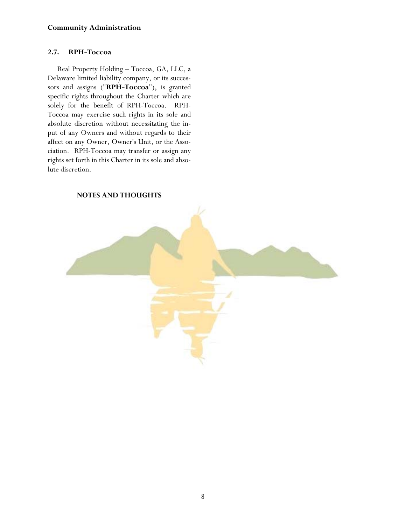#### **Community Administration**

#### **2.7. RPH-Toccoa**

Real Property Holding – Toccoa, GA, LLC, a Delaware limited liability company, or its successors and assigns ("**RPH-Toccoa**"), is granted specific rights throughout the Charter which are solely for the benefit of RPH-Toccoa. RPH-Toccoa may exercise such rights in its sole and absolute discretion without necessitating the input of any Owners and without regards to their affect on any Owner, Owner's Unit, or the Association. RPH-Toccoa may transfer or assign any rights set forth in this Charter in its sole and absolute discretion.

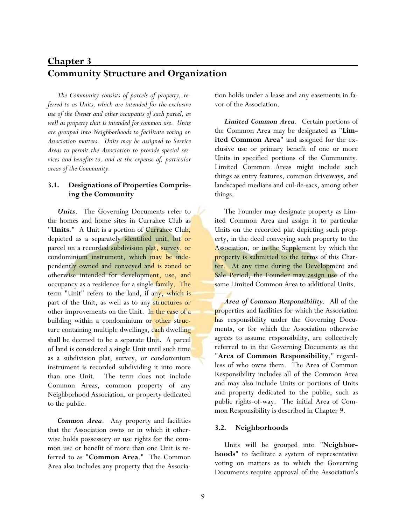# **Chapter 3** \_\_\_\_\_\_\_\_\_\_\_\_\_\_\_\_\_\_\_\_\_\_\_\_\_\_\_\_\_\_\_\_\_\_\_\_\_\_\_\_\_\_\_\_\_\_\_\_\_ **Community Structure and Organization**

*The Community consists of parcels of property, referred to as Units, which are intended for the exclusive use of the Owner and other occupants of such parcel, as well as property that is intended for common use. Units are grouped into Neighborhoods to facilitate voting on Association matters. Units may be assigned to Service Areas to permit the Association to provide special services and benefits to, and at the expense of, particular areas of the Community.* 

### **3.1. Designations of Properties Comprising the Community**

*Units*. The Governing Documents refer to the homes and home sites in Currahee Club as "**Units**." A Unit is a portion of Currahee Club, depicted as a separately identified unit, lot or parcel on a recorded subdivision plat, survey, or condominium instrument, which may be independently owned and conveyed and is zoned or otherwise intended for development, use, and occupancy as a residence for a single family. The term "Unit" refers to the land, if any, which is part of the Unit, as well as to any structures or other improvements on the Unit. In the case of a building within a condominium or other structure containing multiple dwellings, each dwelling shall be deemed to be a separate Unit. A parcel of land is considered a single Unit until such time as a subdivision plat, survey, or condominium instrument is recorded subdividing it into more than one Unit. The term does not include Common Areas, common property of any Neighborhood Association, or property dedicated to the public.

*Common Area*. Any property and facilities that the Association owns or in which it otherwise holds possessory or use rights for the common use or benefit of more than one Unit is referred to as "**Common Area**." The Common Area also includes any property that the Association holds under a lease and any easements in favor of the Association.

*Limited Common Area*. Certain portions of the Common Area may be designated as "**Limited Common Area**" and assigned for the exclusive use or primary benefit of one or more Units in specified portions of the Community. Limited Common Areas might include such things as entry features, common driveways, and landscaped medians and cul-de-sacs, among other things.

The Founder may designate property as Limited Common Area and assign it to particular Units on the recorded plat depicting such property, in the deed conveying such property to the Association, or in the Supplement by which the property is submitted to the terms of this Charter. At any time during the Development and Sale Period, the Founder may assign use of the same Limited Common Area to additional Units.

*Area of Common Responsibility*. All of the properties and facilities for which the Association has responsibility under the Governing Documents, or for which the Association otherwise agrees to assume responsibility, are collectively referred to in the Governing Documents as the "**Area of Common Responsibility**," regardless of who owns them. The Area of Common Responsibility includes all of the Common Area and may also include Units or portions of Units and property dedicated to the public, such as public rights-of-way. The initial Area of Common Responsibility is described in Chapter 9.

#### **3.2. Neighborhoods**

Units will be grouped into "**Neighborhoods**" to facilitate a system of representative voting on matters as to which the Governing Documents require approval of the Association's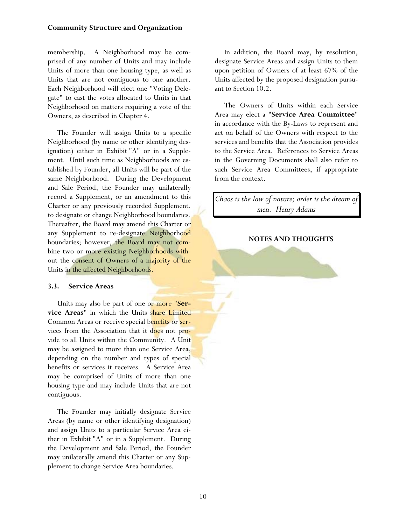#### **Community Structure and Organization**

membership. A Neighborhood may be comprised of any number of Units and may include Units of more than one housing type, as well as Units that are not contiguous to one another. Each Neighborhood will elect one "Voting Delegate" to cast the votes allocated to Units in that Neighborhood on matters requiring a vote of the Owners, as described in Chapter 4.

The Founder will assign Units to a specific Neighborhood (by name or other identifying designation) either in Exhibit "A" or in a Supplement. Until such time as Neighborhoods are established by Founder, all Units will be part of the same Neighborhood. During the Development and Sale Period, the Founder may unilaterally record a Supplement, or an amendment to this Charter or any previously recorded Supplement, to designate or change Neighborhood boundaries. Thereafter, the Board may amend this Charter or any Supplement to re-designate Neighborhood boundaries; however, the Board may not combine two or more existing Neighborhoods without the consent of Owners of a majority of the Units in the affected Neighborhoods.

#### **3.3. Service Areas**

Units may also be part of one or more "**Service Areas**" in which the Units share Limited Common Areas or receive special benefits or services from the Association that it does not provide to all Units within the Community. A Unit may be assigned to more than one Service Area, depending on the number and types of special benefits or services it receives. A Service Area may be comprised of Units of more than one housing type and may include Units that are not contiguous.

The Founder may initially designate Service Areas (by name or other identifying designation) and assign Units to a particular Service Area either in Exhibit "A" or in a Supplement. During the Development and Sale Period, the Founder may unilaterally amend this Charter or any Supplement to change Service Area boundaries.

In addition, the Board may, by resolution, designate Service Areas and assign Units to them upon petition of Owners of at least 67% of the Units affected by the proposed designation pursuant to Section 10.2.

The Owners of Units within each Service Area may elect a "**Service Area Committee**" in accordance with the By-Laws to represent and act on behalf of the Owners with respect to the services and benefits that the Association provides to the Service Area. References to Service Areas in the Governing Documents shall also refer to such Service Area Committees, if appropriate from the context.

*Chaos is the law of nature; order is the dream of men. Henry Adams* 

#### **NOTES AND THOUGHTS**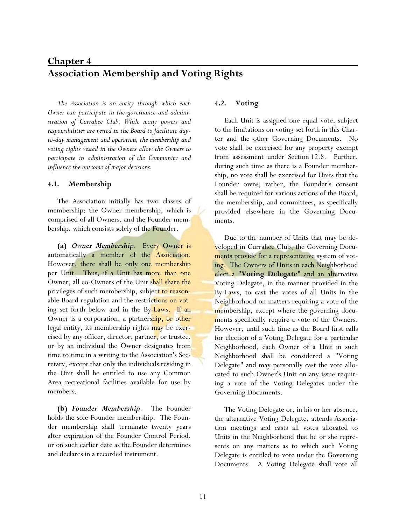# **Chapter 4** \_\_\_\_\_\_\_\_\_\_\_\_\_\_\_\_\_\_\_\_\_\_\_\_\_\_\_\_\_\_\_\_\_\_\_\_\_\_\_\_\_\_\_\_\_\_\_\_\_ **Association Membership and Voting Rights**

*The Association is an entity through which each Owner can participate in the governance and administration of Currahee Club. While many powers and responsibilities are vested in the Board to facilitate dayto-day management and operation, the membership and voting rights vested in the Owners allow the Owners to participate in administration of the Community and influence the outcome of major decisions.* 

#### **4.1. Membership**

The Association initially has two classes of membership: the Owner membership, which is comprised of all Owners, and the Founder membership, which consists solely of the Founder.

**(a)** *Owner Membership*. Every Owner is automatically a member of the Association. However, there shall be only one membership per Unit. Thus, if a Unit has more than one Owner, all co-Owners of the Unit shall share the privileges of such membership, subject to reasonable Board regulation and the restrictions on voting set forth below and in the By-Laws. If an Owner is a corporation, a partnership, or other legal entity, its membership rights may be exercised by any officer, director, partner, or trustee, or by an individual the Owner designates from time to time in a writing to the Association's Secretary, except that only the individuals residing in the Unit shall be entitled to use any Common Area recreational facilities available for use by members.

**(b)** *Founder Membership*. The Founder holds the sole Founder membership. The Founder membership shall terminate twenty years after expiration of the Founder Control Period, or on such earlier date as the Founder determines and declares in a recorded instrument.

#### **4.2. Voting**

Each Unit is assigned one equal vote, subject to the limitations on voting set forth in this Charter and the other Governing Documents. No vote shall be exercised for any property exempt from assessment under Section 12.8. Further, during such time as there is a Founder membership, no vote shall be exercised for Units that the Founder owns; rather, the Founder's consent shall be required for various actions of the Board, the membership, and committees, as specifically provided elsewhere in the Governing Documents.

Due to the number of Units that may be developed in Currahee Club, the Governing Documents provide for a representative system of voting. The Owners of Units in each Neighborhood elect a "**Voting Delegate**" and an alternative Voting Delegate, in the manner provided in the By-Laws, to cast the votes of all Units in the Neighborhood on matters requiring a vote of the membership, except where the governing documents specifically require a vote of the Owners. However, until such time as the Board first calls for election of a Voting Delegate for a particular Neighborhood, each Owner of a Unit in such Neighborhood shall be considered a "Voting Delegate" and may personally cast the vote allocated to such Owner's Unit on any issue requiring a vote of the Voting Delegates under the Governing Documents.

The Voting Delegate or, in his or her absence, the alternative Voting Delegate, attends Association meetings and casts all votes allocated to Units in the Neighborhood that he or she represents on any matters as to which such Voting Delegate is entitled to vote under the Governing Documents. A Voting Delegate shall vote all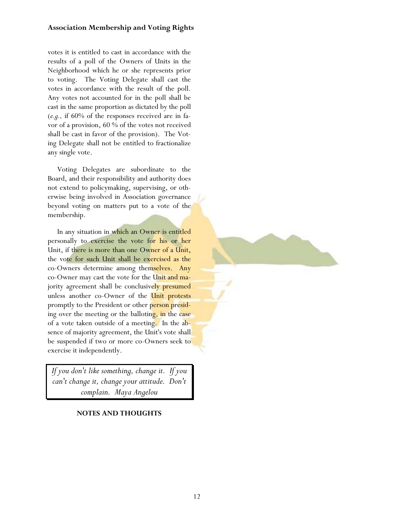### **Association Membership and Voting Rights**

votes it is entitled to cast in accordance with the results of a poll of the Owners of Units in the Neighborhood which he or she represents prior to voting. The Voting Delegate shall cast the votes in accordance with the result of the poll. Any votes not accounted for in the poll shall be cast in the same proportion as dictated by the poll (*e.g.,* if 60% of the responses received are in favor of a provision, 60 % of the votes not received shall be cast in favor of the provision). The Voting Delegate shall not be entitled to fractionalize any single vote.

Voting Delegates are subordinate to the Board, and their responsibility and authority does not extend to policymaking, supervising, or otherwise being involved in Association governance beyond voting on matters put to a vote of the membership.

In any situation in which an Owner is entitled personally to exercise the vote for his or her Unit, if there is more than one Owner of a Unit, the vote for such Unit shall be exercised as the co-Owners determine among themselves. Any co-Owner may cast the vote for the Unit and majority agreement shall be conclusively presumed unless another co-Owner of the Unit protests promptly to the President or other person presiding over the meeting or the balloting, in the case of a vote taken outside of a meeting. In the absence of majority agreement, the Unit's vote shall be suspended if two or more co-Owners seek to exercise it independently.

*If you don't like something, change it. If you can't change it, change your attitude. Don't complain. Maya Angelou* 

**NOTES AND THOUGHTS**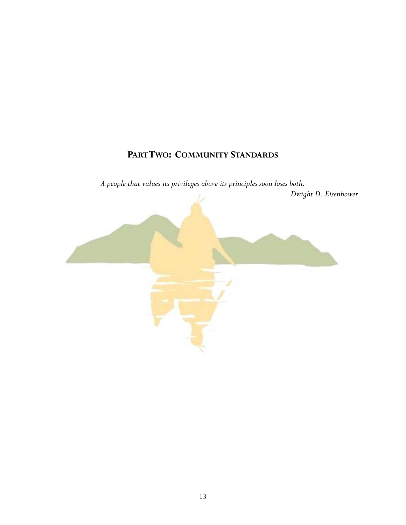# **PART TWO: COMMUNITY STANDARDS**

*A people that values its privileges above its principles soon loses both.* 

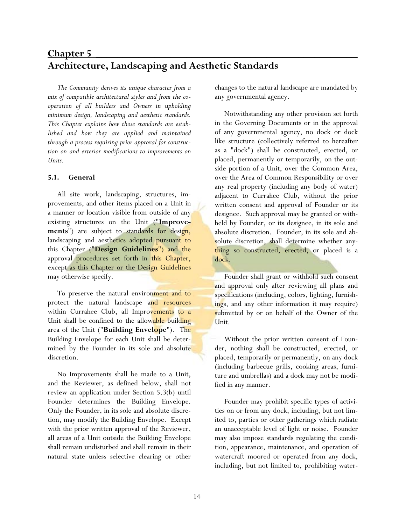# **Chapter 5** \_\_\_\_\_\_\_\_\_\_\_\_\_\_\_\_\_\_\_\_\_\_\_\_\_\_\_\_\_\_\_\_\_\_\_\_\_\_\_\_\_\_\_\_\_\_\_\_\_ **Architecture, Landscaping and Aesthetic Standards**

*The Community derives its unique character from a mix of compatible architectural styles and from the cooperation of all builders and Owners in upholding minimum design, landscaping and aesthetic standards. This Chapter explains how those standards are established and how they are applied and maintained through a process requiring prior approval for construction on and exterior modifications to improvements on Units.* 

#### **5.1. General**

All site work, landscaping, structures, improvements, and other items placed on a Unit in a manner or location visible from outside of any existing structures on the Unit ("**Improvements**") are subject to standards for design, landscaping and aesthetics adopted pursuant to this Chapter ("**Design Guidelines**") and the approval procedures set forth in this Chapter, except as this Chapter or the Design Guidelines may otherwise specify.

To preserve the natural environment and to protect the natural landscape and resources within Currahee Club, all Improvements to a Unit shall be confined to the allowable building area of the Unit ("**Building Envelope**"). The Building Envelope for each Unit shall be determined by the Founder in its sole and absolute discretion.

No Improvements shall be made to a Unit, and the Reviewer, as defined below, shall not review an application under Section 5.3(b) until Founder determines the Building Envelope. Only the Founder, in its sole and absolute discretion, may modify the Building Envelope. Except with the prior written approval of the Reviewer, all areas of a Unit outside the Building Envelope shall remain undisturbed and shall remain in their natural state unless selective clearing or other changes to the natural landscape are mandated by any governmental agency.

Notwithstanding any other provision set forth in the Governing Documents or in the approval of any governmental agency, no dock or dock like structure (collectively referred to hereafter as a "dock") shall be constructed, erected, or placed, permanently or temporarily, on the outside portion of a Unit, over the Common Area, over the Area of Common Responsibility or over any real property (including any body of water) adjacent to Currahee Club, without the prior written consent and approval of Founder or its designee. Such approval may be granted or withheld by Founder, or its designee, in its sole and absolute discretion. Founder, in its sole and absolute discretion, shall determine whether anything so constructed, erected, or placed is a dock.

Founder shall grant or withhold such consent and approval only after reviewing all plans and specifications (including, colors, lighting, furnishings, and any other information it may require) submitted by or on behalf of the Owner of the Unit.

Without the prior written consent of Founder, nothing shall be constructed, erected, or placed, temporarily or permanently, on any dock (including barbecue grills, cooking areas, furniture and umbrellas) and a dock may not be modified in any manner.

Founder may prohibit specific types of activities on or from any dock, including, but not limited to, parties or other gatherings which radiate an unacceptable level of light or noise. Founder may also impose standards regulating the condition, appearance, maintenance, and operation of watercraft moored or operated from any dock, including, but not limited to, prohibiting water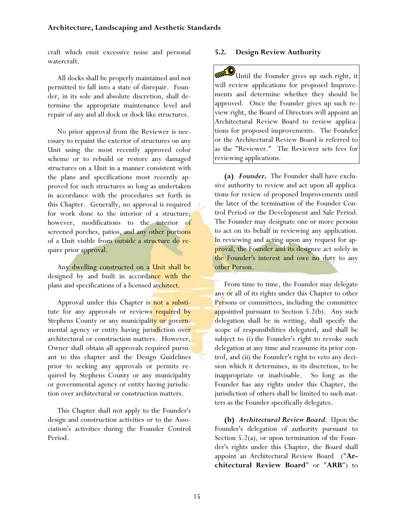craft which emit excessive noise and personal watercraft.

All docks shall be properly maintained and not permitted to fall into a state of disrepair. Founder, in its sole and absolute discretion, shall determine the appropriate maintenance level and repair of any and all dock or dock like structures.

No prior approval from the Reviewer is necessary to repaint the exterior of structures on any Unit using the most recently approved color scheme or to rebuild or restore any damaged structures on a Unit in a manner consistent with the plans and specifications most recently approved for such structures so long as undertaken in accordance with the procedures set forth in this Chapter. Generally, no approval is required for work done to the interior of a structure; however, modifications to the interior of screened porches, patios, and any other portions of a Unit visible from outside a structure do require prior approval.

Any dwelling constructed on a Unit shall be designed by and built in accordance with the plans and specifications of a licensed architect.

Approval under this Chapter is not a substitute for any approvals or reviews required by Stephens County or any municipality or governmental agency or entity having jurisdiction over architectural or construction matters. However, Owner shall obtain all approvals required pursuant to this chapter and the Design Guidelines prior to seeking any approvals or permits required by Stephens County or any municipality or governmental agency or entity having jurisdiction over architectural or construction matters.

This Chapter shall not apply to the Founder's design and construction activities or to the Association's activities during the Founder Control Period.

#### **5.2. Design Review Authority**

Until the Founder gives up such right, it will review applications for proposed Improvements and determine whether they should be approved. Once the Founder gives up such review right, the Board of Directors will appoint an Architectural Review Board to review applications for proposed improvements. The Founder or the Architectural Review Board is referred to as the "Reviewer." The Reviewer sets fees for reviewing applications.

**(a)** *Founder***.** The Founder shall have exclusive authority to review and act upon all applications for review of proposed Improvements until the later of the termination of the Founder Control Period or the Development and Sale Period. The Founder may designate one or more persons to act on its behalf in reviewing any application. In reviewing and acting upon any request for approval, the Founder and its designee act solely in the Founder's interest and owe no duty to any other Person.

From time to time, the Founder may delegate any or all of its rights under this Chapter to other Persons or committees, including the committee appointed pursuant to Section  $5.2(b)$ . Any such delegation shall be in writing, shall specify the scope of responsibilities delegated, and shall be subject to (i) the Founder's right to revoke such delegation at any time and reassume its prior control, and (ii) the Founder's right to veto any decision which it determines, in its discretion, to be inappropriate or inadvisable. So long as the Founder has any rights under this Chapter, the jurisdiction of others shall be limited to such matters as the Founder specifically delegates.

**(b)** *Architectural Review Board*. Upon the Founder's delegation of authority pursuant to Section  $5.2(a)$ , or upon termination of the Founder's rights under this Chapter, the Board shall appoint an Architectural Review Board ("**Architectural Review Board**" or "**ARB**") to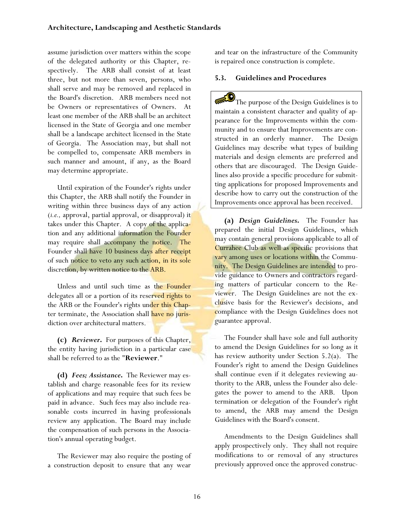assume jurisdiction over matters within the scope of the delegated authority or this Chapter, respectively. The ARB shall consist of at least three, but not more than seven, persons, who shall serve and may be removed and replaced in the Board's discretion. ARB members need not be Owners or representatives of Owners. At least one member of the ARB shall be an architect licensed in the State of Georgia and one member shall be a landscape architect licensed in the State of Georgia. The Association may, but shall not be compelled to, compensate ARB members in such manner and amount, if any, as the Board may determine appropriate.

Until expiration of the Founder's rights under this Chapter, the ARB shall notify the Founder in writing within three business days of any action (*i.e.,* approval, partial approval, or disapproval) it takes under this Chapter. A copy of the application and any additional information the Founder may require shall accompany the notice. The Founder shall have 10 business days after receipt of such notice to veto any such action, in its sole discretion, by written notice to the ARB.

Unless and until such time as the Founder delegates all or a portion of its reserved rights to the ARB or the Founder's rights under this Chapter terminate, the Association shall have no jurisdiction over architectural matters.

**(c)** *Reviewer***.** For purposes of this Chapter, the entity having jurisdiction in a particular case shall be referred to as the "**Reviewer**."

**(d)** *Fees; Assistance***.** The Reviewer may establish and charge reasonable fees for its review of applications and may require that such fees be paid in advance. Such fees may also include reasonable costs incurred in having professionals review any application. The Board may include the compensation of such persons in the Association's annual operating budget.

The Reviewer may also require the posting of a construction deposit to ensure that any wear

and tear on the infrastructure of the Community is repaired once construction is complete.

### **5.3. Guidelines and Procedures**

The purpose of the Design Guidelines is to maintain a consistent character and quality of appearance for the Improvements within the community and to ensure that Improvements are constructed in an orderly manner. The Design Guidelines may describe what types of building materials and design elements are preferred and others that are discouraged. The Design Guidelines also provide a specific procedure for submitting applications for proposed Improvements and describe how to carry out the construction of the Improvements once approval has been received.

**(a)** *Design Guidelines***.** The Founder has prepared the initial Design Guidelines, which may contain general provisions applicable to all of Currahee Club as well as specific provisions that vary among uses or locations within the Community. The Design Guidelines are intended to provide guidance to Owners and contractors regarding matters of particular concern to the Reviewer. The Design Guidelines are not the exclusive basis for the Reviewer's decisions, and compliance with the Design Guidelines does not guarantee approval.

The Founder shall have sole and full authority to amend the Design Guidelines for so long as it has review authority under Section 5.2(a). The Founder's right to amend the Design Guidelines shall continue even if it delegates reviewing authority to the ARB, unless the Founder also delegates the power to amend to the ARB. Upon termination or delegation of the Founder's right to amend, the ARB may amend the Design Guidelines with the Board's consent.

Amendments to the Design Guidelines shall apply prospectively only. They shall not require modifications to or removal of any structures previously approved once the approved construc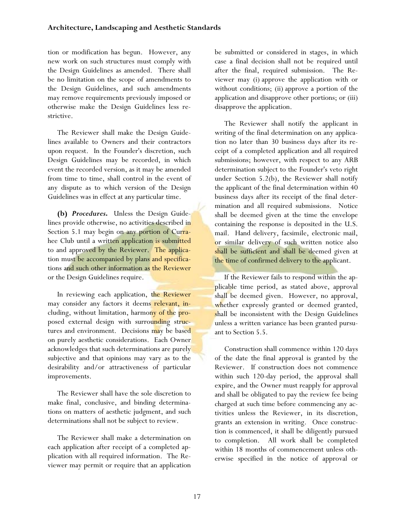tion or modification has begun. However, any new work on such structures must comply with the Design Guidelines as amended. There shall be no limitation on the scope of amendments to the Design Guidelines, and such amendments may remove requirements previously imposed or otherwise make the Design Guidelines less restrictive.

The Reviewer shall make the Design Guidelines available to Owners and their contractors upon request. In the Founder's discretion, such Design Guidelines may be recorded, in which event the recorded version, as it may be amended from time to time, shall control in the event of any dispute as to which version of the Design Guidelines was in effect at any particular time.

**(b)** *Procedures***.** Unless the Design Guidelines provide otherwise, no activities described in Section 5.1 may begin on any portion of Currahee Club until a written application is submitted to and approved by the Reviewer. The application must be accompanied by plans and specifications and such other information as the Reviewer or the Design Guidelines require.

In reviewing each application, the Reviewer may consider any factors it deems relevant, including, without limitation, harmony of the proposed external design with surrounding structures and environment. Decisions may be based on purely aesthetic considerations. Each Owner acknowledges that such determinations are purely subjective and that opinions may vary as to the desirability and/or attractiveness of particular improvements.

The Reviewer shall have the sole discretion to make final, conclusive, and binding determinations on matters of aesthetic judgment, and such determinations shall not be subject to review.

The Reviewer shall make a determination on each application after receipt of a completed application with all required information. The Reviewer may permit or require that an application be submitted or considered in stages, in which case a final decision shall not be required until after the final, required submission. The Reviewer may (i) approve the application with or without conditions; (ii) approve a portion of the application and disapprove other portions; or (iii) disapprove the application.

The Reviewer shall notify the applicant in writing of the final determination on any application no later than 30 business days after its receipt of a completed application and all required submissions; however, with respect to any ARB determination subject to the Founder's veto right under Section 5.2(b), the Reviewer shall notify the applicant of the final determination within 40 business days after its receipt of the final determination and all required submissions. Notice shall be deemed given at the time the envelope containing the response is deposited in the U.S. mail. Hand delivery, facsimile, electronic mail, or similar delivery of such written notice also shall be sufficient and shall be deemed given at the time of confirmed delivery to the applicant.

If the Reviewer fails to respond within the applicable time period, as stated above, approval shall be deemed given. However, no approval, whether expressly granted or deemed granted, shall be inconsistent with the Design Guidelines unless a written variance has been granted pursuant to Section 5.5.

Construction shall commence within 120 days of the date the final approval is granted by the Reviewer. If construction does not commence within such 120-day period, the approval shall expire, and the Owner must reapply for approval and shall be obligated to pay the review fee being charged at such time before commencing any activities unless the Reviewer, in its discretion, grants an extension in writing. Once construction is commenced, it shall be diligently pursued to completion. All work shall be completed within 18 months of commencement unless otherwise specified in the notice of approval or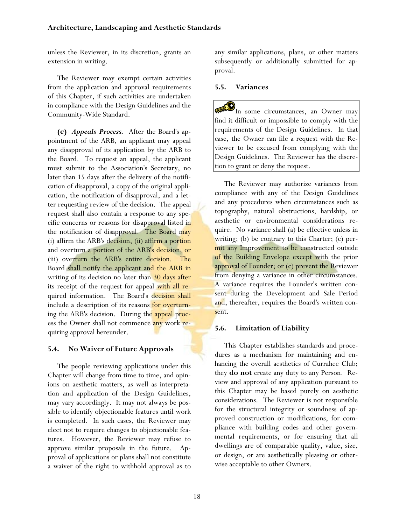unless the Reviewer, in its discretion, grants an extension in writing.

The Reviewer may exempt certain activities from the application and approval requirements of this Chapter, if such activities are undertaken in compliance with the Design Guidelines and the Community-Wide Standard.

**(c)** *Appeals Process.*After the Board's appointment of the ARB, an applicant may appeal any disapproval of its application by the ARB to the Board. To request an appeal, the applicant must submit to the Association's Secretary, no later than 15 days after the delivery of the notification of disapproval, a copy of the original application, the notification of disapproval, and a letter requesting review of the decision. The appeal request shall also contain a response to any specific concerns or reasons for disapproval listed in the notification of disapproval. The Board may (i) affirm the ARB's decision, (ii) affirm a portion and overturn a portion of the ARB's decision, or (iii) overturn the ARB's entire decision. The Board shall notify the applicant and the ARB in writing of its decision no later than 30 days after its receipt of the request for appeal with all required information. The Board's decision shall include a description of its reasons for overturning the ARB's decision. During the appeal process the Owner shall not commence any work requiring approval hereunder.

## **5.4. No Waiver of Future Approvals**

The people reviewing applications under this Chapter will change from time to time, and opinions on aesthetic matters, as well as interpretation and application of the Design Guidelines, may vary accordingly. It may not always be possible to identify objectionable features until work is completed. In such cases, the Reviewer may elect not to require changes to objectionable features. However, the Reviewer may refuse to approve similar proposals in the future. Approval of applications or plans shall not constitute a waiver of the right to withhold approval as to

any similar applications, plans, or other matters subsequently or additionally submitted for approval.

#### **5.5. Variances**

 $\mathbf{y}_{\text{In some circumstances, an Owner may}}$ find it difficult or impossible to comply with the requirements of the Design Guidelines. In that case, the Owner can file a request with the Reviewer to be excused from complying with the Design Guidelines. The Reviewer has the discretion to grant or deny the request.

The Reviewer may authorize variances from compliance with any of the Design Guidelines and any procedures when circumstances such as topography, natural obstructions, hardship, or aesthetic or environmental considerations require. No variance shall (a) be effective unless in writing; (b) be contrary to this Charter; (c) permit any Improvement to be constructed outside of the Building Envelope except with the prior approval of Founder; or (c) prevent the Reviewer from denying a variance in other circumstances. A variance requires the Founder's written consent during the Development and Sale Period and, thereafter, requires the Board's written consent.

## **5.6. Limitation of Liability**

This Chapter establishes standards and procedures as a mechanism for maintaining and enhancing the overall aesthetics of Currahee Club; they **do not** create any duty to any Person. Review and approval of any application pursuant to this Chapter may be based purely on aesthetic considerations. The Reviewer is not responsible for the structural integrity or soundness of approved construction or modifications, for compliance with building codes and other governmental requirements, or for ensuring that all dwellings are of comparable quality, value, size, or design, or are aesthetically pleasing or otherwise acceptable to other Owners.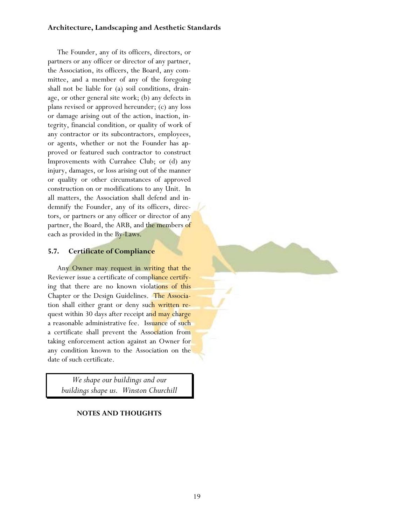#### **Architecture, Landscaping and Aesthetic Standards**

The Founder, any of its officers, directors, or partners or any officer or director of any partner, the Association, its officers, the Board, any committee, and a member of any of the foregoing shall not be liable for (a) soil conditions, drainage, or other general site work; (b) any defects in plans revised or approved hereunder; (c) any loss or damage arising out of the action, inaction, integrity, financial condition, or quality of work of any contractor or its subcontractors, employees, or agents, whether or not the Founder has approved or featured such contractor to construct Improvements with Currahee Club; or (d) any injury, damages, or loss arising out of the manner or quality or other circumstances of approved construction on or modifications to any Unit. In all matters, the Association shall defend and indemnify the Founder, any of its officers, directors, or partners or any officer or director of any partner, the Board, the ARB, and the members of each as provided in the By-Laws.

### **5.7. Certificate of Compliance**

Any Owner may request in writing that the Reviewer issue a certificate of compliance certifying that there are no known violations of this Chapter or the Design Guidelines. The Association shall either grant or deny such written request within 30 days after receipt and may charge a reasonable administrative fee. Issuance of such a certificate shall prevent the Association from taking enforcement action against an Owner for any condition known to the Association on the date of such certificate.

*We shape our buildings and our buildings shape us. Winston Churchill* 

#### **NOTES AND THOUGHTS**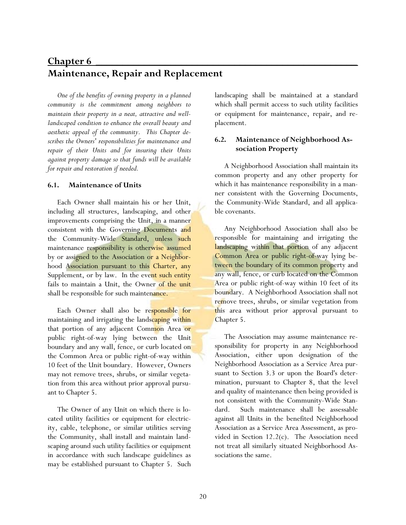# **Chapter 6** \_\_\_\_\_\_\_\_\_\_\_\_\_\_\_\_\_\_\_\_\_\_\_\_\_\_\_\_\_\_\_\_\_\_\_\_\_\_\_\_\_\_\_\_\_\_\_\_\_ **Maintenance, Repair and Replacement**

*One of the benefits of owning property in a planned community is the commitment among neighbors to maintain their property in a neat, attractive and welllandscaped condition to enhance the overall beauty and aesthetic appeal of the community. This Chapter describes the Owners' responsibilities for maintenance and repair of their Units and for insuring their Units against property damage so that funds will be available for repair and restoration if needed.* 

#### **6.1. Maintenance of Units**

Each Owner shall maintain his or her Unit, including all structures, landscaping, and other improvements comprising the Unit, in a manner consistent with the Governing Documents and the Community-Wide Standard, unless such maintenance responsibility is otherwise assumed by or assigned to the Association or a Neighborhood Association pursuant to this Charter, any Supplement, or by law. In the event such entity fails to maintain a Unit, the Owner of the unit shall be responsible for such maintenance.

Each Owner shall also be responsible for maintaining and irrigating the landscaping within that portion of any adjacent Common Area or public right-of-way lying between the Unit boundary and any wall, fence, or curb located on the Common Area or public right-of-way within 10 feet of the Unit boundary. However, Owners may not remove trees, shrubs, or similar vegetation from this area without prior approval pursuant to Chapter 5.

The Owner of any Unit on which there is located utility facilities or equipment for electricity, cable, telephone, or similar utilities serving the Community, shall install and maintain landscaping around such utility facilities or equipment in accordance with such landscape guidelines as may be established pursuant to Chapter 5. Such landscaping shall be maintained at a standard which shall permit access to such utility facilities or equipment for maintenance, repair, and replacement.

### **6.2. Maintenance of Neighborhood Association Property**

A Neighborhood Association shall maintain its common property and any other property for which it has maintenance responsibility in a manner consistent with the Governing Documents, the Community-Wide Standard, and all applicable covenants.

Any Neighborhood Association shall also be responsible for maintaining and irrigating the landscaping within that portion of any adjacent Common Area or public right-of-way lying between the boundary of its common property and any wall, fence, or curb located on the Common Area or public right-of-way within 10 feet of its boundary. A Neighborhood Association shall not remove trees, shrubs, or similar vegetation from this area without prior approval pursuant to Chapter 5.

The Association may assume maintenance responsibility for property in any Neighborhood Association, either upon designation of the Neighborhood Association as a Service Area pursuant to Section 3.3 or upon the Board's determination, pursuant to Chapter 8, that the level and quality of maintenance then being provided is not consistent with the Community-Wide Standard. Such maintenance shall be assessable against all Units in the benefited Neighborhood Association as a Service Area Assessment, as provided in Section 12.2(c). The Association need not treat all similarly situated Neighborhood Associations the same.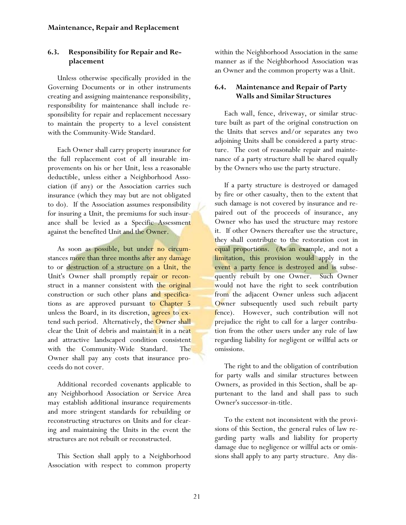# **6.3. Responsibility for Repair and Replacement**

Unless otherwise specifically provided in the Governing Documents or in other instruments creating and assigning maintenance responsibility, responsibility for maintenance shall include responsibility for repair and replacement necessary to maintain the property to a level consistent with the Community-Wide Standard.

Each Owner shall carry property insurance for the full replacement cost of all insurable improvements on his or her Unit, less a reasonable deductible, unless either a Neighborhood Association (if any) or the Association carries such insurance (which they may but are not obligated to do). If the Association assumes responsibility for insuring a Unit, the premiums for such insurance shall be levied as a Specific Assessment against the benefited Unit and the Owner.

As soon as possible, but under no circumstances more than three months after any damage to or destruction of a structure on a Unit, the Unit's Owner shall promptly repair or reconstruct in a manner consistent with the original construction or such other plans and specifications as are approved pursuant to Chapter 5 unless the Board, in its discretion, agrees to extend such period. Alternatively, the Owner shall clear the Unit of debris and maintain it in a neat and attractive landscaped condition consistent with the Community-Wide Standard. The Owner shall pay any costs that insurance proceeds do not cover.

Additional recorded covenants applicable to any Neighborhood Association or Service Area may establish additional insurance requirements and more stringent standards for rebuilding or reconstructing structures on Units and for clearing and maintaining the Units in the event the structures are not rebuilt or reconstructed.

This Section shall apply to a Neighborhood Association with respect to common property within the Neighborhood Association in the same manner as if the Neighborhood Association was an Owner and the common property was a Unit.

# **6.4. Maintenance and Repair of Party Walls and Similar Structures**

Each wall, fence, driveway, or similar structure built as part of the original construction on the Units that serves and/or separates any two adjoining Units shall be considered a party structure. The cost of reasonable repair and maintenance of a party structure shall be shared equally by the Owners who use the party structure.

If a party structure is destroyed or damaged by fire or other casualty, then to the extent that such damage is not covered by insurance and repaired out of the proceeds of insurance, any Owner who has used the structure may restore it. If other Owners thereafter use the structure, they shall contribute to the restoration cost in equal proportions. (As an example, and not a limitation, this provision would apply in the event a party fence is destroyed and is subsequently rebuilt by one Owner. Such Owner would not have the right to seek contribution from the adjacent Owner unless such adjacent Owner subsequently used such rebuilt party fence). However, such contribution will not prejudice the right to call for a larger contribution from the other users under any rule of law regarding liability for negligent or willful acts or omissions.

The right to and the obligation of contribution for party walls and similar structures between Owners, as provided in this Section, shall be appurtenant to the land and shall pass to such Owner's successor-in-title.

To the extent not inconsistent with the provisions of this Section, the general rules of law regarding party walls and liability for property damage due to negligence or willful acts or omissions shall apply to any party structure. Any dis-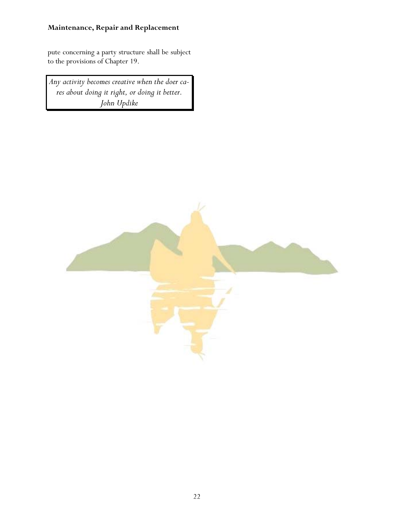# **Maintenance, Repair and Replacement**

pute concerning a party structure shall be subject to the provisions of Chapter 19.

*Any activity becomes creative when the doer cares about doing it right, or doing it better. John Updike* 

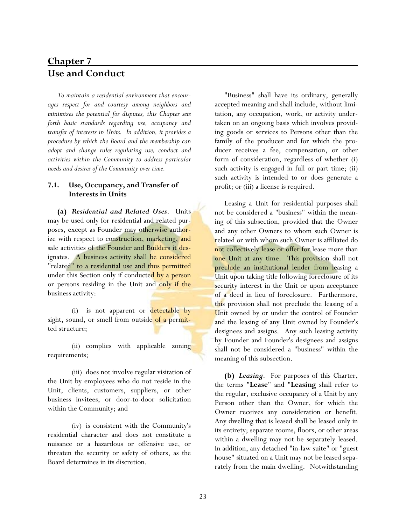# **Chapter 7** \_\_\_\_\_\_\_\_\_\_\_\_\_\_\_\_\_\_\_\_\_\_\_\_\_\_\_\_\_\_\_\_\_\_\_\_\_\_\_\_\_\_\_\_\_\_\_\_\_ **Use and Conduct**

*To maintain a residential environment that encourages respect for and courtesy among neighbors and minimizes the potential for disputes, this Chapter sets forth basic standards regarding use, occupancy and transfer of interests in Units. In addition, it provides a procedure by which the Board and the membership can adopt and change rules regulating use, conduct and activities within the Community to address particular needs and desires of the Community over time.* 

#### **7.1. Use, Occupancy, and Transfer of Interests in Units**

**(a)** *Residential and Related Uses*. Units may be used only for residential and related purposes, except as Founder may otherwise authorize with respect to construction, marketing, and sale activities of the Founder and Builders it designates. A business activity shall be considered "related" to a residential use and thus permitted under this Section only if conducted by a person or persons residing in the Unit and only if the business activity:

(i) is not apparent or detectable by sight, sound, or smell from outside of a permitted structure;

 (ii) complies with applicable zoning requirements;

 (iii) does not involve regular visitation of the Unit by employees who do not reside in the Unit, clients, customers, suppliers, or other business invitees, or door-to-door solicitation within the Community; and

 (iv) is consistent with the Community's residential character and does not constitute a nuisance or a hazardous or offensive use, or threaten the security or safety of others, as the Board determines in its discretion.

"Business" shall have its ordinary, generally accepted meaning and shall include, without limitation, any occupation, work, or activity undertaken on an ongoing basis which involves providing goods or services to Persons other than the family of the producer and for which the producer receives a fee, compensation, or other form of consideration, regardless of whether (i) such activity is engaged in full or part time; (ii) such activity is intended to or does generate a profit; or (iii) a license is required.

Leasing a Unit for residential purposes shall not be considered a "business" within the meaning of this subsection, provided that the Owner and any other Owners to whom such Owner is related or with whom such Owner is affiliated do not collectively lease or offer for lease more than one Unit at any time. This provision shall not preclude an institutional lender from leasing a Unit upon taking title following foreclosure of its security interest in the Unit or upon acceptance of a deed in lieu of foreclosure. Furthermore, this provision shall not preclude the leasing of a Unit owned by or under the control of Founder and the leasing of any Unit owned by Founder's designees and assigns. Any such leasing activity by Founder and Founder's designees and assigns shall not be considered a "business" within the meaning of this subsection.

**(b)** *Leasing*. For purposes of this Charter, the terms "**Lease**" and "**Leasing** shall refer to the regular, exclusive occupancy of a Unit by any Person other than the Owner, for which the Owner receives any consideration or benefit. Any dwelling that is leased shall be leased only in its entirety; separate rooms, floors, or other areas within a dwelling may not be separately leased. In addition, any detached "in-law suite" or "guest house" situated on a Unit may not be leased separately from the main dwelling. Notwithstanding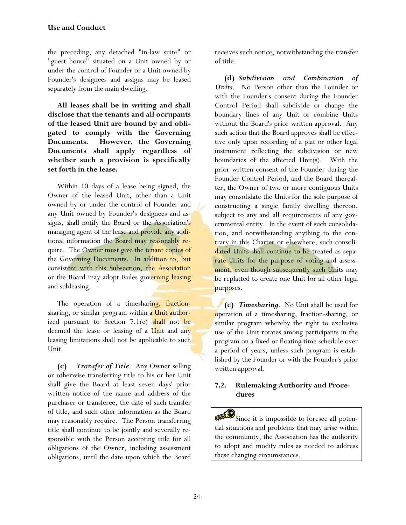the preceding, any detached "in-law suite" or "guest house" situated on a Unit owned by or under the control of Founder or a Unit owned by Founder's designees and assigns may be leased separately from the main dwelling.

**All leases shall be in writing and shall disclose that the tenants and all occupants of the leased Unit are bound by and obligated to comply with the Governing Documents. However, the Governing Documents shall apply regardless of whether such a provision is specifically set forth in the lease.**

Within 10 days of a lease being signed, the Owner of the leased Unit, other than a Unit owned by or under the control of Founder and any Unit owned by Founder's designees and assigns, shall notify the Board or the Association's managing agent of the lease and provide any additional information the Board may reasonably require. The Owner must give the tenant copies of the Governing Documents. In addition to, but consistent with this Subsection, the Association or the Board may adopt Rules governing leasing and subleasing.

The operation of a timesharing, fractionsharing, or similar program within a Unit authorized pursuant to Section  $7.1(e)$  shall not be deemed the lease or leasing of a Unit and any leasing limitations shall not be applicable to such Unit.

**(c)** *Transfer of Title*. Any Owner selling or otherwise transferring title to his or her Unit shall give the Board at least seven days' prior written notice of the name and address of the purchaser or transferee, the date of such transfer of title, and such other information as the Board may reasonably require. The Person transferring title shall continue to be jointly and severally responsible with the Person accepting title for all obligations of the Owner, including assessment obligations, until the date upon which the Board receives such notice, notwithstanding the transfer of title.

**(d)** *Subdivision and Combination of Units*. No Person other than the Founder or with the Founder's consent during the Founder Control Period shall subdivide or change the boundary lines of any Unit or combine Units without the Board's prior written approval. Any such action that the Board approves shall be effective only upon recording of a plat or other legal instrument reflecting the subdivision or new boundaries of the affected Unit(s). With the prior written consent of the Founder during the Founder Control Period, and the Board thereafter, the Owner of two or more contiguous Units may consolidate the Units for the sole purpose of constructing a single family dwelling thereon, subject to any and all requirements of any governmental entity. In the event of such consolidation, and notwithstanding anything to the contrary in this Charter or elsewhere, such consolidated Units shall continue to be treated as separate Units for the purpose of voting and assessment, even though subsequently such Units may be replatted to create one Unit for all other legal purposes.

**(e)** *Timesharing*. No Unit shall be used for operation of a timesharing, fraction-sharing, or similar program whereby the right to exclusive use of the Unit rotates among participants in the program on a fixed or floating time schedule over a period of years, unless such program is established by the Founder or with the Founder's prior written approval.

### **7.2. Rulemaking Authority and Procedures**

 $\mathbf{S}$  Since it is impossible to foresee all potential situations and problems that may arise within the community, the Association has the authority to adopt and modify rules as needed to address these changing circumstances.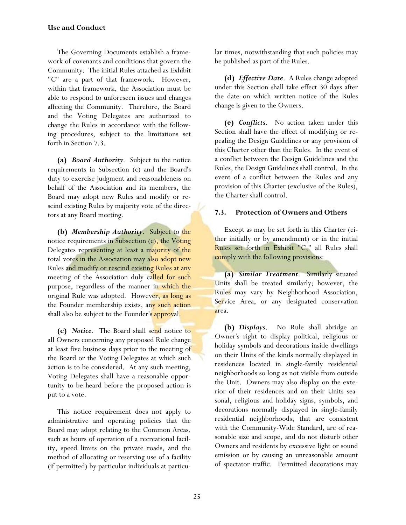### **Use and Conduct**

The Governing Documents establish a framework of covenants and conditions that govern the Community. The initial Rules attached as Exhibit "C" are a part of that framework. However, within that framework, the Association must be able to respond to unforeseen issues and changes affecting the Community. Therefore, the Board and the Voting Delegates are authorized to change the Rules in accordance with the following procedures, subject to the limitations set forth in Section 7.3.

**(a)** *Board Authority*. Subject to the notice requirements in Subsection (c) and the Board's duty to exercise judgment and reasonableness on behalf of the Association and its members, the Board may adopt new Rules and modify or rescind existing Rules by majority vote of the directors at any Board meeting.

**(b)** *Membership Authority*. Subject to the notice requirements in Subsection (c), the Voting Delegates representing at least a majority of the total votes in the Association may also adopt new Rules and modify or rescind existing Rules at any meeting of the Association duly called for such purpose, regardless of the manner in which the original Rule was adopted. However, as long as the Founder membership exists, any such action shall also be subject to the Founder's approval.

**(c)** *Notice*. The Board shall send notice to all Owners concerning any proposed Rule change at least five business days prior to the meeting of the Board or the Voting Delegates at which such action is to be considered. At any such meeting, Voting Delegates shall have a reasonable opportunity to be heard before the proposed action is put to a vote.

This notice requirement does not apply to administrative and operating policies that the Board may adopt relating to the Common Areas, such as hours of operation of a recreational facility, speed limits on the private roads, and the method of allocating or reserving use of a facility (if permitted) by particular individuals at particular times, notwithstanding that such policies may be published as part of the Rules.

**(d)** *Effective Date*. A Rules change adopted under this Section shall take effect 30 days after the date on which written notice of the Rules change is given to the Owners.

**(e)** *Conflicts*. No action taken under this Section shall have the effect of modifying or repealing the Design Guidelines or any provision of this Charter other than the Rules. In the event of a conflict between the Design Guidelines and the Rules, the Design Guidelines shall control. In the event of a conflict between the Rules and any provision of this Charter (exclusive of the Rules), the Charter shall control.

#### **7.3. Protection of Owners and Others**

Except as may be set forth in this Charter (either initially or by amendment) or in the initial Rules set forth in Exhibit "C," all Rules shall comply with the following provisions:

**(a)** *Similar Treatment*. Similarly situated Units shall be treated similarly; however, the Rules may vary by Neighborhood Association, Service Area, or any designated conservation area.

**(b)** *Displays*. No Rule shall abridge an Owner's right to display political, religious or holiday symbols and decorations inside dwellings on their Units of the kinds normally displayed in residences located in single-family residential neighborhoods so long as not visible from outside the Unit. Owners may also display on the exterior of their residences and on their Units seasonal, religious and holiday signs, symbols, and decorations normally displayed in single-family residential neighborhoods, that are consistent with the Community-Wide Standard, are of reasonable size and scope, and do not disturb other Owners and residents by excessive light or sound emission or by causing an unreasonable amount of spectator traffic. Permitted decorations may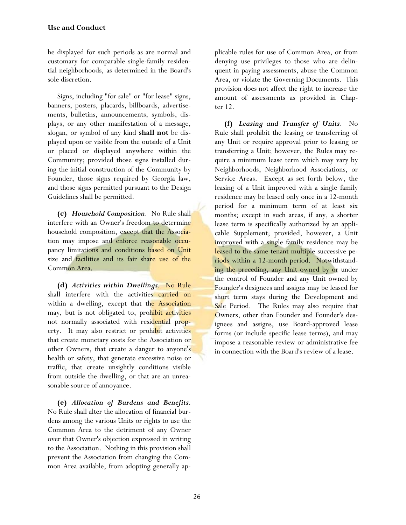be displayed for such periods as are normal and customary for comparable single-family residential neighborhoods, as determined in the Board's sole discretion.

Signs, including "for sale" or "for lease" signs, banners, posters, placards, billboards, advertisements, bulletins, announcements, symbols, displays, or any other manifestation of a message, slogan, or symbol of any kind **shall not** be displayed upon or visible from the outside of a Unit or placed or displayed anywhere within the Community; provided those signs installed during the initial construction of the Community by Founder, those signs required by Georgia law, and those signs permitted pursuant to the Design Guidelines shall be permitted.

**(c)** *Household Composition*. No Rule shall interfere with an Owner's freedom to determine household composition, except that the Association may impose and enforce reasonable occupancy limitations and conditions based on Unit size and facilities and its fair share use of the Common Area.

**(d)** *Activities within Dwellings*. No Rule shall interfere with the activities carried on within a dwelling, except that the Association may, but is not obligated to, prohibit activities not normally associated with residential property. It may also restrict or prohibit activities that create monetary costs for the Association or other Owners, that create a danger to anyone's health or safety, that generate excessive noise or traffic, that create unsightly conditions visible from outside the dwelling, or that are an unreasonable source of annoyance.

**(e)** *Allocation of Burdens and Benefits*. No Rule shall alter the allocation of financial burdens among the various Units or rights to use the Common Area to the detriment of any Owner over that Owner's objection expressed in writing to the Association. Nothing in this provision shall prevent the Association from changing the Common Area available, from adopting generally applicable rules for use of Common Area, or from denying use privileges to those who are delinquent in paying assessments, abuse the Common Area, or violate the Governing Documents. This provision does not affect the right to increase the amount of assessments as provided in Chapter 12.

**(f)** *Leasing and Transfer of Units*. No Rule shall prohibit the leasing or transferring of any Unit or require approval prior to leasing or transferring a Unit; however, the Rules may require a minimum lease term which may vary by Neighborhoods, Neighborhood Associations, or Service Areas. Except as set forth below, the leasing of a Unit improved with a single family residence may be leased only once in a 12-month period for a minimum term of at least six months; except in such areas, if any, a shorter lease term is specifically authorized by an applicable Supplement; provided, however, a Unit improved with a single family residence may be leased to the same tenant multiple successive periods within a 12-month period. Notwithstanding the preceding, any Unit owned by or under the control of Founder and any Unit owned by Founder's designees and assigns may be leased for short term stays during the Development and Sale Period. The Rules may also require that Owners, other than Founder and Founder's designees and assigns, use Board-approved lease forms (or include specific lease terms), and may impose a reasonable review or administrative fee in connection with the Board's review of a lease.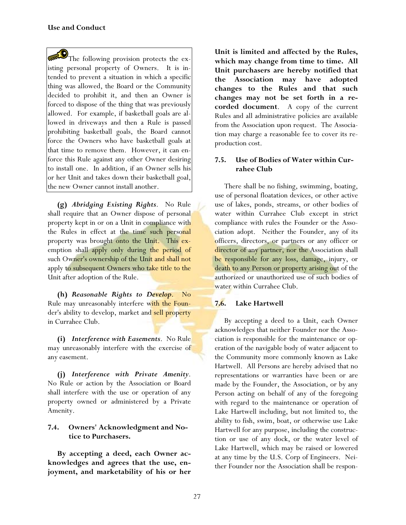The following provision protects the existing personal property of Owners. It is intended to prevent a situation in which a specific thing was allowed, the Board or the Community decided to prohibit it, and then an Owner is forced to dispose of the thing that was previously allowed. For example, if basketball goals are allowed in driveways and then a Rule is passed prohibiting basketball goals, the Board cannot force the Owners who have basketball goals at that time to remove them. However, it can enforce this Rule against any other Owner desiring to install one. In addition, if an Owner sells his or her Unit and takes down their basketball goal, the new Owner cannot install another.

**(g)** *Abridging Existing Rights*. No Rule shall require that an Owner dispose of personal property kept in or on a Unit in compliance with the Rules in effect at the time such personal property was brought onto the Unit. This exemption shall apply only during the period of such Owner's ownership of the Unit and shall not apply to subsequent Owners who take title to the Unit after adoption of the Rule.

**(h)** *Reasonable Rights to Develop*. No Rule may unreasonably interfere with the Founder's ability to develop, market and sell property in Currahee Club.

**(i)** *Interference with Easements*. No Rule may unreasonably interfere with the exercise of any easement.

**(j)** *Interference with Private Amenity*. No Rule or action by the Association or Board shall interfere with the use or operation of any property owned or administered by a Private Amenity.

## **7.4. Owners' Acknowledgment and Notice to Purchasers.**

**By accepting a deed, each Owner acknowledges and agrees that the use, enjoyment, and marketability of his or her**  **Unit is limited and affected by the Rules, which may change from time to time. All Unit purchasers are hereby notified that the Association may have adopted changes to the Rules and that such changes may not be set forth in a recorded document**. A copy of the current Rules and all administrative policies are available from the Association upon request. The Association may charge a reasonable fee to cover its reproduction cost.

## **7.5. Use of Bodies of Water within Currahee Club**

There shall be no fishing, swimming, boating, use of personal floatation devices, or other active use of lakes, ponds, streams, or other bodies of water within Currahee Club except in strict compliance with rules the Founder or the Association adopt. Neither the Founder, any of its officers, directors, or partners or any officer or director of any partner, nor the Association shall be responsible for any loss, damage, injury, or death to any Person or property arising out of the authorized or unauthorized use of such bodies of water within Currahee Club.

# **7.6. Lake Hartwell**

By accepting a deed to a Unit, each Owner acknowledges that neither Founder nor the Association is responsible for the maintenance or operation of the navigable body of water adjacent to the Community more commonly known as Lake Hartwell. All Persons are hereby advised that no representations or warranties have been or are made by the Founder, the Association, or by any Person acting on behalf of any of the foregoing with regard to the maintenance or operation of Lake Hartwell including, but not limited to, the ability to fish, swim, boat, or otherwise use Lake Hartwell for any purpose, including the construction or use of any dock, or the water level of Lake Hartwell, which may be raised or lowered at any time by the U.S. Corp of Engineers. Neither Founder nor the Association shall be respon-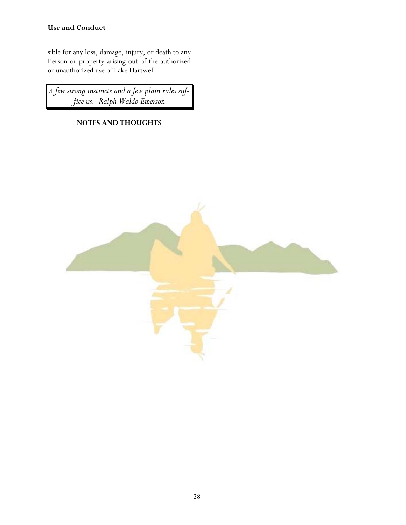# **Use and Conduct**

sible for any loss, damage, injury, or death to any Person or property arising out of the authorized or unauthorized use of Lake Hartwell.

*A few strong instincts and a few plain rules suffice us. Ralph Waldo Emerson* 

# **NOTES AND THOUGHTS**

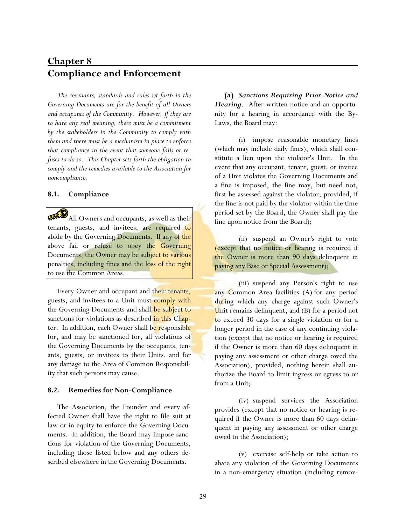# **Chapter 8** \_\_\_\_\_\_\_\_\_\_\_\_\_\_\_\_\_\_\_\_\_\_\_\_\_\_\_\_\_\_\_\_\_\_\_\_\_\_\_\_\_\_\_\_\_\_\_\_\_ **Compliance and Enforcement**

*The covenants, standards and rules set forth in the Governing Documents are for the benefit of all Owners and occupants of the Community. However, if they are to have any real meaning, there must be a commitment by the stakeholders in the Community to comply with them and there must be a mechanism in place to enforce that compliance in the event that someone fails or refuses to do so. This Chapter sets forth the obligation to comply and the remedies available to the Association for noncompliance.* 

#### **8.1. Compliance**

All Owners and occupants, as well as their tenants, guests, and invitees, are required to abide by the Governing Documents. If any of the above fail or refuse to obey the Governing Documents, the Owner may be subject to various penalties, including fines and the loss of the right to use the Common Areas.

Every Owner and occupant and their tenants, guests, and invitees to a Unit must comply with the Governing Documents and shall be subject to sanctions for violations as described in this Chapter. In addition, each Owner shall be responsible for, and may be sanctioned for, all violations of the Governing Documents by the occupants, tenants, guests, or invitees to their Units, and for any damage to the Area of Common Responsibility that such persons may cause.

#### **8.2. Remedies for Non-Compliance**

The Association, the Founder and every affected Owner shall have the right to file suit at law or in equity to enforce the Governing Documents. In addition, the Board may impose sanctions for violation of the Governing Documents, including those listed below and any others described elsewhere in the Governing Documents.

**(a)** *Sanctions Requiring Prior Notice and Hearing*. After written notice and an opportunity for a hearing in accordance with the By-Laws, the Board may:

 (i) impose reasonable monetary fines (which may include daily fines), which shall constitute a lien upon the violator's Unit. In the event that any occupant, tenant, guest, or invitee of a Unit violates the Governing Documents and a fine is imposed, the fine may, but need not, first be assessed against the violator; provided, if the fine is not paid by the violator within the time period set by the Board, the Owner shall pay the fine upon notice from the Board);

 (ii) suspend an Owner's right to vote (except that no notice or hearing is required if the Owner is more than 90 days delinquent in paying any Base or Special Assessment);

 (iii) suspend any Person's right to use any Common Area facilities (A) for any period during which any charge against such Owner's Unit remains delinquent, and (B) for a period not to exceed 30 days for a single violation or for a longer period in the case of any continuing violation (except that no notice or hearing is required if the Owner is more than 60 days delinquent in paying any assessment or other charge owed the Association); provided, nothing herein shall authorize the Board to limit ingress or egress to or from a Unit;

 (iv) suspend services the Association provides (except that no notice or hearing is required if the Owner is more than 60 days delinquent in paying any assessment or other charge owed to the Association);

 (v) exercise self-help or take action to abate any violation of the Governing Documents in a non-emergency situation (including remov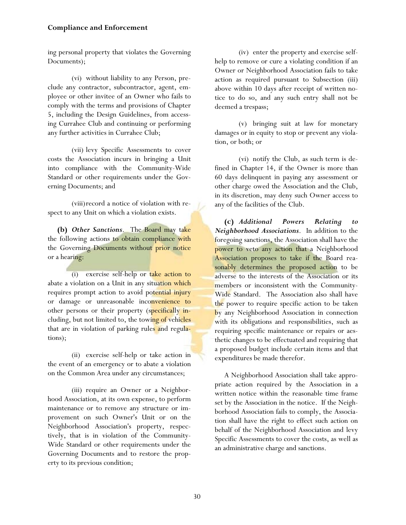ing personal property that violates the Governing Documents);

 (vi) without liability to any Person, preclude any contractor, subcontractor, agent, employee or other invitee of an Owner who fails to comply with the terms and provisions of Chapter 5, including the Design Guidelines, from accessing Currahee Club and continuing or performing any further activities in Currahee Club;

 (vii) levy Specific Assessments to cover costs the Association incurs in bringing a Unit into compliance with the Community-Wide Standard or other requirements under the Governing Documents; and

 (viii) record a notice of violation with respect to any Unit on which a violation exists.

**(b)** *Other Sanctions*. The Board may take the following actions to obtain compliance with the Governing Documents without prior notice or a hearing:

 (i) exercise self-help or take action to abate a violation on a Unit in any situation which requires prompt action to avoid potential injury or damage or unreasonable inconvenience to other persons or their property (specifically including, but not limited to, the towing of vehicles that are in violation of parking rules and regulations);

 (ii) exercise self-help or take action in the event of an emergency or to abate a violation on the Common Area under any circumstances;

 (iii) require an Owner or a Neighborhood Association, at its own expense, to perform maintenance or to remove any structure or improvement on such Owner's Unit or on the Neighborhood Association's property, respectively, that is in violation of the Community-Wide Standard or other requirements under the Governing Documents and to restore the property to its previous condition;

 (iv) enter the property and exercise selfhelp to remove or cure a violating condition if an Owner or Neighborhood Association fails to take action as required pursuant to Subsection (iii) above within 10 days after receipt of written notice to do so, and any such entry shall not be deemed a trespass;

 (v) bringing suit at law for monetary damages or in equity to stop or prevent any violation, or both; or

 (vi) notify the Club, as such term is defined in Chapter 14, if the Owner is more than 60 days delinquent in paying any assessment or other charge owed the Association and the Club, in its discretion, may deny such Owner access to any of the facilities of the Club.

**(c)** *Additional Powers Relating to Neighborhood Associations*. In addition to the foregoing sanctions, the Association shall have the power to veto any action that a Neighborhood Association proposes to take if the Board reasonably determines the proposed action to be adverse to the interests of the Association or its members or inconsistent with the Community-Wide Standard. The Association also shall have the power to require specific action to be taken by any Neighborhood Association in connection with its obligations and responsibilities, such as requiring specific maintenance or repairs or aesthetic changes to be effectuated and requiring that a proposed budget include certain items and that expenditures be made therefor.

A Neighborhood Association shall take appropriate action required by the Association in a written notice within the reasonable time frame set by the Association in the notice. If the Neighborhood Association fails to comply, the Association shall have the right to effect such action on behalf of the Neighborhood Association and levy Specific Assessments to cover the costs, as well as an administrative charge and sanctions.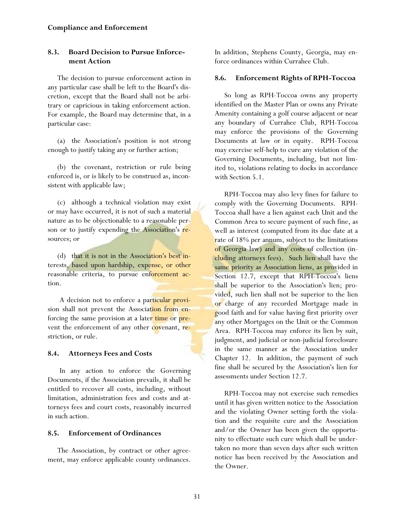# **8.3. Board Decision to Pursue Enforcement Action**

The decision to pursue enforcement action in any particular case shall be left to the Board's discretion, except that the Board shall not be arbitrary or capricious in taking enforcement action. For example, the Board may determine that, in a particular case:

(a) the Association's position is not strong enough to justify taking any or further action;

(b) the covenant, restriction or rule being enforced is, or is likely to be construed as, inconsistent with applicable law;

(c) although a technical violation may exist or may have occurred, it is not of such a material nature as to be objectionable to a reasonable person or to justify expending the Association's resources; or

(d) that it is not in the Association's best interests, based upon hardship, expense, or other reasonable criteria, to pursue enforcement action.

A decision not to enforce a particular provision shall not prevent the Association from enforcing the same provision at a later time or prevent the enforcement of any other covenant, restriction, or rule.

# **8.4. Attorneys Fees and Costs**

In any action to enforce the Governing Documents, if the Association prevails, it shall be entitled to recover all costs, including, without limitation, administration fees and costs and attorneys fees and court costs, reasonably incurred in such action.

### **8.5. Enforcement of Ordinances**

The Association, by contract or other agreement, may enforce applicable county ordinances. In addition, Stephens County, Georgia, may enforce ordinances within Currahee Club.

### **8.6. Enforcement Rights of RPH-Toccoa**

So long as RPH-Toccoa owns any property identified on the Master Plan or owns any Private Amenity containing a golf course adjacent or near any boundary of Currahee Club, RPH-Toccoa may enforce the provisions of the Governing Documents at law or in equity. RPH-Toccoa may exercise self-help to cure any violation of the Governing Documents, including, but not limited to, violations relating to docks in accordance with Section 5.1.

RPH-Toccoa may also levy fines for failure to comply with the Governing Documents. RPH-Toccoa shall have a lien against each Unit and the Common Area to secure payment of such fine, as well as interest (computed from its due date at a rate of 18% per annum, subject to the limitations of Georgia law) and any costs of collection (including attorneys fees). Such lien shall have the same priority as Association liens, as provided in Section 12.7, except that RPH-Toccoa's liens shall be superior to the Association's lien; provided, such lien shall not be superior to the lien or charge of any recorded Mortgage made in good faith and for value having first priority over any other Mortgages on the Unit or the Common Area. RPH-Toccoa may enforce its lien by suit, judgment, and judicial or non-judicial foreclosure in the same manner as the Association under Chapter 12. In addition, the payment of such fine shall be secured by the Association's lien for assessments under Section 12.7.

RPH-Toccoa may not exercise such remedies until it has given written notice to the Association and the violating Owner setting forth the violation and the requisite cure and the Association and/or the Owner has been given the opportunity to effectuate such cure which shall be undertaken no more than seven days after such written notice has been received by the Association and the Owner.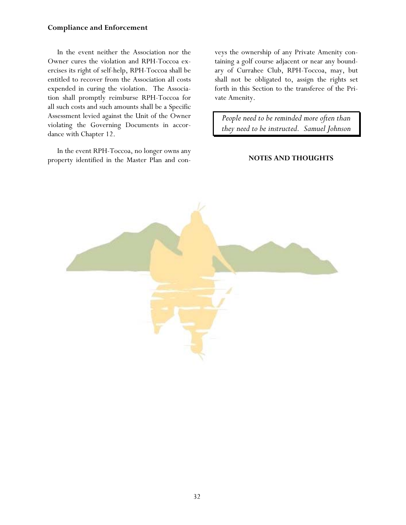#### **Compliance and Enforcement**

In the event neither the Association nor the Owner cures the violation and RPH-Toccoa exercises its right of self-help, RPH-Toccoa shall be entitled to recover from the Association all costs expended in curing the violation. The Association shall promptly reimburse RPH-Toccoa for all such costs and such amounts shall be a Specific Assessment levied against the Unit of the Owner violating the Governing Documents in accordance with Chapter 12.

In the event RPH-Toccoa, no longer owns any property identified in the Master Plan and conveys the ownership of any Private Amenity containing a golf course adjacent or near any boundary of Currahee Club, RPH-Toccoa, may, but shall not be obligated to, assign the rights set forth in this Section to the transferee of the Private Amenity.

*People need to be reminded more often than they need to be instructed. Samuel Johnson* 

#### **NOTES AND THOUGHTS**

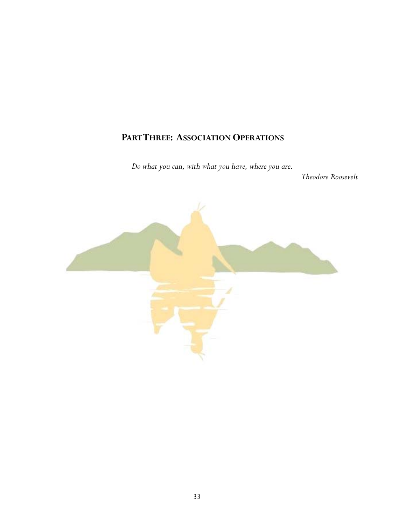# **PART THREE: ASSOCIATION OPERATIONS**

*Do what you can, with what you have, where you are.* 

 *Theodore Roosevelt* 

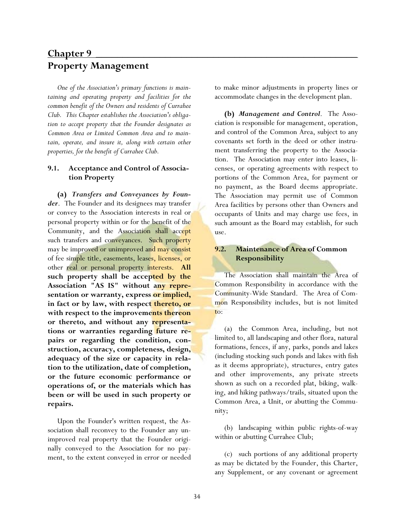# **Chapter 9** \_\_\_\_\_\_\_\_\_\_\_\_\_\_\_\_\_\_\_\_\_\_\_\_\_\_\_\_\_\_\_\_\_\_\_\_\_\_\_\_\_\_\_\_\_\_\_\_\_ **Property Management**

*One of the Association's primary functions is maintaining and operating property and facilities for the common benefit of the Owners and residents of Currahee Club. This Chapter establishes the Association's obligation to accept property that the Founder designates as Common Area or Limited Common Area and to maintain, operate, and insure it, along with certain other properties, for the benefit of Currahee Club.* 

# **9.1. Acceptance and Control of Association Property**

**(a)** *Transfers and Conveyances by Founder*. The Founder and its designees may transfer or convey to the Association interests in real or personal property within or for the benefit of the Community, and the Association shall accept such transfers and conveyances. Such property may be improved or unimproved and may consist of fee simple title, easements, leases, licenses, or other real or personal property interests. **All such property shall be accepted by the Association "AS IS" without any representation or warranty, express or implied, in fact or by law, with respect thereto, or with respect to the improvements thereon or thereto, and without any representations or warranties regarding future repairs or regarding the condition, construction, accuracy, completeness, design, adequacy of the size or capacity in relation to the utilization, date of completion, or the future economic performance or operations of, or the materials which has been or will be used in such property or repairs.**

Upon the Founder's written request, the Association shall reconvey to the Founder any unimproved real property that the Founder originally conveyed to the Association for no payment, to the extent conveyed in error or needed to make minor adjustments in property lines or accommodate changes in the development plan.

**(b)** *Management and Control*. The Association is responsible for management, operation, and control of the Common Area, subject to any covenants set forth in the deed or other instrument transferring the property to the Association. The Association may enter into leases, licenses, or operating agreements with respect to portions of the Common Area, for payment or no payment, as the Board deems appropriate. The Association may permit use of Common Area facilities by persons other than Owners and occupants of Units and may charge use fees, in such amount as the Board may establish, for such use.

# **9.2. Maintenance of Area of Common Responsibility**

The Association shall maintain the Area of Common Responsibility in accordance with the Community-Wide Standard. The Area of Common Responsibility includes, but is not limited to:

(a) the Common Area, including, but not limited to, all landscaping and other flora, natural formations, fences, if any, parks, ponds and lakes (including stocking such ponds and lakes with fish as it deems appropriate), structures, entry gates and other improvements, any private streets shown as such on a recorded plat, biking, walking, and hiking pathways/trails, situated upon the Common Area, a Unit, or abutting the Community;

(b) landscaping within public rights-of-way within or abutting Currahee Club;

(c) such portions of any additional property as may be dictated by the Founder, this Charter, any Supplement, or any covenant or agreement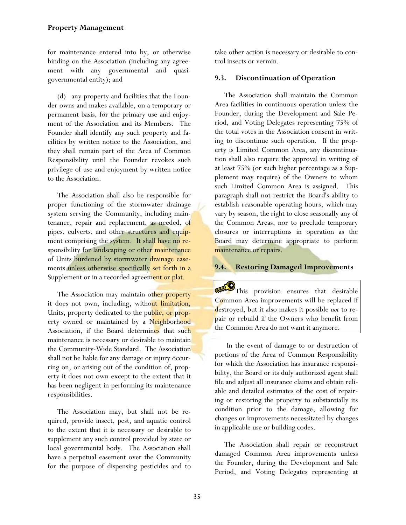for maintenance entered into by, or otherwise binding on the Association (including any agreement with any governmental and quasigovernmental entity); and

(d) any property and facilities that the Founder owns and makes available, on a temporary or permanent basis, for the primary use and enjoyment of the Association and its Members. The Founder shall identify any such property and facilities by written notice to the Association, and they shall remain part of the Area of Common Responsibility until the Founder revokes such privilege of use and enjoyment by written notice to the Association.

The Association shall also be responsible for proper functioning of the stormwater drainage system serving the Community, including maintenance, repair and replacement, as needed, of pipes, culverts, and other structures and equipment comprising the system. It shall have no responsibility for landscaping or other maintenance of Units burdened by stormwater drainage easements unless otherwise specifically set forth in a Supplement or in a recorded agreement or plat.

The Association may maintain other property it does not own, including, without limitation, Units, property dedicated to the public, or property owned or maintained by a Neighborhood Association, if the Board determines that such maintenance is necessary or desirable to maintain the Community-Wide Standard. The Association shall not be liable for any damage or injury occurring on, or arising out of the condition of, property it does not own except to the extent that it has been negligent in performing its maintenance responsibilities.

The Association may, but shall not be required, provide insect, pest, and aquatic control to the extent that it is necessary or desirable to supplement any such control provided by state or local governmental body. The Association shall have a perpetual easement over the Community for the purpose of dispensing pesticides and to

take other action is necessary or desirable to control insects or vermin.

# **9.3. Discontinuation of Operation**

The Association shall maintain the Common Area facilities in continuous operation unless the Founder, during the Development and Sale Period, and Voting Delegates representing 75% of the total votes in the Association consent in writing to discontinue such operation. If the property is Limited Common Area, any discontinuation shall also require the approval in writing of at least 75% (or such higher percentage as a Supplement may require) of the Owners to whom such Limited Common Area is assigned. This paragraph shall not restrict the Board's ability to establish reasonable operating hours, which may vary by season, the right to close seasonally any of the Common Areas, nor to preclude temporary closures or interruptions in operation as the Board may determine appropriate to perform maintenance or repairs.

# **9.4. Restoring Damaged Improvements**

This provision ensures that desirable Common Area improvements will be replaced if destroyed, but it also makes it possible *not* to repair or rebuild if the Owners who benefit from the Common Area do not want it anymore.

In the event of damage to or destruction of portions of the Area of Common Responsibility for which the Association has insurance responsibility, the Board or its duly authorized agent shall file and adjust all insurance claims and obtain reliable and detailed estimates of the cost of repairing or restoring the property to substantially its condition prior to the damage, allowing for changes or improvements necessitated by changes in applicable use or building codes.

The Association shall repair or reconstruct damaged Common Area improvements unless the Founder, during the Development and Sale Period, and Voting Delegates representing at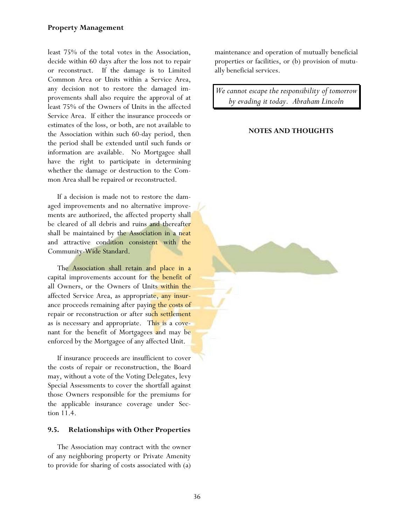# **Property Management**

least 75% of the total votes in the Association, decide within 60 days after the loss not to repair or reconstruct. If the damage is to Limited Common Area or Units within a Service Area, any decision not to restore the damaged improvements shall also require the approval of at least 75% of the Owners of Units in the affected Service Area. If either the insurance proceeds or estimates of the loss, or both, are not available to the Association within such 60-day period, then the period shall be extended until such funds or information are available. No Mortgagee shall have the right to participate in determining whether the damage or destruction to the Common Area shall be repaired or reconstructed.

If a decision is made not to restore the damaged improvements and no alternative improvements are authorized, the affected property shall be cleared of all debris and ruins and thereafter shall be maintained by the Association in a neat and attractive condition consistent with the Community-Wide Standard.

The Association shall retain and place in a capital improvements account for the benefit of all Owners, or the Owners of Units within the affected Service Area, as appropriate, any insurance proceeds remaining after paying the costs of repair or reconstruction or after such settlement as is necessary and appropriate. This is a covenant for the benefit of Mortgagees and may be enforced by the Mortgagee of any affected Unit.

If insurance proceeds are insufficient to cover the costs of repair or reconstruction, the Board may, without a vote of the Voting Delegates, levy Special Assessments to cover the shortfall against those Owners responsible for the premiums for the applicable insurance coverage under Section 11.4.

# **9.5. Relationships with Other Properties**

The Association may contract with the owner of any neighboring property or Private Amenity to provide for sharing of costs associated with (a) maintenance and operation of mutually beneficial properties or facilities, or (b) provision of mutually beneficial services.

*We cannot escape the responsibility of tomorrow by evading it today. Abraham Lincoln*

## **NOTES AND THOUGHTS**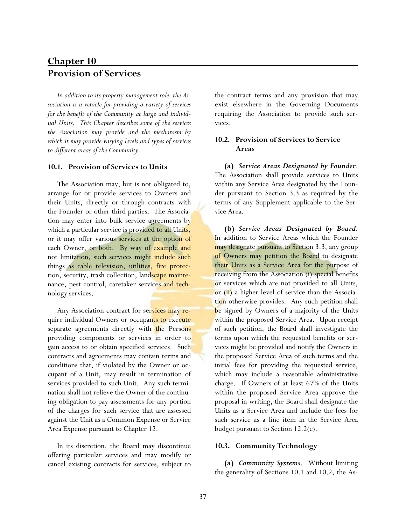# **Chapter 10** \_\_\_\_\_\_\_\_\_\_\_\_\_\_\_\_\_\_\_\_\_\_\_\_\_\_\_\_\_\_\_\_\_\_\_\_\_\_\_\_\_\_\_\_\_\_\_\_ **Provision of Services**

*In addition to its property management role, the Association is a vehicle for providing a variety of services for the benefit of the Community at large and individual Units. This Chapter describes some of the services the Association may provide and the mechanism by which it may provide varying levels and types of services to different areas of the Community.* 

#### **10.1. Provision of Services to Units**

The Association may, but is not obligated to, arrange for or provide services to Owners and their Units, directly or through contracts with the Founder or other third parties. The Association may enter into bulk service agreements by which a particular service is provided to all Units, or it may offer various services at the option of each Owner, or both. By way of example and not limitation, such services might include such things as cable television, utilities, fire protection, security, trash collection, landscape maintenance, pest control, caretaker services and technology services.

Any Association contract for services may require individual Owners or occupants to execute separate agreements directly with the Persons providing components or services in order to gain access to or obtain specified services. Such contracts and agreements may contain terms and conditions that, if violated by the Owner or occupant of a Unit, may result in termination of services provided to such Unit. Any such termination shall not relieve the Owner of the continuing obligation to pay assessments for any portion of the charges for such service that are assessed against the Unit as a Common Expense or Service Area Expense pursuant to Chapter 12.

In its discretion, the Board may discontinue offering particular services and may modify or cancel existing contracts for services, subject to the contract terms and any provision that may exist elsewhere in the Governing Documents requiring the Association to provide such services.

## **10.2. Provision of Services to Service Areas**

**(a)** *Service Areas Designated by Founder*. The Association shall provide services to Units within any Service Area designated by the Founder pursuant to Section 3.3 as required by the terms of any Supplement applicable to the Service Area.

**(b)** *Service Areas Designated by Board*. In addition to Service Areas which the Founder may designate pursuant to Section 3.3, any group of Owners may petition the Board to designate their Units as a Service Area for the purpose of receiving from the Association (i) special benefits or services which are not provided to all Units, or (ii) a higher level of service than the Association otherwise provides. Any such petition shall be signed by Owners of a majority of the Units within the proposed Service Area. Upon receipt of such petition, the Board shall investigate the terms upon which the requested benefits or services might be provided and notify the Owners in the proposed Service Area of such terms and the initial fees for providing the requested service, which may include a reasonable administrative charge. If Owners of at least 67% of the Units within the proposed Service Area approve the proposal in writing, the Board shall designate the Units as a Service Area and include the fees for such service as a line item in the Service Area budget pursuant to Section 12.2(c).

## **10.3. Community Technology**

**(a)** *Community Systems*. Without limiting the generality of Sections 10.1 and 10.2, the As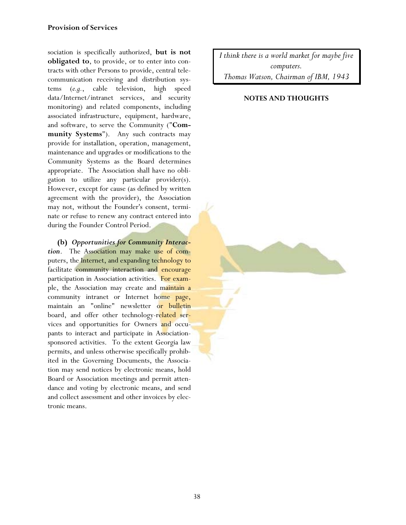sociation is specifically authorized, **but is not obligated to**, to provide, or to enter into contracts with other Persons to provide, central telecommunication receiving and distribution systems (*e.g.*, cable television, high speed data/Internet/intranet services, and security monitoring) and related components, including associated infrastructure, equipment, hardware, and software, to serve the Community ("**Community Systems**"). Any such contracts may provide for installation, operation, management, maintenance and upgrades or modifications to the Community Systems as the Board determines appropriate. The Association shall have no obligation to utilize any particular provider(s). However, except for cause (as defined by written agreement with the provider), the Association may not, without the Founder's consent, terminate or refuse to renew any contract entered into during the Founder Control Period.

**(b)** *Opportunities for Community Interaction*. The Association may make use of computers, the Internet, and expanding technology to facilitate community interaction and encourage participation in Association activities. For example, the Association may create and maintain a community intranet or Internet home page, maintain an "online" newsletter or bulletin board, and offer other technology-related services and opportunities for Owners and occupants to interact and participate in Associationsponsored activities. To the extent Georgia law permits, and unless otherwise specifically prohibited in the Governing Documents, the Association may send notices by electronic means, hold Board or Association meetings and permit attendance and voting by electronic means, and send and collect assessment and other invoices by electronic means.

*I think there is a world market for maybe five computers. Thomas Watson, Chairman of IBM, 1943*

# **NOTES AND THOUGHTS**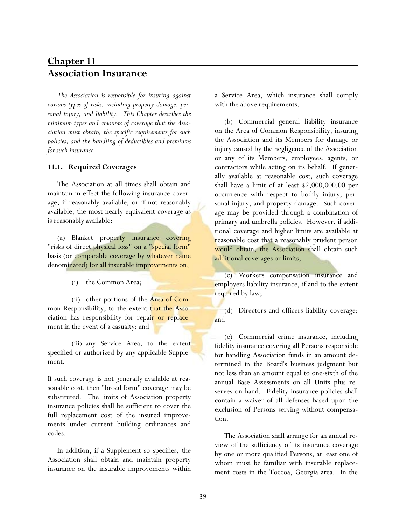# **Chapter 11** \_\_\_\_\_\_\_\_\_\_\_\_\_\_\_\_\_\_\_\_\_\_\_\_\_\_\_\_\_\_\_\_\_\_\_\_\_\_\_\_\_\_\_\_\_\_\_\_ **Association Insurance**

*The Association is responsible for insuring against various types of risks, including property damage, personal injury, and liability. This Chapter describes the minimum types and amounts of coverage that the Association must obtain, the specific requirements for such policies, and the handling of deductibles and premiums for such insurance.* 

### **11.1. Required Coverages**

The Association at all times shall obtain and maintain in effect the following insurance coverage, if reasonably available, or if not reasonably available, the most nearly equivalent coverage as is reasonably available:

(a) Blanket property insurance covering "risks of direct physical loss" on a "special form" basis (or comparable coverage by whatever name denominated) for all insurable improvements on;

(i) the Common Area;

 (ii) other portions of the Area of Common Responsibility, to the extent that the Association has responsibility for repair or replacement in the event of a casualty; and

 (iii) any Service Area, to the extent specified or authorized by any applicable Supplement.

If such coverage is not generally available at reasonable cost, then "broad form" coverage may be substituted. The limits of Association property insurance policies shall be sufficient to cover the full replacement cost of the insured improvements under current building ordinances and codes.

In addition, if a Supplement so specifies, the Association shall obtain and maintain property insurance on the insurable improvements within a Service Area, which insurance shall comply with the above requirements.

(b) Commercial general liability insurance on the Area of Common Responsibility, insuring the Association and its Members for damage or injury caused by the negligence of the Association or any of its Members, employees, agents, or contractors while acting on its behalf. If generally available at reasonable cost, such coverage shall have a limit of at least \$2,000,000.00 per occurrence with respect to bodily injury, personal injury, and property damage. Such coverage may be provided through a combination of primary and umbrella policies. However, if additional coverage and higher limits are available at reasonable cost that a reasonably prudent person would obtain, the Association shall obtain such additional coverages or limits;

(c) Workers compensation insurance and employers liability insurance, if and to the extent required by law;

(d) Directors and officers liability coverage; and

(e) Commercial crime insurance, including fidelity insurance covering all Persons responsible for handling Association funds in an amount determined in the Board's business judgment but not less than an amount equal to one-sixth of the annual Base Assessments on all Units plus reserves on hand. Fidelity insurance policies shall contain a waiver of all defenses based upon the exclusion of Persons serving without compensation.

The Association shall arrange for an annual review of the sufficiency of its insurance coverage by one or more qualified Persons, at least one of whom must be familiar with insurable replacement costs in the Toccoa, Georgia area. In the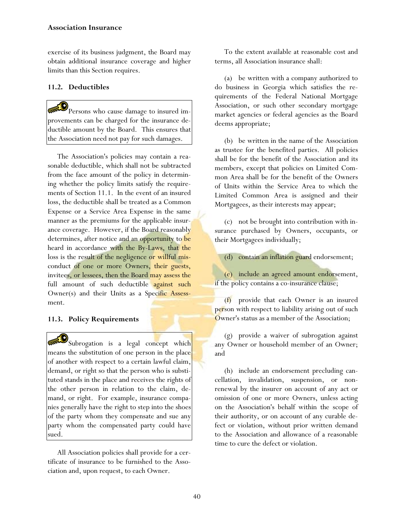### **Association Insurance**

exercise of its business judgment, the Board may obtain additional insurance coverage and higher limits than this Section requires.

# **11.2. Deductibles**

Persons who cause damage to insured improvements can be charged for the insurance deductible amount by the Board. This ensures that the Association need not pay for such damages.

The Association's policies may contain a reasonable deductible, which shall not be subtracted from the face amount of the policy in determining whether the policy limits satisfy the requirements of Section 11.1. In the event of an insured loss, the deductible shall be treated as a Common Expense or a Service Area Expense in the same manner as the premiums for the applicable insurance coverage. However, if the Board reasonably determines, after notice and an opportunity to be heard in accordance with the By-Laws, that the loss is the result of the negligence or willful misconduct of one or more Owners, their guests, invitees, or lessees, then the Board may assess the full amount of such deductible against such Owner(s) and their Units as a Specific Assessment.

# **11.3. Policy Requirements**

Subrogation is a legal concept which means the substitution of one person in the place of another with respect to a certain lawful claim, demand, or right so that the person who is substituted stands in the place and receives the rights of the other person in relation to the claim, demand, or right. For example, insurance companies generally have the right to step into the shoes of the party whom they compensate and sue any party whom the compensated party could have sued.

All Association policies shall provide for a certificate of insurance to be furnished to the Association and, upon request, to each Owner.

To the extent available at reasonable cost and terms, all Association insurance shall:

(a) be written with a company authorized to do business in Georgia which satisfies the requirements of the Federal National Mortgage Association, or such other secondary mortgage market agencies or federal agencies as the Board deems appropriate;

(b) be written in the name of the Association as trustee for the benefited parties. All policies shall be for the benefit of the Association and its members, except that policies on Limited Common Area shall be for the benefit of the Owners of Units within the Service Area to which the Limited Common Area is assigned and their Mortgagees, as their interests may appear;

(c) not be brought into contribution with insurance purchased by Owners, occupants, or their Mortgagees individually;

(d) contain an inflation guard endorsement;

(e) include an agreed amount endorsement, if the policy contains a co-insurance clause;

(f) provide that each Owner is an insured person with respect to liability arising out of such Owner's status as a member of the Association;

(g) provide a waiver of subrogation against any Owner or household member of an Owner; and

(h) include an endorsement precluding cancellation, invalidation, suspension, or nonrenewal by the insurer on account of any act or omission of one or more Owners, unless acting on the Association's behalf within the scope of their authority, or on account of any curable defect or violation, without prior written demand to the Association and allowance of a reasonable time to cure the defect or violation.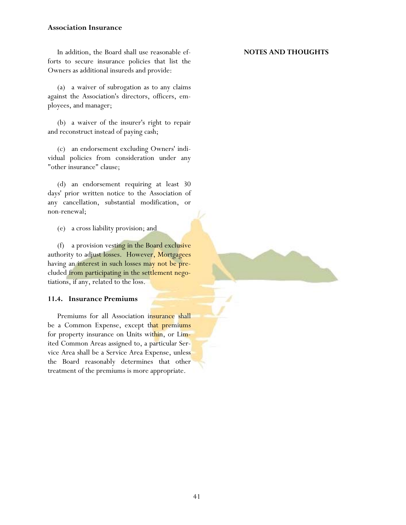### **Association Insurance**

In addition, the Board shall use reasonable efforts to secure insurance policies that list the Owners as additional insureds and provide:

(a) a waiver of subrogation as to any claims against the Association's directors, officers, employees, and manager;

(b) a waiver of the insurer's right to repair and reconstruct instead of paying cash;

(c) an endorsement excluding Owners' individual policies from consideration under any "other insurance" clause;

(d) an endorsement requiring at least 30 days' prior written notice to the Association of any cancellation, substantial modification, or non-renewal;

(e) a cross liability provision; and

(f) a provision vesting in the Board exclusive authority to adjust losses. However, Mortgagees having an interest in such losses may not be precluded from participating in the settlement negotiations, if any, related to the loss.

### **11.4. Insurance Premiums**

Premiums for all Association insurance shall be a Common Expense, except that premiums for property insurance on Units within, or Limited Common Areas assigned to, a particular Service Area shall be a Service Area Expense, unless the Board reasonably determines that other treatment of the premiums is more appropriate.

## **NOTES AND THOUGHTS**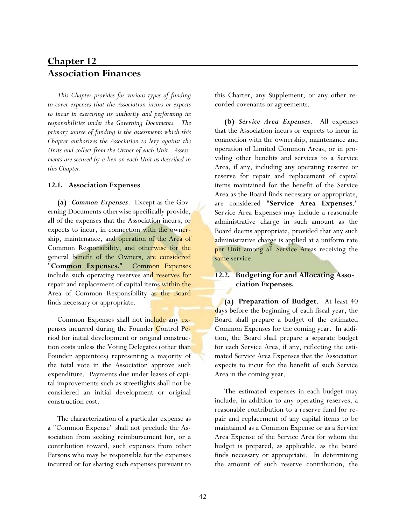# **Chapter 12** \_\_\_\_\_\_\_\_\_\_\_\_\_\_\_\_\_\_\_\_\_\_\_\_\_\_\_\_\_\_\_\_\_\_\_\_\_\_\_\_\_\_\_\_\_\_\_\_ **Association Finances**

*This Chapter provides for various types of funding to cover expenses that the Association incurs or expects to incur in exercising its authority and performing its responsibilities under the Governing Documents. The primary source of funding is the assessments which this Chapter authorizes the Association to levy against the Units and collect from the Owner of each Unit. Assessments are secured by a lien on each Unit as described in this Chapter.* 

### **12.1. Association Expenses**

**(a)** *Common Expenses*. Except as the Governing Documents otherwise specifically provide, all of the expenses that the Association incurs, or expects to incur, in connection with the ownership, maintenance, and operation of the Area of Common Responsibility, and otherwise for the general benefit of the Owners, are considered "**Common Expenses.**" Common Expenses include such operating reserves and reserves for repair and replacement of capital items within the Area of Common Responsibility as the Board finds necessary or appropriate.

Common Expenses shall not include any expenses incurred during the Founder Control Period for initial development or original construction costs unless the Voting Delegates (other than Founder appointees) representing a majority of the total vote in the Association approve such expenditure.Payments due under leases of capital improvements such as streetlights shall not be considered an initial development or original construction cost.

The characterization of a particular expense as a "Common Expense" shall not preclude the Association from seeking reimbursement for, or a contribution toward, such expenses from other Persons who may be responsible for the expenses incurred or for sharing such expenses pursuant to this Charter, any Supplement, or any other recorded covenants or agreements.

**(b)** *Service Area Expenses*. All expenses that the Association incurs or expects to incur in connection with the ownership, maintenance and operation of Limited Common Areas, or in providing other benefits and services to a Service Area, if any, including any operating reserve or reserve for repair and replacement of capital items maintained for the benefit of the Service Area as the Board finds necessary or appropriate, are considered "**Service Area Expenses**." Service Area Expenses may include a reasonable administrative charge in such amount as the Board deems appropriate, provided that any such administrative charge is applied at a uniform rate per Unit among all Service Areas receiving the same service.

# **12.2. Budgeting for and Allocating Association Expenses.**

**(a) Preparation of Budget**. At least 40 days before the beginning of each fiscal year, the Board shall prepare a budget of the estimated Common Expenses for the coming year. In addition, the Board shall prepare a separate budget for each Service Area, if any, reflecting the estimated Service Area Expenses that the Association expects to incur for the benefit of such Service Area in the coming year.

The estimated expenses in each budget may include, in addition to any operating reserves, a reasonable contribution to a reserve fund for repair and replacement of any capital items to be maintained as a Common Expense or as a Service Area Expense of the Service Area for whom the budget is prepared, as applicable, as the board finds necessary or appropriate. In determining the amount of such reserve contribution, the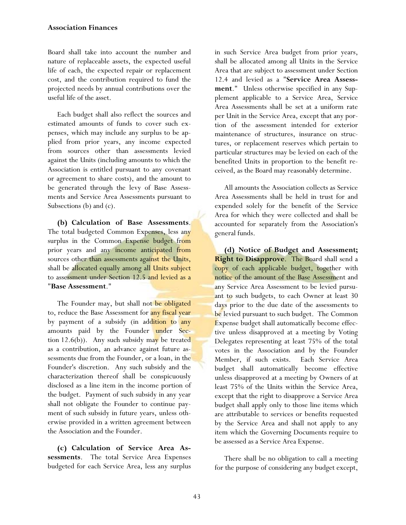Board shall take into account the number and nature of replaceable assets, the expected useful life of each, the expected repair or replacement cost, and the contribution required to fund the projected needs by annual contributions over the useful life of the asset.

Each budget shall also reflect the sources and estimated amounts of funds to cover such expenses, which may include any surplus to be applied from prior years, any income expected from sources other than assessments levied against the Units (including amounts to which the Association is entitled pursuant to any covenant or agreement to share costs), and the amount to be generated through the levy of Base Assessments and Service Area Assessments pursuant to Subsections (b) and (c).

**(b) Calculation of Base Assessments**. The total budgeted Common Expenses, less any surplus in the Common Expense budget from prior years and any income anticipated from sources other than assessments against the Units, shall be allocated equally among all Units subject to assessment under Section 12.5 and levied as a "**Base Assessment**."

The Founder may, but shall not be obligated to, reduce the Base Assessment for any fiscal year by payment of a subsidy (in addition to any amounts paid by the Founder under Section  $12.6(b)$ ). Any such subsidy may be treated as a contribution, an advance against future assessments due from the Founder, or a loan, in the Founder's discretion. Any such subsidy and the characterization thereof shall be conspicuously disclosed as a line item in the income portion of the budget. Payment of such subsidy in any year shall not obligate the Founder to continue payment of such subsidy in future years, unless otherwise provided in a written agreement between the Association and the Founder.

**(c) Calculation of Service Area Assessments**. The total Service Area Expenses budgeted for each Service Area, less any surplus

in such Service Area budget from prior years, shall be allocated among all Units in the Service Area that are subject to assessment under Section 12.4 and levied as a "**Service Area Assessment**." Unless otherwise specified in any Supplement applicable to a Service Area, Service Area Assessments shall be set at a uniform rate per Unit in the Service Area, except that any portion of the assessment intended for exterior maintenance of structures, insurance on structures, or replacement reserves which pertain to particular structures may be levied on each of the benefited Units in proportion to the benefit received, as the Board may reasonably determine.

All amounts the Association collects as Service Area Assessments shall be held in trust for and expended solely for the benefit of the Service Area for which they were collected and shall be accounted for separately from the Association's general funds.

**(d) Notice of Budget and Assessment; Right to Disapprove**. The Board shall send a copy of each applicable budget, together with notice of the amount of the Base Assessment and any Service Area Assessment to be levied pursuant to such budgets, to each Owner at least 30 days prior to the due date of the assessments to be levied pursuant to such budget. The Common Expense budget shall automatically become effective unless disapproved at a meeting by Voting Delegates representing at least 75% of the total votes in the Association and by the Founder Member, if such exists. Each Service Area budget shall automatically become effective unless disapproved at a meeting by Owners of at least 75% of the Units within the Service Area, except that the right to disapprove a Service Area budget shall apply only to those line items which are attributable to services or benefits requested by the Service Area and shall not apply to any item which the Governing Documents require to be assessed as a Service Area Expense.

There shall be no obligation to call a meeting for the purpose of considering any budget except,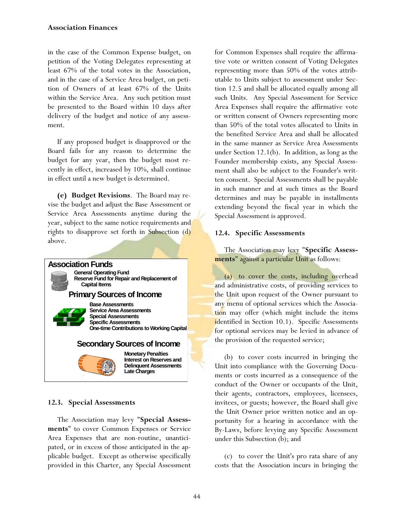in the case of the Common Expense budget, on petition of the Voting Delegates representing at least 67% of the total votes in the Association, and in the case of a Service Area budget, on petition of Owners of at least 67% of the Units within the Service Area. Any such petition must be presented to the Board within 10 days after delivery of the budget and notice of any assessment.

If any proposed budget is disapproved or the Board fails for any reason to determine the budget for any year, then the budget most recently in effect, increased by 10%, shall continue in effect until a new budget is determined.

**(e) Budget Revisions**. The Board may revise the budget and adjust the Base Assessment or Service Area Assessments anytime during the year, subject to the same notice requirements and rights to disapprove set forth in Subsection (d) above.



# **12.3. Special Assessments**

The Association may levy "**Special Assessments**" to cover Common Expenses or Service Area Expenses that are non-routine, unanticipated, or in excess of those anticipated in the applicable budget. Except as otherwise specifically provided in this Charter, any Special Assessment for Common Expenses shall require the affirmative vote or written consent of Voting Delegates representing more than 50% of the votes attributable to Units subject to assessment under Section 12.5 and shall be allocated equally among all such Units. Any Special Assessment for Service Area Expenses shall require the affirmative vote or written consent of Owners representing more than 50% of the total votes allocated to Units in the benefited Service Area and shall be allocated in the same manner as Service Area Assessments under Section 12.1(b). In addition, as long as the Founder membership exists, any Special Assessment shall also be subject to the Founder's written consent. Special Assessments shall be payable in such manner and at such times as the Board determines and may be payable in installments extending beyond the fiscal year in which the Special Assessment is approved.

# **12.4. Specific Assessments**

The Association may levy "**Specific Assessments**" against a particular Unit as follows:

(a) to cover the costs, including overhead and administrative costs, of providing services to the Unit upon request of the Owner pursuant to any menu of optional services which the Association may offer (which might include the items identified in Section 10.1). Specific Assessments for optional services may be levied in advance of the provision of the requested service;

(b) to cover costs incurred in bringing the Unit into compliance with the Governing Documents or costs incurred as a consequence of the conduct of the Owner or occupants of the Unit, their agents, contractors, employees, licensees, invitees, or guests; however, the Board shall give the Unit Owner prior written notice and an opportunity for a hearing in accordance with the By-Laws, before levying any Specific Assessment under this Subsection (b); and

(c) to cover the Unit's pro rata share of any costs that the Association incurs in bringing the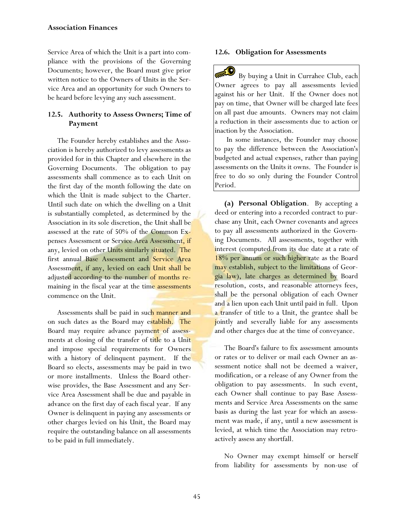#### **Association Finances**

Service Area of which the Unit is a part into compliance with the provisions of the Governing Documents; however, the Board must give prior written notice to the Owners of Units in the Service Area and an opportunity for such Owners to be heard before levying any such assessment.

# **12.5. Authority to Assess Owners; Time of Payment**

The Founder hereby establishes and the Association is hereby authorized to levy assessments as provided for in this Chapter and elsewhere in the Governing Documents. The obligation to pay assessments shall commence as to each Unit on the first day of the month following the date on which the Unit is made subject to the Charter. Until such date on which the dwelling on a Unit is substantially completed, as determined by the Association in its sole discretion, the Unit shall be assessed at the rate of 50% of the Common Expenses Assessment or Service Area Assessment, if any, levied on other Units similarly situated. The first annual Base Assessment and Service Area Assessment, if any, levied on each Unit shall be adjusted according to the number of months remaining in the fiscal year at the time assessments commence on the Unit.

Assessments shall be paid in such manner and on such dates as the Board may establish. The Board may require advance payment of assessments at closing of the transfer of title to a Unit and impose special requirements for Owners with a history of delinquent payment. If the Board so elects, assessments may be paid in two or more installments. Unless the Board otherwise provides, the Base Assessment and any Service Area Assessment shall be due and payable in advance on the first day of each fiscal year. If any Owner is delinquent in paying any assessments or other charges levied on his Unit, the Board may require the outstanding balance on all assessments to be paid in full immediately.

#### **12.6. Obligation for Assessments**

 By buying a Unit in Currahee Club, each Owner agrees to pay all assessments levied against his or her Unit. If the Owner does not pay on time, that Owner will be charged late fees on all past due amounts. Owners may not claim a reduction in their assessments due to action or inaction by the Association.

 In some instances, the Founder may choose to pay the difference between the Association's budgeted and actual expenses, rather than paying assessments on the Units it owns. The Founder is free to do so only during the Founder Control Period.

**(a) Personal Obligation**. By accepting a deed or entering into a recorded contract to purchase any Unit, each Owner covenants and agrees to pay all assessments authorized in the Governing Documents. All assessments, together with interest (computed from its due date at a rate of 18% per annum or such higher rate as the Board may establish, subject to the limitations of Georgia law), late charges as determined by Board resolution, costs, and reasonable attorneys fees, shall be the personal obligation of each Owner and a lien upon each Unit until paid in full. Upon a transfer of title to a Unit, the grantee shall be jointly and severally liable for any assessments and other charges due at the time of conveyance.

The Board's failure to fix assessment amounts or rates or to deliver or mail each Owner an assessment notice shall not be deemed a waiver, modification, or a release of any Owner from the obligation to pay assessments. In such event, each Owner shall continue to pay Base Assessments and Service Area Assessments on the same basis as during the last year for which an assessment was made, if any, until a new assessment is levied, at which time the Association may retroactively assess any shortfall.

No Owner may exempt himself or herself from liability for assessments by non-use of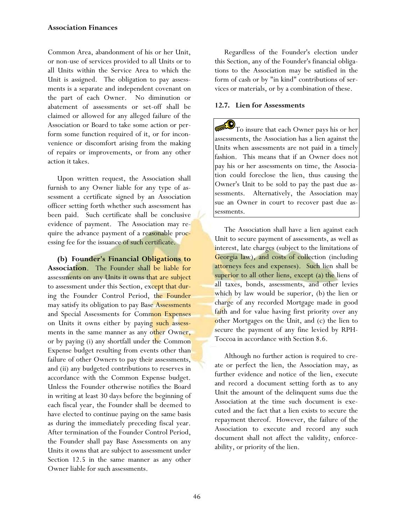Common Area, abandonment of his or her Unit, or non-use of services provided to all Units or to all Units within the Service Area to which the Unit is assigned. The obligation to pay assessments is a separate and independent covenant on the part of each Owner. No diminution or abatement of assessments or set-off shall be claimed or allowed for any alleged failure of the Association or Board to take some action or perform some function required of it, or for inconvenience or discomfort arising from the making of repairs or improvements, or from any other action it takes.

Upon written request, the Association shall furnish to any Owner liable for any type of assessment a certificate signed by an Association officer setting forth whether such assessment has been paid. Such certificate shall be conclusive evidence of payment. The Association may require the advance payment of a reasonable processing fee for the issuance of such certificate.

**(b) Founder's Financial Obligations to Association**. The Founder shall be liable for assessments on any Units it owns that are subject to assessment under this Section, except that during the Founder Control Period, the Founder may satisfy its obligation to pay Base Assessments and Special Assessments for Common Expenses on Units it owns either by paying such assessments in the same manner as any other Owner, or by paying (i) any shortfall under the Common Expense budget resulting from events other than failure of other Owners to pay their assessments, and (ii) any budgeted contributions to reserves in accordance with the Common Expense budget. Unless the Founder otherwise notifies the Board in writing at least 30 days before the beginning of each fiscal year, the Founder shall be deemed to have elected to continue paying on the same basis as during the immediately preceding fiscal year. After termination of the Founder Control Period, the Founder shall pay Base Assessments on any Units it owns that are subject to assessment under Section 12.5 in the same manner as any other Owner liable for such assessments.

Regardless of the Founder's election under this Section, any of the Founder's financial obligations to the Association may be satisfied in the form of cash or by "in kind" contributions of services or materials, or by a combination of these.

# **12.7. Lien for Assessments**

 $\mathcal{D}_{\text{To insure that each Owner pays his or her}}$ assessments, the Association has a lien against the Units when assessments are not paid in a timely fashion. This means that if an Owner does not pay his or her assessments on time, the Association could foreclose the lien, thus causing the Owner's Unit to be sold to pay the past due assessments. Alternatively, the Association may sue an Owner in court to recover past due assessments.

The Association shall have a lien against each Unit to secure payment of assessments, as well as interest, late charges (subject to the limitations of Georgia law), and costs of collection (including attorneys fees and expenses). Such lien shall be superior to all other liens, except (a) the liens of all taxes, bonds, assessments, and other levies which by law would be superior, (b) the lien or charge of any recorded Mortgage made in good faith and for value having first priority over any other Mortgages on the Unit, and (c) the lien to secure the payment of any fine levied by RPH-Toccoa in accordance with Section 8.6.

Although no further action is required to create or perfect the lien, the Association may, as further evidence and notice of the lien, execute and record a document setting forth as to any Unit the amount of the delinquent sums due the Association at the time such document is executed and the fact that a lien exists to secure the repayment thereof. However, the failure of the Association to execute and record any such document shall not affect the validity, enforceability, or priority of the lien.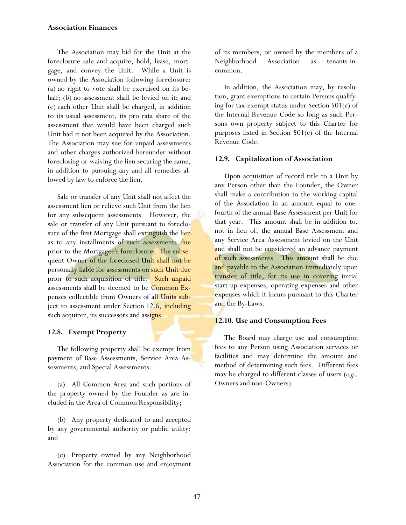## **Association Finances**

The Association may bid for the Unit at the foreclosure sale and acquire, hold, lease, mortgage, and convey the Unit. While a Unit is owned by the Association following foreclosure: (a) no right to vote shall be exercised on its behalf; (b) no assessment shall be levied on it; and (c) each other Unit shall be charged, in addition to its usual assessment, its pro rata share of the assessment that would have been charged such Unit had it not been acquired by the Association. The Association may sue for unpaid assessments and other charges authorized hereunder without foreclosing or waiving the lien securing the same, in addition to pursuing any and all remedies allowed by law to enforce the lien.

Sale or transfer of any Unit shall not affect the assessment lien or relieve such Unit from the lien for any subsequent assessments. However, the sale or transfer of any Unit pursuant to foreclosure of the first Mortgage shall extinguish the lien as to any installments of such assessments due prior to the Mortgagee's foreclosure. The subsequent Owner of the foreclosed Unit shall not be personally liable for assessments on such Unit due prior to such acquisition of title. Such unpaid assessments shall be deemed to be Common Expenses collectible from Owners of all Units subject to assessment under Section 12.6, including such acquirer, its successors and assigns.

# **12.8. Exempt Property**

The following property shall be exempt from payment of Base Assessments, Service Area Assessments, and Special Assessments:

(a) All Common Area and such portions of the property owned by the Founder as are included in the Area of Common Responsibility;

(b) Any property dedicated to and accepted by any governmental authority or public utility; and

(c) Property owned by any Neighborhood Association for the common use and enjoyment of its members, or owned by the members of a Neighborhood Association as tenants-incommon.

In addition, the Association may, by resolution, grant exemptions to certain Persons qualifying for tax-exempt status under Section 501(c) of the Internal Revenue Code so long as such Persons own property subject to this Charter for purposes listed in Section 501(c) of the Internal Revenue Code.

# **12.9. Capitalization of Association**

Upon acquisition of record title to a Unit by any Person other than the Founder, the Owner shall make a contribution to the working capital of the Association in an amount equal to onefourth of the annual Base Assessment per Unit for that year. This amount shall be in addition to, not in lieu of, the annual Base Assessment and any Service Area Assessment levied on the Unit and shall not be considered an advance payment of such assessments. This amount shall be due and payable to the Association immediately upon transfer of title, for its use in covering initial start-up expenses, operating expenses and other expenses which it incurs pursuant to this Charter and the By-Laws.

# **12.10. Use and Consumption Fees**

The Board may charge use and consumption fees to any Person using Association services or facilities and may determine the amount and method of determining such fees. Different fees may be charged to different classes of users (*e.g.,* Owners and non-Owners).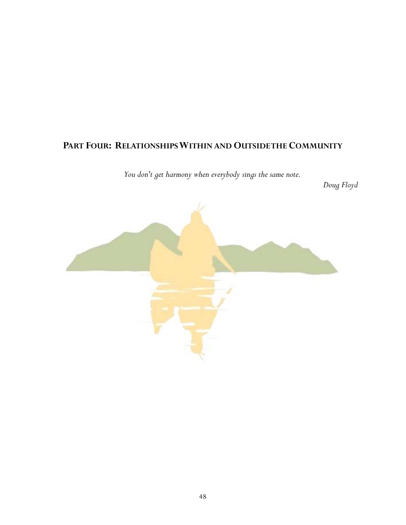# PART FOUR: RELATIONSHIPS WITHIN AND OUTSIDE THE COMMUNITY

*You don't get harmony when everybody sings the same note.* 

 *Doug Floyd* 

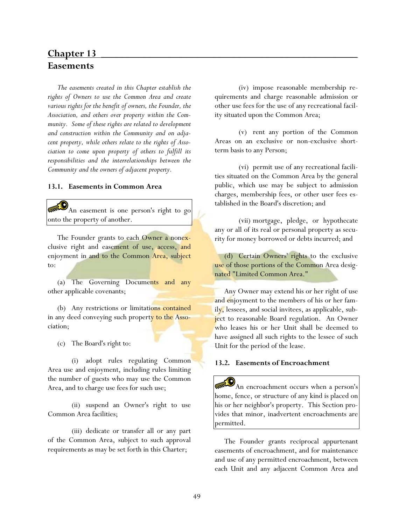# **Chapter 13** \_\_\_\_\_\_\_\_\_\_\_\_\_\_\_\_\_\_\_\_\_\_\_\_\_\_\_\_\_\_\_\_\_\_\_\_\_\_\_\_\_\_\_\_\_\_\_\_ **Easements**

*The easements created in this Chapter establish the rights of Owners to use the Common Area and create various rights for the benefit of owners, the Founder, the Association, and others over property within the Community. Some of these rights are related to development and construction within the Community and on adjacent property, while others relate to the rights of Association to come upon property of others to fulfill its responsibilities and the interrelationships between the Community and the owners of adjacent property.* 

#### **13.1. Easements in Common Area**

An easement is one person's right to go onto the property of another.

The Founder grants to each Owner a nonexclusive right and easement of use, access, and enjoyment in and to the Common Area, subject  $t_0$ .

(a) The Governing Documents and any other applicable covenants;

(b) Any restrictions or limitations contained in any deed conveying such property to the Association;

(c) The Board's right to:

 (i) adopt rules regulating Common Area use and enjoyment, including rules limiting the number of guests who may use the Common Area, and to charge use fees for such use;

 (ii) suspend an Owner's right to use Common Area facilities;

 (iii) dedicate or transfer all or any part of the Common Area, subject to such approval requirements as may be set forth in this Charter;

 (iv) impose reasonable membership requirements and charge reasonable admission or other use fees for the use of any recreational facility situated upon the Common Area;

 (v) rent any portion of the Common Areas on an exclusive or non-exclusive shortterm basis to any Person;

 (vi) permit use of any recreational facilities situated on the Common Area by the general public, which use may be subject to admission charges, membership fees, or other user fees established in the Board's discretion; and

 (vii) mortgage, pledge, or hypothecate any or all of its real or personal property as security for money borrowed or debts incurred; and

(d) Certain Owners' rights to the exclusive use of those portions of the Common Area designated "Limited Common Area."

Any Owner may extend his or her right of use and enjoyment to the members of his or her family, lessees, and social invitees, as applicable, subject to reasonable Board regulation. An Owner who leases his or her Unit shall be deemed to have assigned all such rights to the lessee of such Unit for the period of the lease.

#### **13.2. Easements of Encroachment**

An encroachment occurs when a person's home, fence, or structure of any kind is placed on his or her neighbor's property. This Section provides that minor, inadvertent encroachments are permitted.

The Founder grants reciprocal appurtenant easements of encroachment, and for maintenance and use of any permitted encroachment, between each Unit and any adjacent Common Area and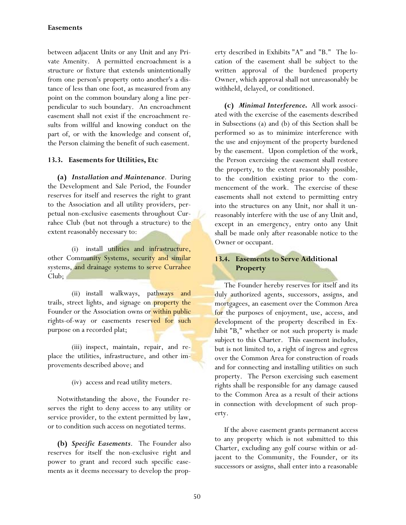# **Easements**

between adjacent Units or any Unit and any Private Amenity. A permitted encroachment is a structure or fixture that extends unintentionally from one person's property onto another's a distance of less than one foot, as measured from any point on the common boundary along a line perpendicular to such boundary. An encroachment easement shall not exist if the encroachment results from willful and knowing conduct on the part of, or with the knowledge and consent of, the Person claiming the benefit of such easement.

## **13.3. Easements for Utilities, Etc**

**(a)** *Installation and Maintenance*. During the Development and Sale Period, the Founder reserves for itself and reserves the right to grant to the Association and all utility providers, perpetual non-exclusive easements throughout Currahee Club (but not through a structure) to the extent reasonably necessary to:

 (i) install utilities and infrastructure, other Community Systems, security and similar systems, and drainage systems to serve Currahee Club;

 (ii) install walkways, pathways and trails, street lights, and signage on property the Founder or the Association owns or within public rights-of-way or easements reserved for such purpose on a recorded plat;

 (iii) inspect, maintain, repair, and replace the utilities, infrastructure, and other improvements described above; and

(iv) access and read utility meters.

Notwithstanding the above, the Founder reserves the right to deny access to any utility or service provider, to the extent permitted by law, or to condition such access on negotiated terms.

**(b)** *Specific Easements*. The Founder also reserves for itself the non-exclusive right and power to grant and record such specific easements as it deems necessary to develop the property described in Exhibits "A" and "B." The location of the easement shall be subject to the written approval of the burdened property Owner, which approval shall not unreasonably be withheld, delayed, or conditioned.

**(c)** *Minimal Interference***.** All work associated with the exercise of the easements described in Subsections (a) and (b) of this Section shall be performed so as to minimize interference with the use and enjoyment of the property burdened by the easement. Upon completion of the work, the Person exercising the easement shall restore the property, to the extent reasonably possible, to the condition existing prior to the commencement of the work. The exercise of these easements shall not extend to permitting entry into the structures on any Unit, nor shall it unreasonably interfere with the use of any Unit and, except in an emergency, entry onto any Unit shall be made only after reasonable notice to the Owner or occupant.

# **13.4. Easements to Serve Additional Property**

The Founder hereby reserves for itself and its duly authorized agents, successors, assigns, and mortgagees, an easement over the Common Area for the purposes of enjoyment, use, access, and development of the property described in Exhibit "B," whether or not such property is made subject to this Charter. This easement includes, but is not limited to, a right of ingress and egress over the Common Area for construction of roads and for connecting and installing utilities on such property. The Person exercising such easement rights shall be responsible for any damage caused to the Common Area as a result of their actions in connection with development of such property.

If the above easement grants permanent access to any property which is not submitted to this Charter, excluding any golf course within or adjacent to the Community, the Founder, or its successors or assigns, shall enter into a reasonable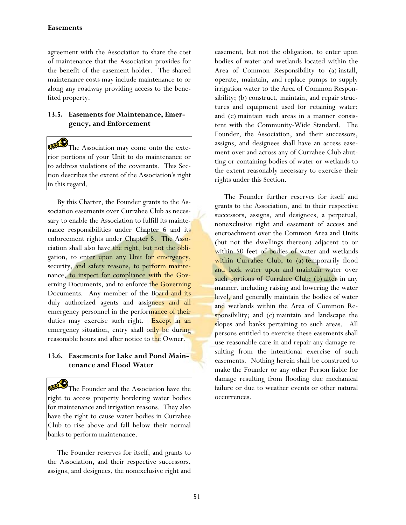# **Easements**

agreement with the Association to share the cost of maintenance that the Association provides for the benefit of the easement holder. The shared maintenance costs may include maintenance to or along any roadway providing access to the benefited property.

# **13.5. Easements for Maintenance, Emergency, and Enforcement**

The Association may come onto the exterior portions of your Unit to do maintenance or to address violations of the covenants. This Section describes the extent of the Association's right in this regard.

By this Charter, the Founder grants to the Association easements over Currahee Club as necessary to enable the Association to fulfill its maintenance responsibilities under Chapter 6 and its enforcement rights under Chapter 8. The Association shall also have the right, but not the obligation, to enter upon any Unit for emergency, security, and safety reasons, to perform maintenance, to inspect for compliance with the Governing Documents, and to enforce the Governing Documents. Any member of the Board and its duly authorized agents and assignees and all emergency personnel in the performance of their duties may exercise such right. Except in an emergency situation, entry shall only be during reasonable hours and after notice to the Owner.

# **13.6. Easements for Lake and Pond Maintenance and Flood Water**

The Founder and the Association have the right to access property bordering water bodies for maintenance and irrigation reasons. They also have the right to cause water bodies in Currahee Club to rise above and fall below their normal banks to perform maintenance.

The Founder reserves for itself, and grants to the Association, and their respective successors, assigns, and designees, the nonexclusive right and easement, but not the obligation, to enter upon bodies of water and wetlands located within the Area of Common Responsibility to (a) install, operate, maintain, and replace pumps to supply irrigation water to the Area of Common Responsibility; (b) construct, maintain, and repair structures and equipment used for retaining water; and (c) maintain such areas in a manner consistent with the Community-Wide Standard. The Founder, the Association, and their successors, assigns, and designees shall have an access easement over and across any of Currahee Club abutting or containing bodies of water or wetlands to the extent reasonably necessary to exercise their rights under this Section.

The Founder further reserves for itself and grants to the Association, and to their respective successors, assigns, and designees, a perpetual, nonexclusive right and easement of access and encroachment over the Common Area and Units (but not the dwellings thereon) adjacent to or within 50 feet of bodies of water and wetlands within Currahee Club, to (a) temporarily flood and back water upon and maintain water over such portions of Currahee Club; (b) alter in any manner, including raising and lowering the water level, and generally maintain the bodies of water and wetlands within the Area of Common Responsibility; and (c) maintain and landscape the slopes and banks pertaining to such areas. All persons entitled to exercise these easements shall use reasonable care in and repair any damage resulting from the intentional exercise of such easements. Nothing herein shall be construed to make the Founder or any other Person liable for damage resulting from flooding due mechanical failure or due to weather events or other natural occurrences.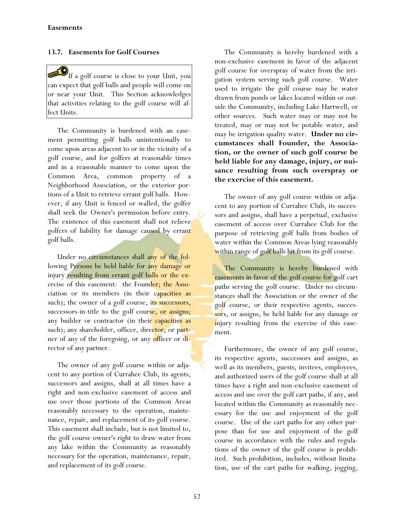# **13.7. Easements for Golf Courses**

 $\mathbf{D}_{\text{If a golf course is close to your Unit, you}}$ can expect that golf balls and people will come on or near your Unit. This Section acknowledges that activities relating to the golf course will affect Units.

The Community is burdened with an easement permitting golf balls unintentionally to come upon areas adjacent to or in the vicinity of a golf course, and for golfers at reasonable times and in a reasonable manner to come upon the Common Area, common property of a Neighborhood Association, or the exterior portions of a Unit to retrieve errant golf balls. However, if any Unit is fenced or walled, the golfer shall seek the Owner's permission before entry. The existence of this easement shall not relieve golfers of liability for damage caused by errant golf balls.

Under no circumstances shall any of the following Persons be held liable for any damage or injury resulting from errant golf balls or the exercise of this easement: the Founder; the Association or its members (in their capacities as such); the owner of a golf course, its successors, successors-in-title to the golf course, or assigns; any builder or contractor (in their capacities as such); any shareholder, officer, director, or partner of any of the foregoing, or any officer or director of any partner.

The owner of any golf course within or adjacent to any portion of Currahee Club, its agents, successors and assigns, shall at all times have a right and non-exclusive easement of access and use over those portions of the Common Areas reasonably necessary to the operation, maintenance, repair, and replacement of its golf course. This easement shall include, but is not limited to, the golf course owner's right to draw water from any lake within the Community as reasonably necessary for the operation, maintenance, repair, and replacement of its golf course.

The Community is hereby burdened with a non-exclusive easement in favor of the adjacent golf course for overspray of water from the irrigation system serving such golf course. Water used to irrigate the golf course may be water drawn from ponds or lakes located within or outside the Community, including Lake Hartwell, or other sources. Such water may or may not be treated, may or may not be potable water, and may be irrigation quality water. **Under no circumstances shall Founder, the Association, or the owner of such golf course be held liable for any damage, injury, or nuisance resulting from such overspray or the exercise of this easement.** 

The owner of any golf course within or adjacent to any portion of Currahee Club, its successors and assigns, shall have a perpetual, exclusive easement of access over Currahee Club for the purpose of retrieving golf balls from bodies of water within the Common Areas lying reasonably within range of golf balls hit from its golf course.

The Community is hereby burdened with easements in favor of the golf course for golf cart paths serving the golf course. Under no circumstances shall the Association or the owner of the golf course, or their respective agents, successors, or assigns, be held liable for any damage or injury resulting from the exercise of this easement.

Furthermore, the owner of any golf course, its respective agents, successors and assigns, as well as its members, guests, invitees, employees, and authorized users of the golf course shall at all times have a right and non-exclusive easement of access and use over the golf cart paths, if any, and located within the Community as reasonably necessary for the use and enjoyment of the golf course. Use of the cart paths for any other purpose than for use and enjoyment of the golf course in accordance with the rules and regulations of the owner of the golf course is prohibited. Such prohibition, includes, without limitation, use of the cart paths for walking, jogging,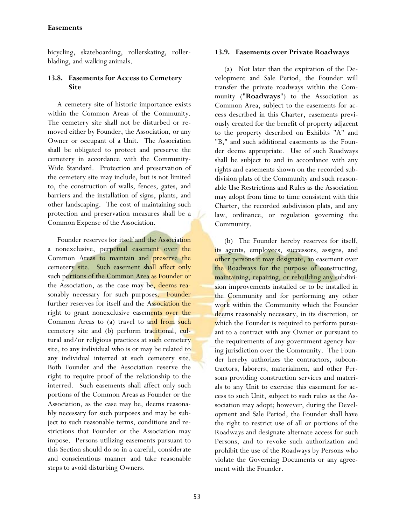# **Easements**

bicycling, skateboarding, rollerskating, rollerblading, and walking animals.

# **13.8. Easements for Access to Cemetery Site**

A cemetery site of historic importance exists within the Common Areas of the Community. The cemetery site shall not be disturbed or removed either by Founder, the Association, or any Owner or occupant of a Unit. The Association shall be obligated to protect and preserve the cemetery in accordance with the Community-Wide Standard. Protection and preservation of the cemetery site may include, but is not limited to, the construction of walls, fences, gates, and barriers and the installation of signs, plants, and other landscaping. The cost of maintaining such protection and preservation measures shall be a Common Expense of the Association.

Founder reserves for itself and the Association a nonexclusive, perpetual easement over the Common Areas to maintain and preserve the cemetery site. Such easement shall affect only such portions of the Common Area as Founder or the Association, as the case may be, deems reasonably necessary for such purposes. Founder further reserves for itself and the Association the right to grant nonexclusive easements over the Common Areas to (a) travel to and from such cemetery site and (b) perform traditional, cultural and/or religious practices at such cemetery site, to any individual who is or may be related to any individual interred at such cemetery site. Both Founder and the Association reserve the right to require proof of the relationship to the interred. Such easements shall affect only such portions of the Common Areas as Founder or the Association, as the case may be, deems reasonably necessary for such purposes and may be subject to such reasonable terms, conditions and restrictions that Founder or the Association may impose. Persons utilizing easements pursuant to this Section should do so in a careful, considerate and conscientious manner and take reasonable steps to avoid disturbing Owners.

## **13.9. Easements over Private Roadways**

(a) Not later than the expiration of the Development and Sale Period, the Founder will transfer the private roadways within the Community ("**Roadways**") to the Association as Common Area, subject to the easements for access described in this Charter, easements previously created for the benefit of property adjacent to the property described on Exhibits "A" and "B," and such additional easements as the Founder deems appropriate. Use of such Roadways shall be subject to and in accordance with any rights and easements shown on the recorded subdivision plats of the Community and such reasonable Use Restrictions and Rules as the Association may adopt from time to time consistent with this Charter, the recorded subdivision plats, and any law, ordinance, or regulation governing the Community.

(b) The Founder hereby reserves for itself, its agents, employees, successors, assigns, and other persons it may designate, an easement over the Roadways for the purpose of constructing, maintaining, repairing, or rebuilding any subdivision improvements installed or to be installed in the Community and for performing any other work within the Community which the Founder deems reasonably necessary, in its discretion, or which the Founder is required to perform pursuant to a contract with any Owner or pursuant to the requirements of any government agency having jurisdiction over the Community. The Founder hereby authorizes the contractors, subcontractors, laborers, materialmen, and other Persons providing construction services and materials to any Unit to exercise this easement for access to such Unit, subject to such rules as the Association may adopt; however, during the Development and Sale Period, the Founder shall have the right to restrict use of all or portions of the Roadways and designate alternate access for such Persons, and to revoke such authorization and prohibit the use of the Roadways by Persons who violate the Governing Documents or any agreement with the Founder.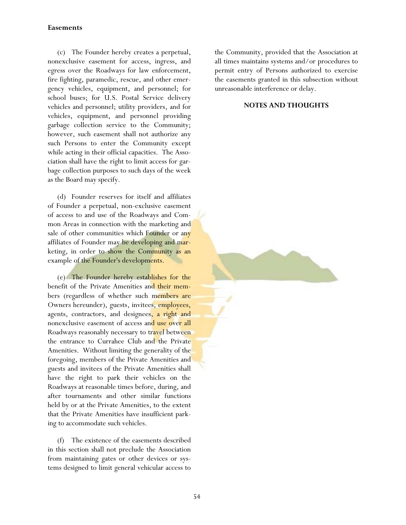# **Easements**

(c) The Founder hereby creates a perpetual, nonexclusive easement for access, ingress, and egress over the Roadways for law enforcement, fire fighting, paramedic, rescue, and other emergency vehicles, equipment, and personnel; for school buses; for U.S. Postal Service delivery vehicles and personnel; utility providers, and for vehicles, equipment, and personnel providing garbage collection service to the Community; however, such easement shall not authorize any such Persons to enter the Community except while acting in their official capacities. The Association shall have the right to limit access for garbage collection purposes to such days of the week as the Board may specify.

(d) Founder reserves for itself and affiliates of Founder a perpetual, non-exclusive easement of access to and use of the Roadways and Common Areas in connection with the marketing and sale of other communities which Founder or any affiliates of Founder may be developing and marketing, in order to show the Community as an example of the Founder's developments.

(e) The Founder hereby establishes for the benefit of the Private Amenities and their members (regardless of whether such members are Owners hereunder), guests, invitees, employees, agents, contractors, and designees, a right and nonexclusive easement of access and use over all Roadways reasonably necessary to travel between the entrance to Currahee Club and the Private Amenities. Without limiting the generality of the foregoing, members of the Private Amenities and guests and invitees of the Private Amenities shall have the right to park their vehicles on the Roadways at reasonable times before, during, and after tournaments and other similar functions held by or at the Private Amenities, to the extent that the Private Amenities have insufficient parking to accommodate such vehicles.

(f) The existence of the easements described in this section shall not preclude the Association from maintaining gates or other devices or systems designed to limit general vehicular access to the Community, provided that the Association at all times maintains systems and/or procedures to permit entry of Persons authorized to exercise the easements granted in this subsection without unreasonable interference or delay.

# **NOTES AND THOUGHTS**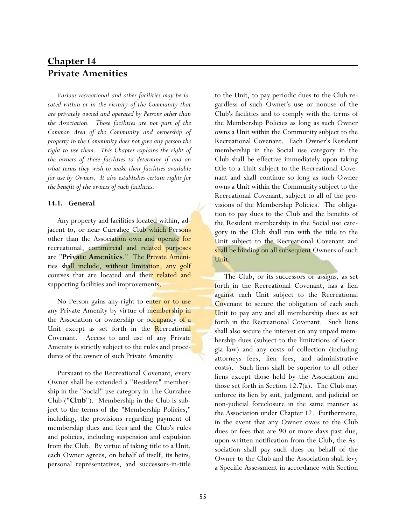# **Chapter 14** \_\_\_\_\_\_\_\_\_\_\_\_\_\_\_\_\_\_\_\_\_\_\_\_\_\_\_\_\_\_\_\_\_\_\_\_\_\_\_\_\_\_\_\_\_\_\_\_ **Private Amenities**

*Various recreational and other facilities may be located within or in the vicinity of the Community that are privately owned and operated by Persons other than the Association. Those facilities are not part of the Common Area of the Community and ownership of property in the Community does not give any person the right to use them. This Chapter explains the right of the owners of those facilities to determine if and on what terms they wish to make their facilities available for use by Owners. It also establishes certain rights for the benefit of the owners of such facilities.*

## **14.1. General**

Any property and facilities located within, adjacent to, or near Currahee Club which Persons other than the Association own and operate for recreational, commercial and related purposes are "**Private Amenities**." The Private Amenities shall include, without limitation, any golf courses that are located and their related and supporting facilities and improvements.

No Person gains any right to enter or to use any Private Amenity by virtue of membership in the Association or ownership or occupancy of a Unit except as set forth in the Recreational Covenant. Access to and use of any Private Amenity is strictly subject to the rules and procedures of the owner of such Private Amenity.

Pursuant to the Recreational Covenant, every Owner shall be extended a "Resident" membership in the "Social" use category in The Currahee Club ("**Club**"). Membership in the Club is subject to the terms of the "Membership Policies," including, the provisions regarding payment of membership dues and fees and the Club's rules and policies, including suspension and expulsion from the Club. By virtue of taking title to a Unit, each Owner agrees, on behalf of itself, its heirs, personal representatives, and successors-in-title

to the Unit, to pay periodic dues to the Club regardless of such Owner's use or nonuse of the Club's facilities and to comply with the terms of the Membership Policies as long as such Owner owns a Unit within the Community subject to the Recreational Covenant. Each Owner's Resident membership in the Social use category in the Club shall be effective immediately upon taking title to a Unit subject to the Recreational Covenant and shall continue so long as such Owner owns a Unit within the Community subject to the Recreational Covenant, subject to all of the provisions of the Membership Policies. The obligation to pay dues to the Club and the benefits of the Resident membership in the Social use category in the Club shall run with the title to the Unit subject to the Recreational Covenant and shall be binding on all subsequent Owners of such Unit.

The Club, or its successors or assigns, as set forth in the Recreational Covenant, has a lien against each Unit subject to the Recreational Covenant to secure the obligation of each such Unit to pay any and all membership dues as set forth in the Recreational Covenant. Such liens shall also secure the interest on any unpaid membership dues (subject to the limitations of Georgia law) and any costs of collection (including attorneys fees, lien fees, and administrative costs). Such liens shall be superior to all other liens except those held by the Association and those set forth in Section 12.7(a). The Club may enforce its lien by suit, judgment, and judicial or non-judicial foreclosure in the same manner as the Association under Chapter 12. Furthermore, in the event that any Owner owes to the Club dues or fees that are 90 or more days past due, upon written notification from the Club, the Association shall pay such dues on behalf of the Owner to the Club and the Association shall levy a Specific Assessment in accordance with Section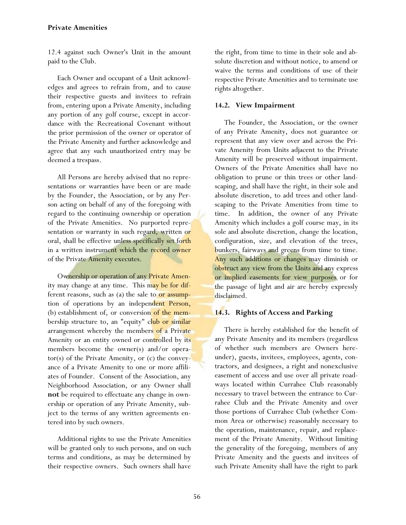# **Private Amenities**

12.4 against such Owner's Unit in the amount paid to the Club.

Each Owner and occupant of a Unit acknowledges and agrees to refrain from, and to cause their respective guests and invitees to refrain from, entering upon a Private Amenity, including any portion of any golf course, except in accordance with the Recreational Covenant without the prior permission of the owner or operator of the Private Amenity and further acknowledge and agree that any such unauthorized entry may be deemed a trespass.

All Persons are hereby advised that no representations or warranties have been or are made by the Founder, the Association, or by any Person acting on behalf of any of the foregoing with regard to the continuing ownership or operation of the Private Amenities. No purported representation or warranty in such regard, written or oral, shall be effective unless specifically set forth in a written instrument which the record owner of the Private Amenity executes.

Ownership or operation of any Private Amenity may change at any time. This may be for different reasons, such as (a) the sale to or assumption of operations by an independent Person, (b) establishment of, or conversion of the membership structure to, an "equity" club or similar arrangement whereby the members of a Private Amenity or an entity owned or controlled by its members become the owner(s) and/or operator(s) of the Private Amenity, or (c) the conveyance of a Private Amenity to one or more affiliates of Founder. Consent of the Association, any Neighborhood Association, or any Owner shall **not** be required to effectuate any change in ownership or operation of any Private Amenity, subject to the terms of any written agreements entered into by such owners.

Additional rights to use the Private Amenities will be granted only to such persons, and on such terms and conditions, as may be determined by their respective owners. Such owners shall have

the right, from time to time in their sole and absolute discretion and without notice, to amend or waive the terms and conditions of use of their respective Private Amenities and to terminate use rights altogether.

### **14.2. View Impairment**

The Founder, the Association, or the owner of any Private Amenity, does not guarantee or represent that any view over and across the Private Amenity from Units adjacent to the Private Amenity will be preserved without impairment. Owners of the Private Amenities shall have no obligation to prune or thin trees or other landscaping, and shall have the right, in their sole and absolute discretion, to add trees and other landscaping to the Private Amenities from time to time. In addition, the owner of any Private Amenity which includes a golf course may, in its sole and absolute discretion, change the location, configuration, size, and elevation of the trees, bunkers, fairways and greens from time to time. Any such additions or changes may diminish or obstruct any view from the Units and any express or implied easements for view purposes or for the passage of light and air are hereby expressly disclaimed.

# **14.3. Rights of Access and Parking**

There is hereby established for the benefit of any Private Amenity and its members (regardless of whether such members are Owners hereunder), guests, invitees, employees, agents, contractors, and designees, a right and nonexclusive easement of access and use over all private roadways located within Currahee Club reasonably necessary to travel between the entrance to Currahee Club and the Private Amenity and over those portions of Currahee Club (whether Common Area or otherwise) reasonably necessary to the operation, maintenance, repair, and replacement of the Private Amenity. Without limiting the generality of the foregoing, members of any Private Amenity and the guests and invitees of such Private Amenity shall have the right to park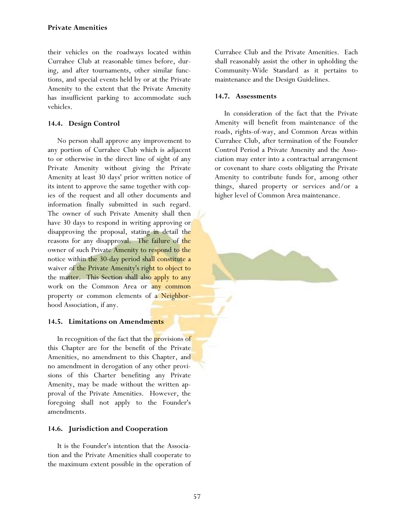their vehicles on the roadways located within Currahee Club at reasonable times before, during, and after tournaments, other similar functions, and special events held by or at the Private Amenity to the extent that the Private Amenity has insufficient parking to accommodate such vehicles.

# **14.4. Design Control**

No person shall approve any improvement to any portion of Currahee Club which is adjacent to or otherwise in the direct line of sight of any Private Amenity without giving the Private Amenity at least 30 days' prior written notice of its intent to approve the same together with copies of the request and all other documents and information finally submitted in such regard. The owner of such Private Amenity shall then have 30 days to respond in writing approving or disapproving the proposal, stating in detail the reasons for any disapproval. The failure of the owner of such Private Amenity to respond to the notice within the 30-day period shall constitute a waiver of the Private Amenity's right to object to the matter. This Section shall also apply to any work on the Common Area or any common property or common elements of a Neighborhood Association, if any.

# **14.5. Limitations on Amendments**

In recognition of the fact that the provisions of this Chapter are for the benefit of the Private Amenities, no amendment to this Chapter, and no amendment in derogation of any other provisions of this Charter benefiting any Private Amenity, may be made without the written approval of the Private Amenities. However, the foregoing shall not apply to the Founder's amendments.

# **14.6. Jurisdiction and Cooperation**

It is the Founder's intention that the Association and the Private Amenities shall cooperate to the maximum extent possible in the operation of Currahee Club and the Private Amenities. Each shall reasonably assist the other in upholding the Community-Wide Standard as it pertains to maintenance and the Design Guidelines.

# **14.7. Assessments**

In consideration of the fact that the Private Amenity will benefit from maintenance of the roads, rights-of-way, and Common Areas within Currahee Club, after termination of the Founder Control Period a Private Amenity and the Association may enter into a contractual arrangement or covenant to share costs obligating the Private Amenity to contribute funds for, among other things, shared property or services and/or a higher level of Common Area maintenance.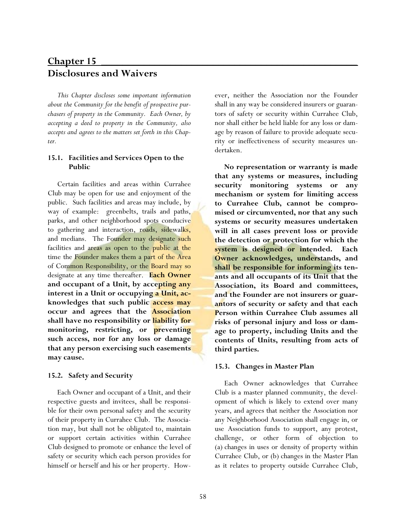# **Chapter 15** \_\_\_\_\_\_\_\_\_\_\_\_\_\_\_\_\_\_\_\_\_\_\_\_\_\_\_\_\_\_\_\_\_\_\_\_\_\_\_\_\_\_\_\_\_\_\_\_ **Disclosures and Waivers**

*This Chapter discloses some important information about the Community for the benefit of prospective purchasers of property in the Community. Each Owner, by accepting a deed to property in the Community, also accepts and agrees to the matters set forth in this Chapter.* 

# **15.1. Facilities and Services Open to the Public**

 Certain facilities and areas within Currahee Club may be open for use and enjoyment of the public. Such facilities and areas may include, by way of example: greenbelts, trails and paths, parks, and other neighborhood spots conducive to gathering and interaction, roads, sidewalks, and medians. The Founder may designate such facilities and areas as open to the public at the time the Founder makes them a part of the Area of Common Responsibility, or the Board may so designate at any time thereafter. **Each Owner and occupant of a Unit, by accepting any interest in a Unit or occupying a Unit, acknowledges that such public access may occur and agrees that the Association shall have no responsibility or liability for monitoring, restricting, or preventing such access, nor for any loss or damage that any person exercising such easements may cause.**

# **15.2. Safety and Security**

Each Owner and occupant of a Unit, and their respective guests and invitees, shall be responsible for their own personal safety and the security of their property in Currahee Club. The Association may, but shall not be obligated to, maintain or support certain activities within Currahee Club designed to promote or enhance the level of safety or security which each person provides for himself or herself and his or her property. However, neither the Association nor the Founder shall in any way be considered insurers or guarantors of safety or security within Currahee Club, nor shall either be held liable for any loss or damage by reason of failure to provide adequate security or ineffectiveness of security measures undertaken.

**No representation or warranty is made that any systems or measures, including security monitoring systems or any mechanism or system for limiting access to Currahee Club, cannot be compromised or circumvented, nor that any such systems or security measures undertaken will in all cases prevent loss or provide the detection or protection for which the system is designed or intended. Each Owner acknowledges, understands, and shall be responsible for informing its tenants and all occupants of its Unit that the Association, its Board and committees, and the Founder are not insurers or guarantors of security or safety and that each Person within Currahee Club assumes all risks of personal injury and loss or damage to property, including Units and the contents of Units, resulting from acts of third parties.** 

# **15.3. Changes in Master Plan**

Each Owner acknowledges that Currahee Club is a master planned community, the development of which is likely to extend over many years, and agrees that neither the Association nor any Neighborhood Association shall engage in, or use Association funds to support, any protest, challenge, or other form of objection to (a) changes in uses or density of property within Currahee Club, or (b) changes in the Master Plan as it relates to property outside Currahee Club,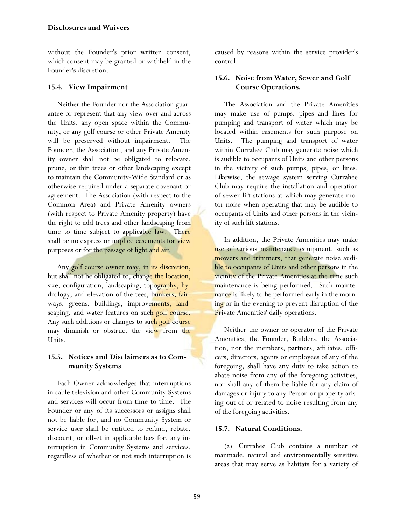without the Founder's prior written consent, which consent may be granted or withheld in the Founder's discretion.

# **15.4. View Impairment**

Neither the Founder nor the Association guarantee or represent that any view over and across the Units, any open space within the Community, or any golf course or other Private Amenity will be preserved without impairment. The Founder, the Association, and any Private Amenity owner shall not be obligated to relocate, prune, or thin trees or other landscaping except to maintain the Community-Wide Standard or as otherwise required under a separate covenant or agreement. The Association (with respect to the Common Area) and Private Amenity owners (with respect to Private Amenity property) have the right to add trees and other landscaping from time to time subject to applicable law. There shall be no express or implied easements for view purposes or for the passage of light and air.

Any golf course owner may, in its discretion, but shall not be obligated to, change the location, size, configuration, landscaping, topography, hydrology, and elevation of the tees, bunkers, fairways, greens, buildings, improvements, landscaping, and water features on such golf course. Any such additions or changes to such golf course may diminish or obstruct the view from the Units.

# **15.5. Notices and Disclaimers as to Community Systems**

Each Owner acknowledges that interruptions in cable television and other Community Systems and services will occur from time to time. The Founder or any of its successors or assigns shall not be liable for, and no Community System or service user shall be entitled to refund, rebate, discount, or offset in applicable fees for, any interruption in Community Systems and services, regardless of whether or not such interruption is caused by reasons within the service provider's control.

# **15.6. Noise from Water, Sewer and Golf Course Operations.**

The Association and the Private Amenities may make use of pumps, pipes and lines for pumping and transport of water which may be located within easements for such purpose on Units. The pumping and transport of water within Currahee Club may generate noise which is audible to occupants of Units and other persons in the vicinity of such pumps, pipes, or lines. Likewise, the sewage system serving Currahee Club may require the installation and operation of sewer lift stations at which may generate motor noise when operating that may be audible to occupants of Units and other persons in the vicinity of such lift stations.

In addition, the Private Amenities may make use of various maintenance equipment, such as mowers and trimmers, that generate noise audible to occupants of Units and other persons in the vicinity of the Private Amenities at the time such maintenance is being performed. Such maintenance is likely to be performed early in the morning or in the evening to prevent disruption of the Private Amenities' daily operations.

Neither the owner or operator of the Private Amenities, the Founder, Builders, the Association, nor the members, partners, affiliates, officers, directors, agents or employees of any of the foregoing, shall have any duty to take action to abate noise from any of the foregoing activities, nor shall any of them be liable for any claim of damages or injury to any Person or property arising out of or related to noise resulting from any of the foregoing activities.

# **15.7. Natural Conditions.**

(a) Currahee Club contains a number of manmade, natural and environmentally sensitive areas that may serve as habitats for a variety of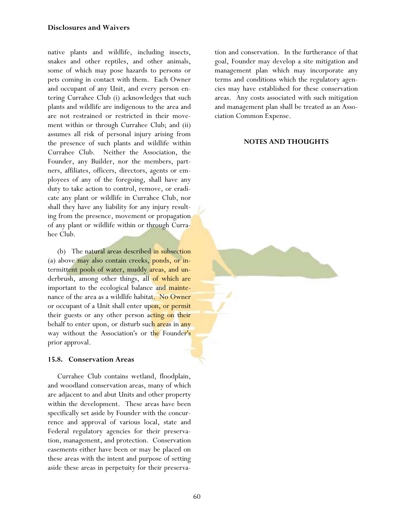## **Disclosures and Waivers**

native plants and wildlife, including insects, snakes and other reptiles, and other animals, some of which may pose hazards to persons or pets coming in contact with them. Each Owner and occupant of any Unit, and every person entering Currahee Club (i) acknowledges that such plants and wildlife are indigenous to the area and are not restrained or restricted in their movement within or through Currahee Club; and (ii) assumes all risk of personal injury arising from the presence of such plants and wildlife within Currahee Club. Neither the Association, the Founder, any Builder, nor the members, partners, affiliates, officers, directors, agents or employees of any of the foregoing, shall have any duty to take action to control, remove, or eradicate any plant or wildlife in Currahee Club, nor shall they have any liability for any injury resulting from the presence, movement or propagation of any plant or wildlife within or through Currahee Club.

(b) The natural areas described in subsection (a) above may also contain creeks, ponds, or intermittent pools of water, muddy areas, and underbrush, among other things, all of which are important to the ecological balance and maintenance of the area as a wildlife habitat. No Owner or occupant of a Unit shall enter upon, or permit their guests or any other person acting on their behalf to enter upon, or disturb such areas in any way without the Association's or the Founder's prior approval.

# **15.8. Conservation Areas**

Currahee Club contains wetland, floodplain, and woodland conservation areas, many of which are adjacent to and abut Units and other property within the development. These areas have been specifically set aside by Founder with the concurrence and approval of various local, state and Federal regulatory agencies for their preservation, management, and protection. Conservation easements either have been or may be placed on these areas with the intent and purpose of setting aside these areas in perpetuity for their preservation and conservation. In the furtherance of that goal, Founder may develop a site mitigation and management plan which may incorporate any terms and conditions which the regulatory agencies may have established for these conservation areas. Any costs associated with such mitigation and management plan shall be treated as an Association Common Expense.

## **NOTES AND THOUGHTS**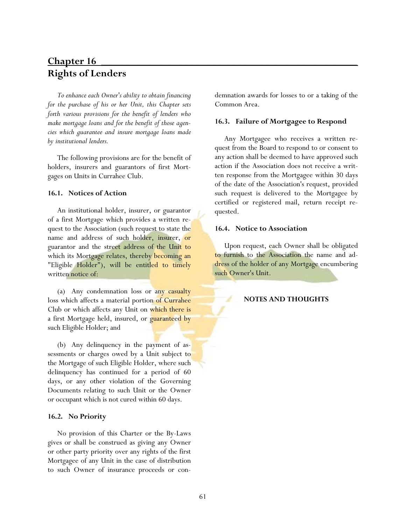# **Chapter 16** \_\_\_\_\_\_\_\_\_\_\_\_\_\_\_\_\_\_\_\_\_\_\_\_\_\_\_\_\_\_\_\_\_\_\_\_\_\_\_\_\_\_\_\_\_\_\_\_ **Rights of Lenders**

*To enhance each Owner's ability to obtain financing for the purchase of his or her Unit, this Chapter sets forth various provisions for the benefit of lenders who make mortgage loans and for the benefit of those agencies which guarantee and insure mortgage loans made by institutional lenders.* 

The following provisions are for the benefit of holders, insurers and guarantors of first Mortgages on Units in Currahee Club.

### **16.1. Notices of Action**

An institutional holder, insurer, or guarantor of a first Mortgage which provides a written request to the Association (such request to state the name and address of such holder, insurer, or guarantor and the street address of the Unit to which its Mortgage relates, thereby becoming an "Eligible Holder"), will be entitled to timely written notice of:

(a) Any condemnation loss or any casualty loss which affects a material portion of Currahee Club or which affects any Unit on which there is a first Mortgage held, insured, or guaranteed by such Eligible Holder; and

(b) Any delinquency in the payment of assessments or charges owed by a Unit subject to the Mortgage of such Eligible Holder, where such delinquency has continued for a period of 60 days, or any other violation of the Governing Documents relating to such Unit or the Owner or occupant which is not cured within 60 days.

#### **16.2. No Priority**

No provision of this Charter or the By-Laws gives or shall be construed as giving any Owner or other party priority over any rights of the first Mortgagee of any Unit in the case of distribution to such Owner of insurance proceeds or condemnation awards for losses to or a taking of the Common Area.

## **16.3. Failure of Mortgagee to Respond**

Any Mortgagee who receives a written request from the Board to respond to or consent to any action shall be deemed to have approved such action if the Association does not receive a written response from the Mortgagee within 30 days of the date of the Association's request, provided such request is delivered to the Mortgagee by certified or registered mail, return receipt requested.

#### **16.4. Notice to Association**

Upon request, each Owner shall be obligated to furnish to the Association the name and address of the holder of any Mortgage encumbering such Owner's Unit.

### **NOTES AND THOUGHTS**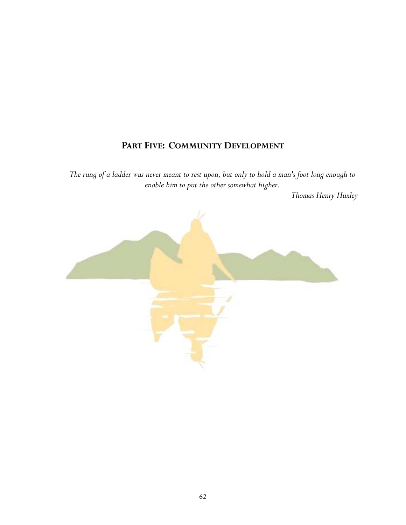# **PART FIVE: COMMUNITY DEVELOPMENT**

*The rung of a ladder was never meant to rest upon, but only to hold a man's foot long enough to enable him to put the other somewhat higher.* 

 *Thomas Henry Huxley* 

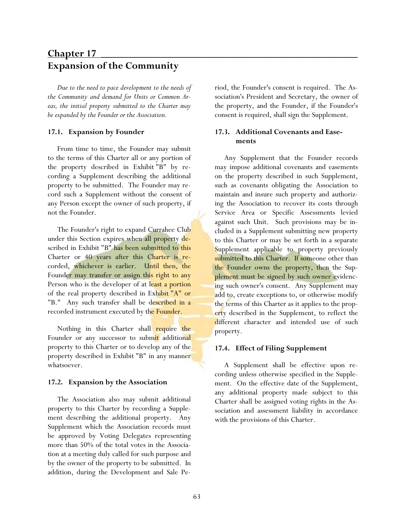# **Chapter 17** \_\_\_\_\_\_\_\_\_\_\_\_\_\_\_\_\_\_\_\_\_\_\_\_\_\_\_\_\_\_\_\_\_\_\_\_\_\_\_\_\_\_\_\_\_\_\_\_ **Expansion of the Community**

*Due to the need to pace development to the needs of the Community and demand for Units or Common Areas, the initial property submitted to the Charter may be expanded by the Founder or the Association.* 

### **17.1. Expansion by Founder**

From time to time, the Founder may submit to the terms of this Charter all or any portion of the property described in Exhibit "B" by recording a Supplement describing the additional property to be submitted. The Founder may record such a Supplement without the consent of any Person except the owner of such property, if not the Founder.

The Founder's right to expand Currahee Club under this Section expires when all property described in Exhibit "B" has been submitted to this Charter or 40 years after this Charter is recorded, whichever is earlier. Until then, the Founder may transfer or assign this right to any Person who is the developer of at least a portion of the real property described in Exhibit "A" or "B." Any such transfer shall be described in a recorded instrument executed by the Founder.

Nothing in this Charter shall require the Founder or any successor to submit additional property to this Charter or to develop any of the property described in Exhibit "B" in any manner whatsoever.

# **17.2. Expansion by the Association**

The Association also may submit additional property to this Charter by recording a Supplement describing the additional property. Any Supplement which the Association records must be approved by Voting Delegates representing more than 50% of the total votes in the Association at a meeting duly called for such purpose and by the owner of the property to be submitted. In addition, during the Development and Sale Period, the Founder's consent is required. The Association's President and Secretary, the owner of the property, and the Founder, if the Founder's consent is required, shall sign the Supplement.

# **17.3. Additional Covenants and Easements**

Any Supplement that the Founder records may impose additional covenants and easements on the property described in such Supplement, such as covenants obligating the Association to maintain and insure such property and authorizing the Association to recover its costs through Service Area or Specific Assessments levied against such Unit. Such provisions may be included in a Supplement submitting new property to this Charter or may be set forth in a separate Supplement applicable to property previously submitted to this Charter. If someone other than the Founder owns the property, then the Supplement must be signed by such owner evidencing such owner's consent. Any Supplement may add to, create exceptions to, or otherwise modify the terms of this Charter as it applies to the property described in the Supplement, to reflect the different character and intended use of such property.

# **17.4. Effect of Filing Supplement**

A Supplement shall be effective upon recording unless otherwise specified in the Supplement. On the effective date of the Supplement, any additional property made subject to this Charter shall be assigned voting rights in the Association and assessment liability in accordance with the provisions of this Charter.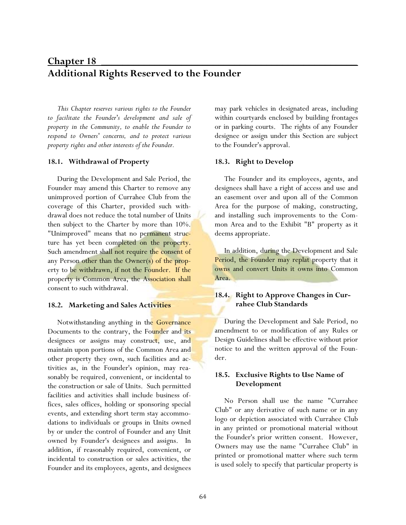# **Chapter 18** \_\_\_\_\_\_\_\_\_\_\_\_\_\_\_\_\_\_\_\_\_\_\_\_\_\_\_\_\_\_\_\_\_\_\_\_\_\_\_\_\_\_\_\_\_\_\_\_ **Additional Rights Reserved to the Founder**

*This Chapter reserves various rights to the Founder to facilitate the Founder's development and sale of property in the Community, to enable the Founder to respond to Owners' concerns, and to protect various property rights and other interests of the Founder.* 

### **18.1. Withdrawal of Property**

During the Development and Sale Period, the Founder may amend this Charter to remove any unimproved portion of Currahee Club from the coverage of this Charter, provided such withdrawal does not reduce the total number of Units then subject to the Charter by more than 10%. "Unimproved" means that no permanent structure has yet been completed on the property. Such amendment shall not require the consent of any Person other than the Owner(s) of the property to be withdrawn, if not the Founder. If the property is Common Area, the Association shall consent to such withdrawal.

### **18.2. Marketing and Sales Activities**

Notwithstanding anything in the Governance Documents to the contrary, the Founder and its designees or assigns may construct, use, and maintain upon portions of the Common Area and other property they own, such facilities and activities as, in the Founder's opinion, may reasonably be required, convenient, or incidental to the construction or sale of Units. Such permitted facilities and activities shall include business offices, sales offices, holding or sponsoring special events, and extending short term stay accommodations to individuals or groups in Units owned by or under the control of Founder and any Unit owned by Founder's designees and assigns. In addition, if reasonably required, convenient, or incidental to construction or sales activities, the Founder and its employees, agents, and designees may park vehicles in designated areas, including within courtyards enclosed by building frontages or in parking courts. The rights of any Founder designee or assign under this Section are subject to the Founder's approval.

### **18.3. Right to Develop**

The Founder and its employees, agents, and designees shall have a right of access and use and an easement over and upon all of the Common Area for the purpose of making, constructing, and installing such improvements to the Common Area and to the Exhibit "B" property as it deems appropriate.

In addition, during the Development and Sale Period, the Founder may replat property that it owns and convert Units it owns into Common Area.

# **18.4. Right to Approve Changes in Currahee Club Standards**

During the Development and Sale Period, no amendment to or modification of any Rules or Design Guidelines shall be effective without prior notice to and the written approval of the Founder.

# **18.5. Exclusive Rights to Use Name of Development**

No Person shall use the name "Currahee Club" or any derivative of such name or in any logo or depiction associated with Currahee Club in any printed or promotional material without the Founder's prior written consent. However, Owners may use the name "Currahee Club" in printed or promotional matter where such term is used solely to specify that particular property is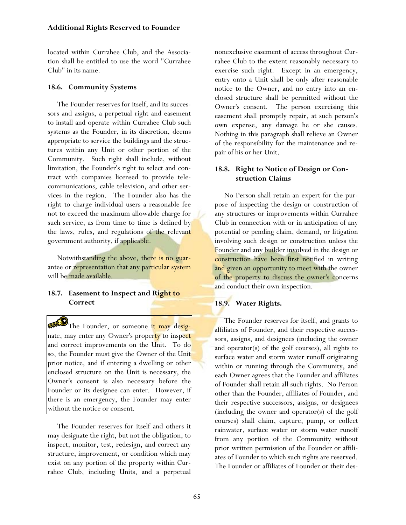located within Currahee Club, and the Association shall be entitled to use the word "Currahee Club" in its name.

## **18.6. Community Systems**

The Founder reserves for itself, and its successors and assigns, a perpetual right and easement to install and operate within Currahee Club such systems as the Founder, in its discretion, deems appropriate to service the buildings and the structures within any Unit or other portion of the Community. Such right shall include, without limitation, the Founder's right to select and contract with companies licensed to provide telecommunications, cable television, and other services in the region. The Founder also has the right to charge individual users a reasonable fee not to exceed the maximum allowable charge for such service, as from time to time is defined by the laws, rules, and regulations of the relevant government authority, if applicable.

Notwithstanding the above, there is no guarantee or representation that any particular system will be made available.

## **18.7. Easement to Inspect and Right to Correct**

The Founder, or someone <mark>it may desig-</mark> nate, may enter any Owner's property to inspect and correct improvements on the Unit. To do so, the Founder must give the Owner of the Unit prior notice, and if entering a dwelling or other enclosed structure on the Unit is necessary, the Owner's consent is also necessary before the Founder or its designee can enter. However, if there is an emergency, the Founder may enter without the notice or consent.

The Founder reserves for itself and others it may designate the right, but not the obligation, to inspect, monitor, test, redesign, and correct any structure, improvement, or condition which may exist on any portion of the property within Currahee Club, including Units, and a perpetual nonexclusive easement of access throughout Currahee Club to the extent reasonably necessary to exercise such right. Except in an emergency, entry onto a Unit shall be only after reasonable notice to the Owner, and no entry into an enclosed structure shall be permitted without the Owner's consent. The person exercising this easement shall promptly repair, at such person's own expense, any damage he or she causes. Nothing in this paragraph shall relieve an Owner of the responsibility for the maintenance and repair of his or her Unit.

## **18.8. Right to Notice of Design or Construction Claims**

No Person shall retain an expert for the purpose of inspecting the design or construction of any structures or improvements within Currahee Club in connection with or in anticipation of any potential or pending claim, demand, or litigation involving such design or construction unless the Founder and any builder involved in the design or construction have been first notified in writing and given an opportunity to meet with the owner of the property to discuss the owner's concerns and conduct their own inspection.

## **18.9. Water Rights.**

The Founder reserves for itself, and grants to affiliates of Founder, and their respective successors, assigns, and designees (including the owner and operator(s) of the golf courses), all rights to surface water and storm water runoff originating within or running through the Community, and each Owner agrees that the Founder and affiliates of Founder shall retain all such rights. No Person other than the Founder, affiliates of Founder, and their respective successors, assigns, or designees (including the owner and operator(s) of the golf courses) shall claim, capture, pump, or collect rainwater, surface water or storm water runoff from any portion of the Community without prior written permission of the Founder or affiliates of Founder to which such rights are reserved. The Founder or affiliates of Founder or their des-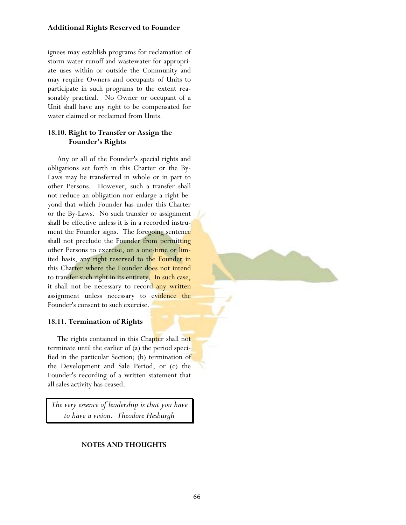#### **Additional Rights Reserved to Founder**

ignees may establish programs for reclamation of storm water runoff and wastewater for appropriate uses within or outside the Community and may require Owners and occupants of Units to participate in such programs to the extent reasonably practical. No Owner or occupant of a Unit shall have any right to be compensated for water claimed or reclaimed from Units.

#### **18.10. Right to Transfer or Assign the Founder's Rights**

Any or all of the Founder's special rights and obligations set forth in this Charter or the By-Laws may be transferred in whole or in part to other Persons. However, such a transfer shall not reduce an obligation nor enlarge a right beyond that which Founder has under this Charter or the By-Laws. No such transfer or assignment shall be effective unless it is in a recorded instrument the Founder signs. The foregoing sentence shall not preclude the Founder from permitting other Persons to exercise, on a one-time or limited basis, any right reserved to the Founder in this Charter where the Founder does not intend to transfer such right in its entirety. In such case, it shall not be necessary to record any written assignment unless necessary to evidence the Founder's consent to such exercise.

#### **18.11. Termination of Rights**

The rights contained in this Chapter shall not terminate until the earlier of (a) the period specified in the particular Section; (b) termination of the Development and Sale Period; or (c) the Founder's recording of a written statement that all sales activity has ceased.

*The very essence of leadership is that you have to have a vision. Theodore Hesburgh* 

#### **NOTES AND THOUGHTS**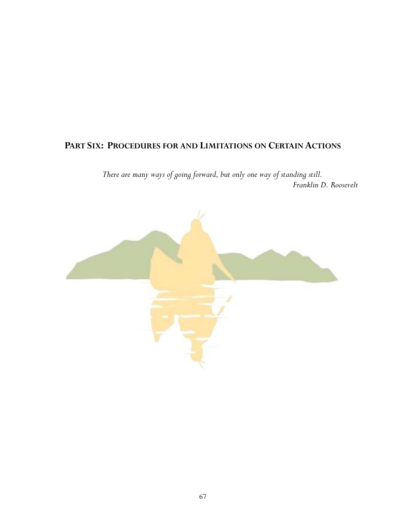## **PART SIX: PROCEDURES FOR AND LIMITATIONS ON CERTAIN ACTIONS**

*There are many ways of going forward, but only one way of standing still. Franklin D. Roosevelt* 

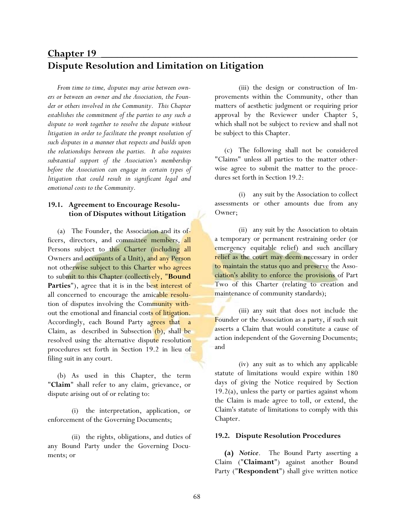# **Chapter 19** \_\_\_\_\_\_\_\_\_\_\_\_\_\_\_\_\_\_\_\_\_\_\_\_\_\_\_\_\_\_\_\_\_\_\_\_\_\_\_\_\_\_\_\_\_\_\_\_ **Dispute Resolution and Limitation on Litigation**

*From time to time, disputes may arise between owners or between an owner and the Association, the Founder or others involved in the Community. This Chapter establishes the commitment of the parties to any such a dispute to work together to resolve the dispute without litigation in order to facilitate the prompt resolution of such disputes in a manner that respects and builds upon the relationships between the parties. It also requires substantial support of the Association's membership before the Association can engage in certain types of litigation that could result in significant legal and emotional costs to the Community.* 

## **19.1. Agreement to Encourage Resolution of Disputes without Litigation**

(a) The Founder, the Association and its officers, directors, and committee members, all Persons subject to this Charter (including all Owners and occupants of a Unit), and any Person not otherwise subject to this Charter who agrees to submit to this Chapter (collectively, "**Bound**  Parties"), agree that it is in the best interest of all concerned to encourage the amicable resolution of disputes involving the Community without the emotional and financial costs of litigation. Accordingly, each Bound Party agrees that a Claim, as described in Subsection (b), shall be resolved using the alternative dispute resolution procedures set forth in Section 19.2 in lieu of filing suit in any court.

(b) As used in this Chapter, the term "**Claim**" shall refer to any claim, grievance, or dispute arising out of or relating to:

 (i) the interpretation, application, or enforcement of the Governing Documents;

 (ii) the rights, obligations, and duties of any Bound Party under the Governing Documents; or

 (iii) the design or construction of Improvements within the Community, other than matters of aesthetic judgment or requiring prior approval by the Reviewer under Chapter 5, which shall not be subject to review and shall not be subject to this Chapter.

(c) The following shall not be considered "Claims" unless all parties to the matter otherwise agree to submit the matter to the procedures set forth in Section 19.2:

 (i) any suit by the Association to collect assessments or other amounts due from any Owner;

 (ii) any suit by the Association to obtain a temporary or permanent restraining order (or emergency equitable relief) and such ancillary relief as the court may deem necessary in order to maintain the status quo and preserve the Association's ability to enforce the provisions of Part Two of this Charter (relating to creation and maintenance of community standards);

 (iii) any suit that does not include the Founder or the Association as a party, if such suit asserts a Claim that would constitute a cause of action independent of the Governing Documents; and

 (iv) any suit as to which any applicable statute of limitations would expire within 180 days of giving the Notice required by Section  $19.2(a)$ , unless the party or parties against whom the Claim is made agree to toll, or extend, the Claim's statute of limitations to comply with this Chapter.

#### **19.2. Dispute Resolution Procedures**

**(a)** *Notice*. The Bound Party asserting a Claim ("**Claimant**") against another Bound Party ("**Respondent**") shall give written notice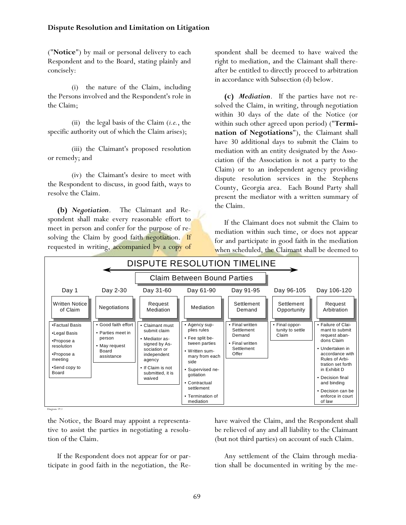("**Notice**") by mail or personal delivery to each Respondent and to the Board, stating plainly and concisely:

 (i) the nature of the Claim, including the Persons involved and the Respondent's role in the Claim;

 (ii) the legal basis of the Claim (*i.e.*, the specific authority out of which the Claim arises);

 (iii) the Claimant's proposed resolution or remedy; and

 (iv) the Claimant's desire to meet with the Respondent to discuss, in good faith, ways to resolve the Claim.

**(b)** *Negotiation*. The Claimant and Respondent shall make every reasonable effort to meet in person and confer for the purpose of resolving the Claim by good faith negotiation. If requested in writing, accompanied by a copy of

spondent shall be deemed to have waived the right to mediation, and the Claimant shall thereafter be entitled to directly proceed to arbitration in accordance with Subsection (d) below.

**(c)** *Mediation*. If the parties have not resolved the Claim, in writing, through negotiation within 30 days of the date of the Notice (or within such other agreed upon period) ("**Termination of Negotiations**"), the Claimant shall have 30 additional days to submit the Claim to mediation with an entity designated by the Association (if the Association is not a party to the Claim) or to an independent agency providing dispute resolution services in the Stephens County, Georgia area. Each Bound Party shall present the mediator with a written summary of the Claim.

If the Claimant does not submit the Claim to mediation within such time, or does not appear for and participate in good faith in the mediation when scheduled, the Claimant shall be deemed to



Diagram 19.1

the Notice, the Board may appoint a representative to assist the parties in negotiating a resolution of the Claim.

If the Respondent does not appear for or participate in good faith in the negotiation, the Rehave waived the Claim, and the Respondent shall be relieved of any and all liability to the Claimant (but not third parties) on account of such Claim.

Any settlement of the Claim through mediation shall be documented in writing by the me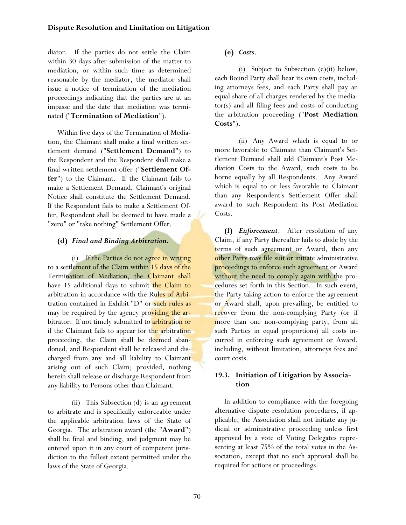diator. If the parties do not settle the Claim within 30 days after submission of the matter to mediation, or within such time as determined reasonable by the mediator, the mediator shall issue a notice of termination of the mediation proceedings indicating that the parties are at an impasse and the date that mediation was terminated ("**Termination of Mediation**").

Within five days of the Termination of Mediation, the Claimant shall make a final written settlement demand ("**Settlement Demand**") to the Respondent and the Respondent shall make a final written settlement offer ("**Settlement Offer**") to the Claimant. If the Claimant fails to make a Settlement Demand, Claimant's original Notice shall constitute the Settlement Demand. If the Respondent fails to make a Settlement Offer, Respondent shall be deemed to have made a "zero" or "take nothing" Settlement Offer.

## **(d)** *Final and Binding Arbitration***.**

(i) If the Parties do not agree in writing to a settlement of the Claim within 15 days of the Termination of Mediation, the Claimant shall have 15 additional days to submit the Claim to arbitration in accordance with the Rules of Arbitration contained in Exhibit "D" or such rules as may be required by the agency providing the arbitrator. If not timely submitted to arbitration or if the Claimant fails to appear for the arbitration proceeding, the Claim shall be deemed abandoned, and Respondent shall be released and discharged from any and all liability to Claimant arising out of such Claim; provided, nothing herein shall release or discharge Respondent from any liability to Persons other than Claimant.

 (ii) This Subsection (d) is an agreement to arbitrate and is specifically enforceable under the applicable arbitration laws of the State of Georgia. The arbitration award (the "**Award**") shall be final and binding, and judgment may be entered upon it in any court of competent jurisdiction to the fullest extent permitted under the laws of the State of Georgia.

## **(e)** *Costs*.

 (i) Subject to Subsection (e)(ii) below, each Bound Party shall bear its own costs, including attorneys fees, and each Party shall pay an equal share of all charges rendered by the mediator(s) and all filing fees and costs of conducting the arbitration proceeding ("**Post Mediation Costs**").

 (ii) Any Award which is equal to or more favorable to Claimant than Claimant's Settlement Demand shall add Claimant's Post Mediation Costs to the Award, such costs to be borne equally by all Respondents. Any Award which is equal to or less favorable to Claimant than any Respondent's Settlement Offer shall award to such Respondent its Post Mediation Costs.

**(f)** *Enforcement*. After resolution of any Claim, if any Party thereafter fails to abide by the terms of such agreement or Award, then any other Party may file suit or initiate administrative proceedings to enforce such agreement or Award without the need to comply again with the procedures set forth in this Section. In such event, the Party taking action to enforce the agreement or Award shall, upon prevailing, be entitled to recover from the non-complying Party (or if more than one non-complying party, from all such Parties in equal proportions) all costs incurred in enforcing such agreement or Award, including, without limitation, attorneys fees and court costs.

## **19.3. Initiation of Litigation by Association**

In addition to compliance with the foregoing alternative dispute resolution procedures, if applicable, the Association shall not initiate any judicial or administrative proceeding unless first approved by a vote of Voting Delegates representing at least 75% of the total votes in the Association, except that no such approval shall be required for actions or proceedings: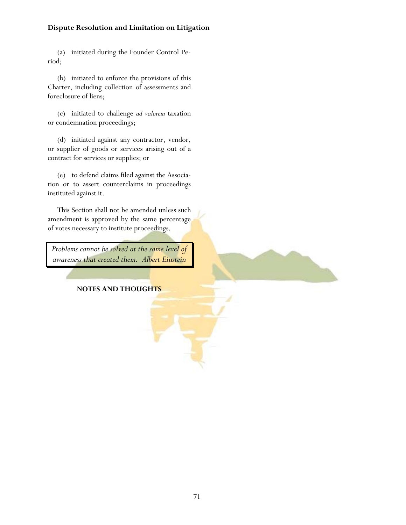## **Dispute Resolution and Limitation on Litigation**

(a) initiated during the Founder Control Period;

(b) initiated to enforce the provisions of this Charter, including collection of assessments and foreclosure of liens;

(c) initiated to challenge *ad valorem* taxation or condemnation proceedings;

(d) initiated against any contractor, vendor, or supplier of goods or services arising out of a contract for services or supplies; or

(e) to defend claims filed against the Association or to assert counterclaims in proceedings instituted against it.

This Section shall not be amended unless such amendment is approved by the same percentage of votes necessary to institute proceedings.

*Problems cannot be solved at the same level of awareness that created them. Albert Einstein* 

#### **NOTES AND THOUGHTS**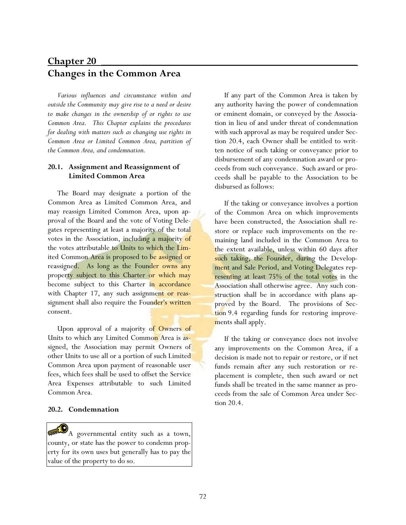# **Chapter 20** \_\_\_\_\_\_\_\_\_\_\_\_\_\_\_\_\_\_\_\_\_\_\_\_\_\_\_\_\_\_\_\_\_\_\_\_\_\_\_\_\_\_\_\_\_\_\_\_ **Changes in the Common Area**

*Various influences and circumstance within and outside the Community may give rise to a need or desire to make changes in the ownership of or rights to use Common Area. This Chapter explains the procedures for dealing with matters such as changing use rights in Common Area or Limited Common Area, partition of the Common Area, and condemnation.* 

#### **20.1. Assignment and Reassignment of Limited Common Area**

The Board may designate a portion of the Common Area as Limited Common Area, and may reassign Limited Common Area, upon approval of the Board and the vote of Voting Delegates representing at least a majority of the total votes in the Association, including a majority of the votes attributable to Units to which the Limited Common Area is proposed to be assigned or reassigned. As long as the Founder owns any property subject to this Charter or which may become subject to this Charter in accordance with Chapter 17, any such assignment or reassignment shall also require the Founder's written consent.

Upon approval of a majority of Owners of Units to which any Limited Common Area is assigned, the Association may permit Owners of other Units to use all or a portion of such Limited Common Area upon payment of reasonable user fees, which fees shall be used to offset the Service Area Expenses attributable to such Limited Common Area.

#### **20.2. Condemnation**

A governmental entity such as a town, county, or state has the power to condemn property for its own uses but generally has to pay the value of the property to do so.

If any part of the Common Area is taken by any authority having the power of condemnation or eminent domain, or conveyed by the Association in lieu of and under threat of condemnation with such approval as may be required under Section 20.4, each Owner shall be entitled to written notice of such taking or conveyance prior to disbursement of any condemnation award or proceeds from such conveyance. Such award or proceeds shall be payable to the Association to be disbursed as follows:

If the taking or conveyance involves a portion of the Common Area on which improvements have been constructed, the Association shall restore or replace such improvements on the remaining land included in the Common Area to the extent available, unless within 60 days after such taking, the Founder, during the Development and Sale Period, and Voting Delegates representing at least 75% of the total votes in the Association shall otherwise agree. Any such construction shall be in accordance with plans approved by the Board. The provisions of Section 9.4 regarding funds for restoring improvements shall apply.

If the taking or conveyance does not involve any improvements on the Common Area, if a decision is made not to repair or restore, or if net funds remain after any such restoration or replacement is complete, then such award or net funds shall be treated in the same manner as proceeds from the sale of Common Area under Section 20.4.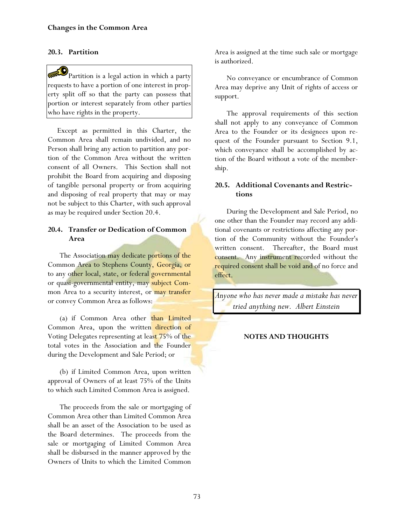#### **20.3. Partition**

 $\mathbf{P}_{\text{Partition is a legal action in which a party}}$ requests to have a portion of one interest in property split off so that the party can possess that portion or interest separately from other parties who have rights in the property.

Except as permitted in this Charter, the Common Area shall remain undivided, and no Person shall bring any action to partition any portion of the Common Area without the written consent of all Owners. This Section shall not prohibit the Board from acquiring and disposing of tangible personal property or from acquiring and disposing of real property that may or may not be subject to this Charter, with such approval as may be required under Section 20.4.

## **20.4. Transfer or Dedication of Common Area**

The Association may dedicate portions of the Common Area to Stephens County, Georgia, or to any other local, state, or federal governmental or quasi-governmental entity, may subject Common Area to a security interest, or may transfer or convey Common Area as follows:

(a) if Common Area other than Limited Common Area, upon the written direction of Voting Delegates representing at least 75% of the total votes in the Association and the Founder during the Development and Sale Period; or

(b) if Limited Common Area, upon written approval of Owners of at least 75% of the Units to which such Limited Common Area is assigned.

The proceeds from the sale or mortgaging of Common Area other than Limited Common Area shall be an asset of the Association to be used as the Board determines. The proceeds from the sale or mortgaging of Limited Common Area shall be disbursed in the manner approved by the Owners of Units to which the Limited Common

Area is assigned at the time such sale or mortgage is authorized.

No conveyance or encumbrance of Common Area may deprive any Unit of rights of access or support.

The approval requirements of this section shall not apply to any conveyance of Common Area to the Founder or its designees upon request of the Founder pursuant to Section 9.1, which conveyance shall be accomplished by action of the Board without a vote of the membership.

#### **20.5. Additional Covenants and Restrictions**

During the Development and Sale Period, no one other than the Founder may record any additional covenants or restrictions affecting any portion of the Community without the Founder's written consent. Thereafter, the Board must consent. Any instrument recorded without the required consent shall be void and of no force and effect.

*Anyone who has never made a mistake has never tried anything new. Albert Einstein* 

#### **NOTES AND THOUGHTS**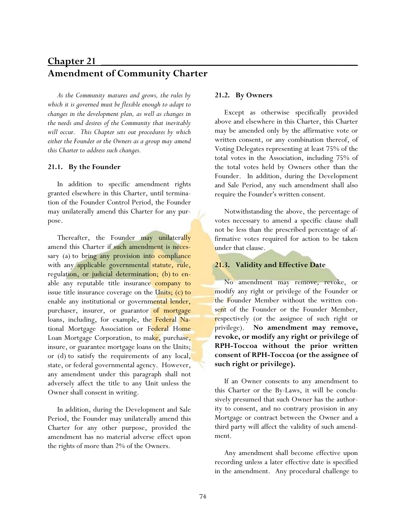# **Chapter 21** \_\_\_\_\_\_\_\_\_\_\_\_\_\_\_\_\_\_\_\_\_\_\_\_\_\_\_\_\_\_\_\_\_\_\_\_\_\_\_\_\_\_\_\_\_\_\_\_ **Amendment of Community Charter**

*As the Community matures and grows, the rules by which it is governed must be flexible enough to adapt to changes in the development plan, as well as changes in the needs and desires of the Community that inevitably will occur. This Chapter sets out procedures by which either the Founder or the Owners as a group may amend this Charter to address such changes.* 

#### **21.1. By the Founder**

In addition to specific amendment rights granted elsewhere in this Charter, until termination of the Founder Control Period, the Founder may unilaterally amend this Charter for any purpose.

Thereafter, the Founder may unilaterally amend this Charter if such amendment is necessary (a) to bring any provision into compliance with any applicable governmental statute, rule, regulation, or judicial determination; (b) to enable any reputable title insurance company to issue title insurance coverage on the Units; (c) to enable any institutional or governmental lender, purchaser, insurer, or guarantor of mortgage loans, including, for example, the Federal National Mortgage Association or Federal Home Loan Mortgage Corporation, to make, purchase, insure, or guarantee mortgage loans on the Units; or (d) to satisfy the requirements of any local, state, or federal governmental agency. However, any amendment under this paragraph shall not adversely affect the title to any Unit unless the Owner shall consent in writing.

In addition, during the Development and Sale Period, the Founder may unilaterally amend this Charter for any other purpose, provided the amendment has no material adverse effect upon the rights of more than 2% of the Owners.

#### **21.2. By Owners**

Except as otherwise specifically provided above and elsewhere in this Charter, this Charter may be amended only by the affirmative vote or written consent, or any combination thereof, of Voting Delegates representing at least 75% of the total votes in the Association, including 75% of the total votes held by Owners other than the Founder. In addition, during the Development and Sale Period, any such amendment shall also require the Founder's written consent.

Notwithstanding the above, the percentage of votes necessary to amend a specific clause shall not be less than the prescribed percentage of affirmative votes required for action to be taken under that clause.

#### **21.3. Validity and Effective Date**

No amendment may remove, revoke, or modify any right or privilege of the Founder or the Founder Member without the written consent of the Founder or the Founder Member, respectively (or the assignee of such right or privilege). **No amendment may remove, revoke, or modify any right or privilege of RPH-Toccoa without the prior written consent of RPH-Toccoa (or the assignee of such right or privilege).** 

If an Owner consents to any amendment to this Charter or the By-Laws, it will be conclusively presumed that such Owner has the authority to consent, and no contrary provision in any Mortgage or contract between the Owner and a third party will affect the validity of such amendment.

Any amendment shall become effective upon recording unless a later effective date is specified in the amendment. Any procedural challenge to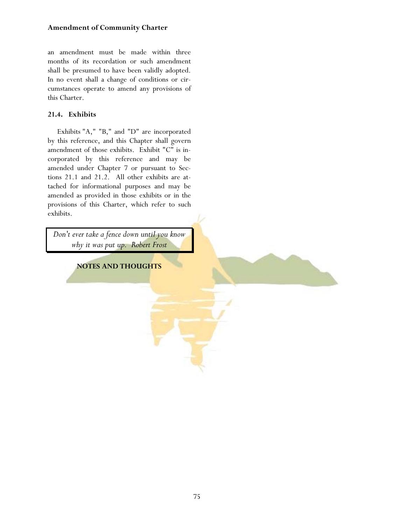### **Amendment of Community Charter**

an amendment must be made within three months of its recordation or such amendment shall be presumed to have been validly adopted. In no event shall a change of conditions or circumstances operate to amend any provisions of this Charter.

## **21.4. Exhibits**

Exhibits "A," "B," and "D" are incorporated by this reference, and this Chapter shall govern amendment of those exhibits. Exhibit "C" is incorporated by this reference and may be amended under Chapter 7 or pursuant to Sections 21.1 and 21.2. All other exhibits are attached for informational purposes and may be amended as provided in those exhibits or in the provisions of this Charter, which refer to such exhibits.

*Don't ever take a fence down until you know why it was put up. Robert Frost* 

**NOTES AND THOUGHTS**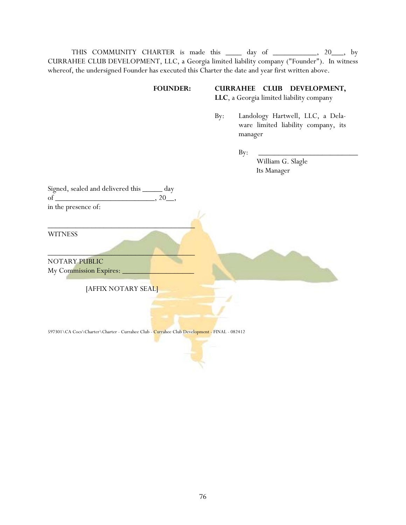THIS COMMUNITY CHARTER is made this \_\_\_\_\_ day of \_\_\_\_\_\_\_\_\_, 20\_\_\_, by CURRAHEE CLUB DEVELOPMENT, LLC, a Georgia limited liability company ("Founder"). In witness whereof, the undersigned Founder has executed this Charter the date and year first written above.

# **FOUNDER: CURRAHEE CLUB DEVELOPMENT,**

**LLC**, a Georgia limited liability company

 By: Landology Hartwell, LLC, a Delaware limited liability company, its manager

 By: \_\_\_\_\_\_\_\_\_\_\_\_\_\_\_\_\_\_\_\_\_\_\_\_\_ William G. Slagle Its Manager

| Signed, sealed and delivered this | day |
|-----------------------------------|-----|
| of                                |     |
| in the presence of:               |     |

**WITNESS** 

 $\mathcal{L}=\mathcal{L}=\mathcal{L}=\mathcal{L}=\mathcal{L}=\mathcal{L}=\mathcal{L}=\mathcal{L}=\mathcal{L}=\mathcal{L}=\mathcal{L}=\mathcal{L}=\mathcal{L}=\mathcal{L}=\mathcal{L}=\mathcal{L}=\mathcal{L}=\mathcal{L}=\mathcal{L}=\mathcal{L}=\mathcal{L}=\mathcal{L}=\mathcal{L}=\mathcal{L}=\mathcal{L}=\mathcal{L}=\mathcal{L}=\mathcal{L}=\mathcal{L}=\mathcal{L}=\mathcal{L}=\mathcal{L}=\mathcal{L}=\mathcal{L}=\mathcal{L}=\mathcal{L}=\mathcal{$ NOTARY PUBLIC My Commission Expires:

[AFFIX NOTARY SEAL]

\_\_\_\_\_\_\_\_\_\_\_\_\_\_\_\_\_\_\_\_\_\_\_\_\_\_\_\_\_\_\_\_\_\_\_\_\_

597301\CA Cocs\Charter\Charter - Currahee Club - Currahee Club Development - FINAL - 082412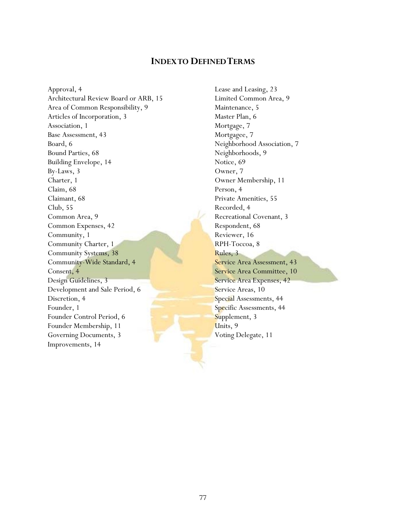## **INDEX TO DEFINED TERMS**

Approval, 4 Architectural Review Board or ARB, 15 Area of Common Responsibility, 9 Articles of Incorporation, 3 Association, 1 Base Assessment, 43 Board, 6 Bound Parties, 68 Building Envelope, 14 By-Laws, 3 Charter, 1 Claim, 68 Claimant, 68 Club, 55 Common Area, 9 Common Expenses, 42 Community, 1 Community Charter, 1 Community Systems, 38 Community-Wide Standard, 4 Consent, 4 Design Guidelines, 3 Development and Sale Period, 6 Discretion, 4 Founder, 1 Founder Control Period, 6 Founder Membership, 11 Governing Documents, 3 Improvements, 14

Lease and Leasing, 23 Limited Common Area, 9 Maintenance, 5 Master Plan, 6 Mortgage, 7 Mortgagee, 7 Neighborhood Association, 7 Neighborhoods, 9 Notice, 69 Owner, 7 Owner Membership, 11 Person, 4 Private Amenities, 55 Recorded, 4 Recreational Covenant, 3 Respondent, 68 Reviewer, 16 RPH-Toccoa, 8 Rules, 3 Service Area Assessment, 43 Service Area Committee, 10 Service Area Expenses, 42 Service Areas, 10 Special Assessments, 44 Specific Assessments, 44 Supplement, 3 Units, 9 Voting Delegate, 11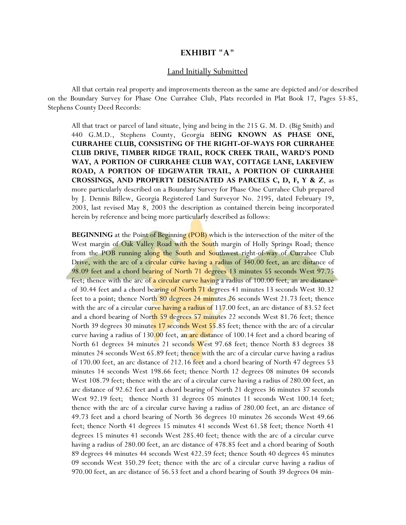#### **EXHIBIT "A"**

#### Land Initially Submitted

 All that certain real property and improvements thereon as the same are depicted and/or described on the Boundary Survey for Phase One Currahee Club, Plats recorded in Plat Book 17, Pages 53-85, Stephens County Deed Records:

All that tract or parcel of land situate, lying and being in the 215 G. M. D. (Big Smith) and 440 G.M.D., Stephens County, Georgia B**EING KNOWN AS PHASE ONE, CURRAHEE CLUB, CONSISTING OF THE RIGHT-OF-WAYS FOR CURRAHEE CLUB DRIVE, TIMBER RIDGE TRAIL, ROCK CREEK TRAIL, WARD'S POND WAY, A PORTION OF CURRAHEE CLUB WAY, COTTAGE LANE, LAKEVIEW ROAD, A PORTION OF EDGEWATER TRAIL, A PORTION OF CURRAHEE CROSSINGS, AND PROPERTY DESIGNATED AS PARCELS C, D, F, Y & Z**, as more particularly described on a Boundary Survey for Phase One Currahee Club prepared by J. Dennis Billew, Georgia Registered Land Surveyor No. 2195, dated February 19, 2003, last revised May 8, 2003 the description as contained therein being incorporated herein by reference and being more particularly described as follows:

**BEGINNING** at the Point of Beginning (POB) which is the intersection of the miter of the West margin of Oak Valley Road with the South margin of Holly Springs Road; thence from the POB running along the South and Southwest right-of-way of Currahee Club Drive, with the arc of a circular curve having a radius of 340.00 feet, an arc distance of 98.09 feet and a chord bearing of North 71 degrees 13 minutes 55 seconds West 97.75 feet; thence with the arc of a circular curve having a radius of 100.00 feet, an arc distance of 30.44 feet and a chord bearing of North 71 degrees 41 minutes 13 seconds West 30.32 feet to a point; thence North 80 degrees 24 minutes 26 seconds West 21.73 feet; thence with the arc of a circular curve having a radius of  $117.00$  feet, an arc distance of 83.52 feet and a chord bearing of North 59 degrees 57 minutes 22 seconds West 81.76 feet; thence North 39 degrees 30 minutes 17 seconds West 55.85 feet; thence with the arc of a circular curve having a radius of  $130.00$  feet, an arc distance of  $100.14$  feet and a chord bearing of North 61 degrees 34 minutes 21 seconds West 97.68 feet; thence North 83 degrees 38 minutes 24 seconds West 65.89 feet; thence with the arc of a circular curve having a radius of 170.00 feet, an arc distance of 212.16 feet and a chord bearing of North 47 degrees 53 minutes 14 seconds West 198.66 feet; thence North 12 degrees 08 minutes 04 seconds West 108.79 feet; thence with the arc of a circular curve having a radius of 280.00 feet, an arc distance of 92.62 feet and a chord bearing of North 21 degrees 36 minutes 37 seconds West 92.19 feet; thence North 31 degrees 05 minutes 11 seconds West 100.14 feet; thence with the arc of a circular curve having a radius of 280.00 feet, an arc distance of 49.73 feet and a chord bearing of North 36 degrees 10 minutes 26 seconds West 49.66 feet; thence North 41 degrees 15 minutes 41 seconds West 61.58 feet; thence North 41 degrees 15 minutes 41 seconds West 285.40 feet; thence with the arc of a circular curve having a radius of 280.00 feet, an arc distance of 478.85 feet and a chord bearing of South 89 degrees 44 minutes 44 seconds West 422.59 feet; thence South 40 degrees 45 minutes 09 seconds West 350.29 feet; thence with the arc of a circular curve having a radius of 970.00 feet, an arc distance of 56.53 feet and a chord bearing of South 39 degrees 04 min-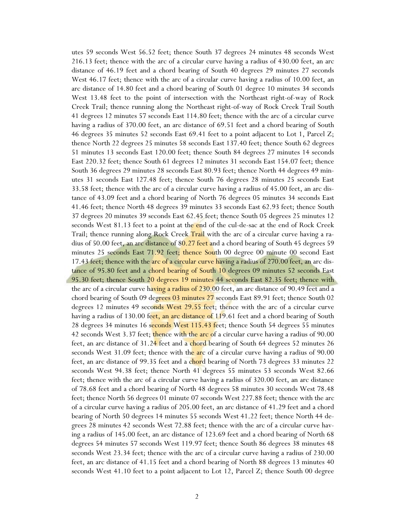utes 59 seconds West 56.52 feet; thence South 37 degrees 24 minutes 48 seconds West 216.13 feet; thence with the arc of a circular curve having a radius of 430.00 feet, an arc distance of 46.19 feet and a chord bearing of South 40 degrees 29 minutes 27 seconds West 46.17 feet; thence with the arc of a circular curve having a radius of 10.00 feet, an arc distance of 14.80 feet and a chord bearing of South 01 degree 10 minutes 34 seconds West 13.48 feet to the point of intersection with the Northeast right-of-way of Rock Creek Trail; thence running along the Northeast right-of-way of Rock Creek Trail South 41 degrees 12 minutes 57 seconds East 114.80 feet; thence with the arc of a circular curve having a radius of 370.00 feet, an arc distance of 69.51 feet and a chord bearing of South 46 degrees 35 minutes 52 seconds East 69.41 feet to a point adjacent to Lot 1, Parcel Z; thence North 22 degrees 25 minutes 58 seconds East 137.40 feet; thence South 62 degrees 51 minutes 13 seconds East 120.00 feet; thence South 84 degrees 27 minutes 14 seconds East 220.32 feet; thence South 61 degrees 12 minutes 31 seconds East 154.07 feet; thence South 36 degrees 29 minutes 28 seconds East 80.93 feet; thence North 44 degrees 49 minutes 31 seconds East 127.48 feet; thence South 76 degrees 28 minutes 25 seconds East 33.58 feet; thence with the arc of a circular curve having a radius of 45.00 feet, an arc distance of 43.09 feet and a chord bearing of North 76 degrees 05 minutes 34 seconds East 41.46 feet; thence North 48 degrees 39 minutes 33 seconds East 62.93 feet; thence South 37 degrees 20 minutes 39 seconds East 62.45 feet; thence South 05 degrees 25 minutes 12 seconds West 81.13 feet to a point at the end of the cul-de-sac at the end of Rock Creek Trail; thence running along Rock Creek Trail with the arc of a circular curve having a radius of 50.00 feet, an arc distance of 80.27 feet and a chord bearing of South 45 degrees 59 minutes 25 seconds East 71.92 feet; thence South 00 degree 00 minute 00 second East 17.43 feet; thence with the arc of a circular curve having a radius of 270.00 feet, an arc distance of 95.80 feet and a chord bearing of South 10 degrees 09 minutes 52 seconds East 95.30 feet; thence South 20 degrees 19 minutes 44 seconds East 82.35 feet; thence with the arc of a circular curve having a radius of 230.00 feet, an arc distance of 90.49 feet and a chord bearing of South 09 degrees 03 minutes 27 seconds East 89.91 feet; thence South 02 degrees 12 minutes 49 seconds West 29.55 feet; thence with the arc of a circular curve having a radius of 130.00 feet, an arc distance of 119.61 feet and a chord bearing of South 28 degrees 34 minutes 16 seconds West 115.43 feet; thence South 54 degrees 55 minutes 42 seconds West 3.37 feet; thence with the arc of a circular curve having a radius of 90.00 feet, an arc distance of 31.24 feet and a chord bearing of South 64 degrees 52 minutes 26 seconds West 31.09 feet; thence with the arc of a circular curve having a radius of 90.00 feet, an arc distance of 99.35 feet and a chord bearing of North 73 degrees 33 minutes 22 seconds West 94.38 feet; thence North 41 degrees 55 minutes 53 seconds West 82.66 feet; thence with the arc of a circular curve having a radius of 320.00 feet, an arc distance of 78.68 feet and a chord bearing of North 48 degrees 58 minutes 30 seconds West 78.48 feet; thence North 56 degrees 01 minute 07 seconds West 227.88 feet; thence with the arc of a circular curve having a radius of 205.00 feet, an arc distance of 41.29 feet and a chord bearing of North 50 degrees 14 minutes 55 seconds West 41.22 feet; thence North 44 degrees 28 minutes 42 seconds West 72.88 feet; thence with the arc of a circular curve having a radius of 145.00 feet, an arc distance of 123.69 feet and a chord bearing of North 68 degrees 54 minutes 57 seconds West 119.97 feet; thence South 86 degrees 38 minutes 48 seconds West 23.34 feet; thence with the arc of a circular curve having a radius of 230.00 feet, an arc distance of 41.15 feet and a chord bearing of North 88 degrees 13 minutes 40 seconds West 41.10 feet to a point adjacent to Lot 12, Parcel Z; thence South 00 degree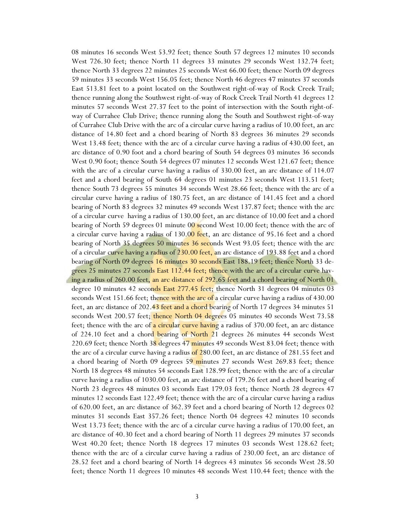08 minutes 16 seconds West 53.92 feet; thence South 57 degrees 12 minutes 10 seconds West 726.30 feet; thence North 11 degrees 33 minutes 29 seconds West 132.74 feet; thence North 33 degrees 22 minutes 25 seconds West 66.00 feet; thence North 09 degrees 59 minutes 33 seconds West 156.05 feet; thence North 46 degrees 47 minutes 37 seconds East 513.81 feet to a point located on the Southwest right-of-way of Rock Creek Trail; thence running along the Southwest right-of-way of Rock Creek Trail North 41 degrees 12 minutes 57 seconds West 27.37 feet to the point of intersection with the South right-ofway of Currahee Club Drive; thence running along the South and Southwest right-of-way of Currahee Club Drive with the arc of a circular curve having a radius of 10.00 feet, an arc distance of 14.80 feet and a chord bearing of North 83 degrees 36 minutes 29 seconds West 13.48 feet; thence with the arc of a circular curve having a radius of 430.00 feet, an arc distance of 0.90 foot and a chord bearing of South 54 degrees 03 minutes 36 seconds West 0.90 foot; thence South 54 degrees 07 minutes 12 seconds West 121.67 feet; thence with the arc of a circular curve having a radius of 330.00 feet, an arc distance of 114.07 feet and a chord bearing of South 64 degrees 01 minutes 23 seconds West 113.51 feet; thence South 73 degrees 55 minutes 34 seconds West 28.66 feet; thence with the arc of a circular curve having a radius of 180.75 feet, an arc distance of 141.45 feet and a chord bearing of North 83 degrees 32 minutes 49 seconds West 137.87 feet; thence with the arc of a circular curve having a radius of 130.00 feet, an arc distance of 10.00 feet and a chord bearing of North 59 degrees 01 minute 00 second West 10.00 feet; thence with the arc of a circular curve having a radius of 130.00 feet, an arc distance of 95.16 feet and a chord bearing of North 35 degrees 50 minutes 36 seconds West 93.05 feet; thence with the arc of a circular curve having a radius of 230.00 feet, an arc distance of 193.88 feet and a chord bearing of North 09 degrees 16 minutes 30 seconds East 188.19 feet; thence North 33 degrees 25 minutes 27 seconds East 112.44 feet; thence with the arc of a circular curve having a radius of 260.00 feet, an arc distance of 292.65 feet and a chord bearing of North 01 degree 10 minutes 42 seconds East 277.45 feet; thence North 31 degrees 04 minutes 03 seconds West 151.66 feet; thence with the arc of a circular curve having a radius of  $430.00$ feet, an arc distance of 202.43 feet and a chord bearing of North 17 degrees 34 minutes 51 seconds West 200.57 feet; thence North 04 degrees 05 minutes 40 seconds West 73.58 feet; thence with the arc of a circular curve having a radius of 370.00 feet, an arc distance of 224.10 feet and a chord bearing of North 21 degrees 26 minutes 44 seconds West 220.69 feet; thence North  $38$  degrees  $47$  minutes  $49$  seconds West  $83.04$  feet; thence with the arc of a circular curve having a radius of 280.00 feet, an arc distance of 281.55 feet and a chord bearing of North 09 degrees 59 minutes 27 seconds West 269.83 feet; thence North 18 degrees 48 minutes 54 seconds East 128.99 feet; thence with the arc of a circular curve having a radius of 1030.00 feet, an arc distance of 179.26 feet and a chord bearing of North 23 degrees 48 minutes 03 seconds East 179.03 feet; thence North 28 degrees 47 minutes 12 seconds East 122.49 feet; thence with the arc of a circular curve having a radius of 620.00 feet, an arc distance of 362.39 feet and a chord bearing of North 12 degrees 02 minutes 31 seconds East 357.26 feet; thence North 04 degrees 42 minutes 10 seconds West 13.73 feet; thence with the arc of a circular curve having a radius of 170.00 feet, an arc distance of 40.30 feet and a chord bearing of North 11 degrees 29 minutes 37 seconds West 40.20 feet; thence North 18 degrees 17 minutes 03 seconds West 128.62 feet; thence with the arc of a circular curve having a radius of 230.00 feet, an arc distance of 28.52 feet and a chord bearing of North 14 degrees 43 minutes 56 seconds West 28.50 feet; thence North 11 degrees 10 minutes 48 seconds West 110.44 feet; thence with the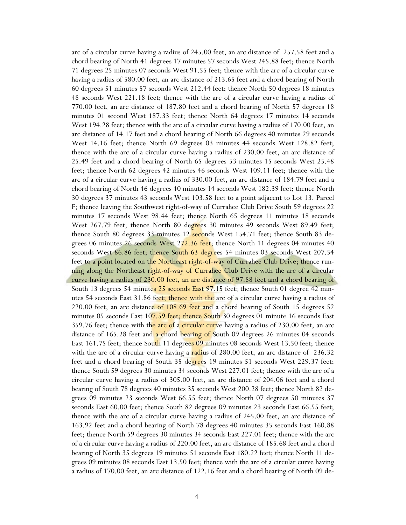arc of a circular curve having a radius of 245.00 feet, an arc distance of 257.58 feet and a chord bearing of North 41 degrees 17 minutes 57 seconds West 245.88 feet; thence North 71 degrees 25 minutes 07 seconds West 91.55 feet; thence with the arc of a circular curve having a radius of 580.00 feet, an arc distance of 213.65 feet and a chord bearing of North 60 degrees 51 minutes 57 seconds West 212.44 feet; thence North 50 degrees 18 minutes 48 seconds West 221.18 feet; thence with the arc of a circular curve having a radius of 770.00 feet, an arc distance of 187.80 feet and a chord bearing of North 57 degrees 18 minutes 01 second West 187.33 feet; thence North 64 degrees 17 minutes 14 seconds West 194.28 feet; thence with the arc of a circular curve having a radius of 170.00 feet, an arc distance of 14.17 feet and a chord bearing of North 66 degrees 40 minutes 29 seconds West 14.16 feet; thence North 69 degrees 03 minutes 44 seconds West 128.82 feet; thence with the arc of a circular curve having a radius of 230.00 feet, an arc distance of 25.49 feet and a chord bearing of North 65 degrees 53 minutes 15 seconds West 25.48 feet; thence North 62 degrees 42 minutes 46 seconds West 109.11 feet; thence with the arc of a circular curve having a radius of 330.00 feet, an arc distance of 184.79 feet and a chord bearing of North 46 degrees 40 minutes 14 seconds West 182.39 feet; thence North 30 degrees 37 minutes 43 seconds West 103.58 feet to a point adjacent to Lot 13, Parcel F; thence leaving the Southwest right-of-way of Currahee Club Drive South 59 degrees 22 minutes 17 seconds West 98.44 feet; thence North 65 degrees 11 minutes 18 seconds West 267.79 feet; thence North 80 degrees 30 minutes 49 seconds West 89.49 feet; thence South 80 degrees 33 minutes 12 seconds West 154.71 feet; thence South 83 degrees 06 minutes 26 seconds West 272.36 feet; thence North 11 degrees 04 minutes 40 seconds West 86.86 feet; thence South 63 degrees 54 minutes 03 seconds West 207.54 feet to a point located on the Northeast right-of-way of Currahee Club Drive; thence running along the Northeast right-of-way of Currahee Club Drive with the arc of a circular curve having a radius of 230.00 feet, an arc distance of 97.88 feet and a chord bearing of South 13 degrees 54 minutes 25 seconds East 97.15 feet; thence South 01 degree 42 minutes 54 seconds East 31.86 feet; thence with the arc of a circular curve having a radius of 220.00 feet, an arc distance of  $108.69$  feet and a chord bearing of South 15 degrees 52 minutes 05 seconds East  $107.59$  feet; thence South 30 degrees 01 minute 16 seconds East 359.76 feet; thence with the arc of a circular curve having a radius of 230.00 feet, an arc distance of 165.28 feet and a chord bearing of South 09 degrees 26 minutes 04 seconds East 161.75 feet; thence South 11 degrees 09 minutes 08 seconds West 13.50 feet; thence with the arc of a circular curve having a radius of  $280.00$  feet, an arc distance of  $236.32$ feet and a chord bearing of South 35 de<mark>gree</mark>s 19 minutes 51 seconds West 229.37 feet; thence South 59 degrees 30 minutes 34 seconds West 227.01 feet; thence with the arc of a circular curve having a radius of 305.00 feet, an arc distance of 204.06 feet and a chord bearing of South 78 degrees 40 minutes 35 seconds West 200.28 feet; thence North 82 degrees 09 minutes 23 seconds West 66.55 feet; thence North 07 degrees 50 minutes 37 seconds East 60.00 feet; thence South 82 degrees 09 minutes 23 seconds East 66.55 feet; thence with the arc of a circular curve having a radius of 245.00 feet, an arc distance of 163.92 feet and a chord bearing of North 78 degrees 40 minutes 35 seconds East 160.88 feet; thence North 59 degrees 30 minutes 34 seconds East 227.01 feet; thence with the arc of a circular curve having a radius of 220.00 feet, an arc distance of 185.68 feet and a chord bearing of North 35 degrees 19 minutes 51 seconds East 180.22 feet; thence North 11 degrees 09 minutes 08 seconds East 13.50 feet; thence with the arc of a circular curve having a radius of 170.00 feet, an arc distance of 122.16 feet and a chord bearing of North 09 de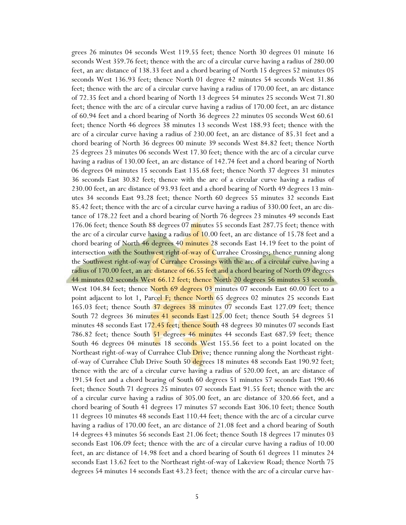grees 26 minutes 04 seconds West 119.55 feet; thence North 30 degrees 01 minute 16 seconds West 359.76 feet; thence with the arc of a circular curve having a radius of 280.00 feet, an arc distance of 138.33 feet and a chord bearing of North 15 degrees 52 minutes 05 seconds West 136.93 feet; thence North 01 degree 42 minutes 54 seconds West 31.86 feet; thence with the arc of a circular curve having a radius of 170.00 feet, an arc distance of 72.35 feet and a chord bearing of North 13 degrees 54 minutes 25 seconds West 71.80 feet; thence with the arc of a circular curve having a radius of 170.00 feet, an arc distance of 60.94 feet and a chord bearing of North 36 degrees 22 minutes 05 seconds West 60.61 feet; thence North 46 degrees 38 minutes 13 seconds West 188.93 feet; thence with the arc of a circular curve having a radius of 230.00 feet, an arc distance of 85.31 feet and a chord bearing of North 36 degrees 00 minute 39 seconds West 84.82 feet; thence North 25 degrees 23 minutes 06 seconds West 17.30 feet; thence with the arc of a circular curve having a radius of 130.00 feet, an arc distance of 142.74 feet and a chord bearing of North 06 degrees 04 minutes 15 seconds East 135.68 feet; thence North 37 degrees 31 minutes 36 seconds East 30.82 feet; thence with the arc of a circular curve having a radius of 230.00 feet, an arc distance of 93.93 feet and a chord bearing of North 49 degrees 13 minutes 34 seconds East 93.28 feet; thence North 60 degrees 55 minutes 32 seconds East 85.42 feet; thence with the arc of a circular curve having a radius of 330.00 feet, an arc distance of 178.22 feet and a chord bearing of North 76 degrees 23 minutes 49 seconds East 176.06 feet; thence South 88 degrees 07 minutes 55 seconds East 287.75 feet; thence with the arc of a circular curve having a radius of  $10.00$  feet, an arc distance of 15.78 feet and a chord bearing of North 46 degrees 40 minutes 28 seconds East 14.19 feet to the point of intersection with the Southwest right-of-way of Currahee Crossings; thence running along the Southwest right-of-way of Currahee Crossings with the arc of a circular curve having a radius of 170.00 feet, an arc distance of 66.55 feet and a chord bearing of North 09 degrees 44 minutes 02 seconds West 66.12 feet; thence North 20 degrees 56 minutes 53 seconds West 104.84 feet; thence North 69 degrees 03 minutes 07 seconds East 60.00 feet to a point adjacent to lot 1, Parcel F; thence North 65 degrees 02 minutes 25 seconds East 165.03 feet; thence South 37 degrees 38 minutes 07 seconds East 127.09 feet; thence South 72 degrees 36 minutes 41 seconds East 125.00 feet; thence South 54 degrees 51 minutes 48 seconds East 172.45 feet; thence South 48 degrees 30 minutes 07 seconds East 786.82 feet; thence South 51 degrees 46 minutes 44 seconds East 687.59 feet; thence South 46 degrees 04 minutes 18 seconds West 155.56 feet to a point located on the Northeast right-of-way of Currahee Club *Drive*; thence running along the Northeast rightof-way of Currahee Club Drive South 50 degrees 18 minutes 48 seconds East 190.92 feet; thence with the arc of a circular curve having a radius of 520.00 feet, an arc distance of 191.54 feet and a chord bearing of South 60 degrees 51 minutes 57 seconds East 190.46 feet; thence South 71 degrees 25 minutes 07 seconds East 91.55 feet; thence with the arc of a circular curve having a radius of 305.00 feet, an arc distance of 320.66 feet, and a chord bearing of South 41 degrees 17 minutes 57 seconds East 306.10 feet; thence South 11 degrees 10 minutes 48 seconds East 110.44 feet; thence with the arc of a circular curve having a radius of 170.00 feet, an arc distance of 21.08 feet and a chord bearing of South 14 degrees 43 minutes 56 seconds East 21.06 feet; thence South 18 degrees 17 minutes 03 seconds East 106.09 feet; thence with the arc of a circular curve having a radius of 10.00 feet, an arc distance of 14.98 feet and a chord bearing of South 61 degrees 11 minutes 24 seconds East 13.62 feet to the Northeast right-of-way of Lakeview Road; thence North 75 degrees 54 minutes 14 seconds East 43.23 feet; thence with the arc of a circular curve hav-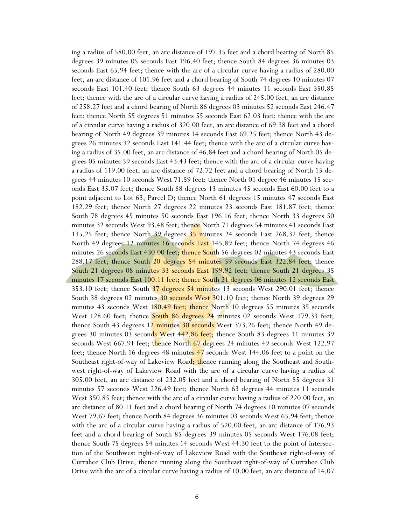ing a radius of 580.00 feet, an arc distance of 197.35 feet and a chord bearing of North 85 degrees 39 minutes 05 seconds East 196.40 feet; thence South 84 degrees 36 minutes 03 seconds East 65.94 feet; thence with the arc of a circular curve having a radius of 280.00 feet, an arc distance of 101.96 feet and a chord bearing of South 74 degrees 10 minutes 07 seconds East 101.40 feet; thence South 63 degrees 44 minutes 11 seconds East 350.85 feet; thence with the arc of a circular curve having a radius of 245.00 feet, an arc distance of 258.27 feet and a chord bearing of North 86 degrees 03 minutes 52 seconds East 246.47 feet; thence North 55 degrees 51 minutes 55 seconds East 62.03 feet; thence with the arc of a circular curve having a radius of 320.00 feet, an arc distance of 69.38 feet and a chord bearing of North 49 degrees 39 minutes 14 seconds East 69.25 feet; thence North 43 degrees 26 minutes 32 seconds East 141.44 feet; thence with the arc of a circular curve having a radius of 35.00 feet, an arc distance of 46.84 feet and a chord bearing of North 05 degrees 05 minutes 59 seconds East 43.43 feet; thence with the arc of a circular curve having a radius of 119.00 feet, an arc distance of 72.72 feet and a chord bearing of North 15 degrees 44 minutes 10 seconds West 71.59 feet; thence North 01 degree 46 minutes 15 seconds East 35.07 feet; thence South 88 degrees 13 minutes 45 seconds East 60.00 feet to a point adjacent to Lot 63, Parcel D; thence North 61 degrees 15 minutes 47 seconds East 182.29 feet; thence North 27 degrees 22 minutes 23 seconds East 181.87 feet; thence South 78 degrees 45 minutes 50 seconds East 196.16 feet; thence North 33 degrees 50 minutes 32 seconds West 93.48 feet; thence North 71 degrees 54 minutes 41 seconds East 135.25 feet; thence North 39 degrees 35 minutes 24 seconds East 268.32 feet; thence North 49 degrees 12 minutes 16 seconds East 145.89 feet; thence North 74 degrees 46 minutes 26 seconds East 430.00 feet; thence South 56 degrees 02 minutes 43 seconds East 288.17 feet; thence South 20 degrees 54 minutes 59 seconds East 322.84 feet; thence South 21 degrees 08 minutes 33 seconds East 199.92 feet; thence South 21 degrees 35 minutes 17 seconds East 100.11 feet; thence South 21 degrees 06 minutes 12 seconds East 353.10 feet; thence South 37 degrees 54 minutes 13 seconds West 290.01 feet; thence South 38 degrees 02 minutes 30 seconds West 301.10 feet; thence North 39 degrees 29 minutes 43 seconds West 180.49 feet; thence North 10 degrees 55 minutes 35 seconds West 128.60 feet; thence South 86 degrees 24 minutes 02 seconds West 179.33 feet; thence South 43 degrees 12 minutes 30 seconds West 373.26 feet; thence North 49 degrees 30 minutes 03 seconds West 442.86 feet; thence South 83 degrees 11 minutes 39 seconds West 667.91 feet; thence North 67 degrees 24 minutes 49 seconds West 122.97 feet; thence North 16 degrees 48 minutes 47 seconds West 144.06 feet to a point on the Southeast right-of-way of Lakeview Road; thence running along the Southeast and Southwest right-of-way of Lakeview Road with the arc of a circular curve having a radius of 305.00 feet, an arc distance of 232.05 feet and a chord bearing of North 85 degrees 31 minutes 57 seconds West 226.49 feet; thence North 63 degrees 44 minutes 11 seconds West 350.85 feet; thence with the arc of a circular curve having a radius of 220.00 feet, an arc distance of 80.11 feet and a chord bearing of North 74 degrees 10 minutes 07 seconds West 79.67 feet; thence North 84 degrees 36 minutes 03 seconds West 65.94 feet; thence with the arc of a circular curve having a radius of 520.00 feet, an arc distance of 176.93 feet and a chord bearing of South 85 degrees 39 minutes 05 seconds West 176.08 feet; thence South 75 degrees 54 minutes 14 seconds West 44.30 feet to the point of intersection of the Southwest right-of-way of Lakeview Road with the Southeast right-of-way of Currahee Club Drive; thence running along the Southeast right-of-way of Currahee Club Drive with the arc of a circular curve having a radius of 10.00 feet, an arc distance of 14.07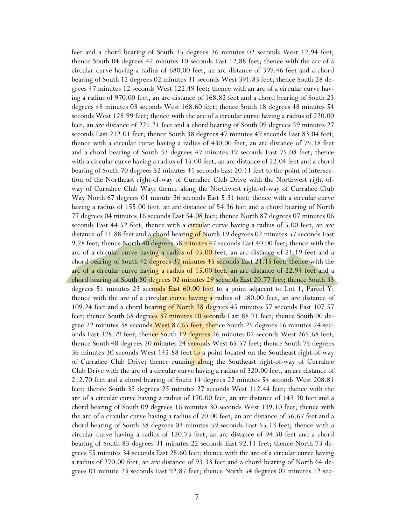feet and a chord bearing of South 35 degrees 36 minutes 02 seconds West 12.94 feet; thence South 04 degrees 42 minutes 10 seconds East 12.88 feet; thence with the arc of a circular curve having a radius of 680.00 feet, an arc distance of 397.46 feet and a chord bearing of South 12 degrees 02 minutes 31 seconds West 391.83 feet; thence South 28 degrees 47 minutes 12 seconds West 122.49 feet; thence with an arc of a circular curve having a radius of 970.00 feet, an arc distance of 168.82 feet and a chord bearing of South 23 degrees 48 minutes 03 seconds West 168.60 feet; thence South 18 degrees 48 minutes 54 seconds West 128.99 feet; thence with the arc of a circular curve having a radius of 220.00 feet, an arc distance of 221.21 feet and a chord bearing of South 09 degrees 59 minutes 27 seconds East 212.01 feet; thence South 38 degrees 47 minutes 49 seconds East 83.04 feet; thence with a circular curve having a radius of 430.00 feet, an arc distance of 75.18 feet and a chord bearing of South 33 degrees 47 minutes 19 seconds East 75.08 feet; thence with a circular curve having a radius of 15.00 feet, an arc distance of 22.04 feet and a chord bearing of South 70 degrees 52 minutes 41 seconds East 20.11 feet to the point of intersection of the Northeast right-of-way of Currahee Club Drive with the Northwest right-ofway of Currahee Club Way; thence along the Northwest right-of-way of Currahee Club Way North 67 degrees 01 minute 26 seconds East 5.31 feet; thence with a circular curve having a radius of 155.00 feet, an arc distance of 54.36 feet and a chord bearing of North 77 degrees 04 minutes 16 seconds East 54.08 feet; thence North 87 degrees 07 minutes 06 seconds East 44.52 feet; thence with a circular curve having a radius of 5.00 feet, an arc distance of 11.88 feet and a chord bearing of North 19 degrees 02 minutes 57 seconds East 9.28 feet; thence North 40 degrees 58 minutes 47 seconds East 40.00 feet; thence with the arc of a circular curve having a radius of 95.00 feet, an arc distance of 21.19 feet and a chord bearing of South 42 degrees 37 minutes 45 seconds East 21.15 feet; thence with the arc of a circular curve having a radius of 15.00 feet, an arc distance of 22.94 feet and a chord bearing of South 80 degrees 02 minutes 29 seconds East 20.77 feet; thence South 33 degrees 51 minutes 23 seconds East 60.00 feet to a point adjacent to Lot 1, Parcel Y; thence with the arc of a circular curve having a radius of 180.00 feet, an arc distance of 109.24 feet and a chord bearing of North 38 degrees 45 minutes 57 seconds East 107.57 feet; thence South 68 degrees 37 minutes 10 seconds East 88.71 feet; thence South 00 degree 22 minutes 38 seconds West 87.65 feet; thence South 25 degrees 16 minutes 24 seconds East 328.79 feet; thence South 19 degrees 26 minutes 02 seconds West 265.68 feet; thence South 48 degrees 20 minutes 24 seconds West 65.57 feet; thence South 75 degrees 36 minutes 30 seconds West 142.88 feet to a point located on the Southeast right-of-way of Currahee Club Drive; thence running along the Southeast right-of-way of Currahee Club Drive with the arc of a circular curve having a radius of 320.00 feet, an arc distance of 212.70 feet and a chord bearing of South 14 degrees 22 minutes 54 seconds West 208.81 feet; thence South 33 degrees 25 minutes 27 seconds West 112.44 feet; thence with the arc of a circular curve having a radius of 170.00 feet, an arc distance of 143.30 feet and a chord bearing of South 09 degrees 16 minutes 30 seconds West 139.10 feet; thence with the arc of a circular curve having a radius of 70.00 feet, an arc distance of 56.67 feet and a chord bearing of South 38 degrees 03 minutes 59 seconds East 55.13 feet; thence with a circular curve having a radius of 120.75 feet, an arc distance of 94.50 feet and a chord bearing of South 83 degrees 31 minutes 22 seconds East 92.11 feet; thence North 73 degrees 55 minutes 34 seconds East 28.60 feet; thence with the arc of a circular curve having a radius of 270.00 feet, an arc distance of 93.33 feet and a chord bearing of North 64 degrees 01 minute 23 seconds East 92.87 feet; thence North 54 degrees 07 minutes 12 sec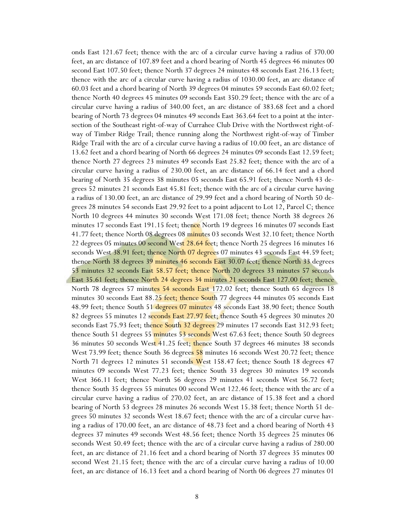onds East 121.67 feet; thence with the arc of a circular curve having a radius of 370.00 feet, an arc distance of 107.89 feet and a chord bearing of North 45 degrees 46 minutes 00 second East 107.50 feet; thence North 37 degrees 24 minutes 48 seconds East 216.13 feet; thence with the arc of a circular curve having a radius of 1030.00 feet, an arc distance of 60.03 feet and a chord bearing of North 39 degrees 04 minutes 59 seconds East 60.02 feet; thence North 40 degrees 45 minutes 09 seconds East 350.29 feet; thence with the arc of a circular curve having a radius of 340.00 feet, an arc distance of 383.68 feet and a chord bearing of North 73 degrees 04 minutes 49 seconds East 363.64 feet to a point at the intersection of the Southeast right-of-way of Currahee Club Drive with the Northwest right-ofway of Timber Ridge Trail; thence running along the Northwest right-of-way of Timber Ridge Trail with the arc of a circular curve having a radius of 10.00 feet, an arc distance of 13.62 feet and a chord bearing of North 66 degrees 24 minutes 09 seconds East 12.59 feet; thence North 27 degrees 23 minutes 49 seconds East 25.82 feet; thence with the arc of a circular curve having a radius of 230.00 feet, an arc distance of 66.14 feet and a chord bearing of North 35 degrees 38 minutes 05 seconds East 65.91 feet; thence North 43 degrees 52 minutes 21 seconds East 45.81 feet; thence with the arc of a circular curve having a radius of 130.00 feet, an arc distance of 29.99 feet and a chord bearing of North 50 degrees 28 minutes 54 seconds East 29.92 feet to a point adjacent to Lot 12, Parcel C; thence North 10 degrees 44 minutes 30 seconds West 171.08 feet; thence North 38 degrees 26 minutes 17 seconds East 191.15 feet; thence North 19 degrees 16 minutes 07 seconds East 41.77 feet; thence North 08 degrees 08 minutes 03 seconds West 32.10 feet; thence North 22 degrees 05 minutes 00 second West 28.64 feet; thence North 25 degrees 16 minutes 16 seconds West 38.91 feet; thence North 07 degrees 07 minutes 43 seconds East 44.59 feet; thence North 38 degrees 39 minutes 46 seconds East 30.07 feet; thence North 33 degrees 53 minutes 32 seconds East 58.57 feet; thence North 20 degrees 33 minutes 57 seconds East 35.61 feet; thence North 24 degrees 34 minutes 21 seconds East 127.00 feet; thence North 78 degrees 57 minutes 54 seconds East 172.02 feet; thence South 65 degrees 18 minutes 30 seconds East 88.25 feet; thence South 77 degrees 44 minutes 05 seconds East 48.99 feet; thence South 51 degrees 07 minutes 48 seconds East 38.90 feet; thence South 82 degrees 55 minutes 12 seconds East 27.97 feet; thence South 45 degrees 30 minutes 20 seconds East 75.93 feet; thence South 32 degrees 29 minutes 17 seconds East 312.93 feet; thence South 51 degrees 55 minutes 53 seconds West 67.63 feet; thence South 50 degrees 36 minutes 50 seconds West 41.25 feet; thence South 37 degrees 46 minutes 38 seconds West 73.99 feet; thence South 36 degrees 58 minutes 16 seconds West 20.72 feet; thence North 71 degrees 12 minutes 51 seconds West 158.47 feet; thence South 18 degrees 47 minutes 09 seconds West 77.23 feet; thence South 33 degrees 30 minutes 19 seconds West 366.11 feet; thence North 56 degrees 29 minutes 41 seconds West 56.72 feet; thence South 35 degrees 55 minutes 00 second West 122.46 feet; thence with the arc of a circular curve having a radius of 270.02 feet, an arc distance of 15.38 feet and a chord bearing of North 53 degrees 28 minutes 26 seconds West 15.38 feet; thence North 51 degrees 50 minutes 32 seconds West 18.67 feet; thence with the arc of a circular curve having a radius of 170.00 feet, an arc distance of 48.73 feet and a chord bearing of North 43 degrees 37 minutes 49 seconds West 48.56 feet; thence North 35 degrees 25 minutes 06 seconds West 50.49 feet; thence with the arc of a circular curve having a radius of 280.00 feet, an arc distance of 21.16 feet and a chord bearing of North 37 degrees 35 minutes 00 second West 21.15 feet; thence with the arc of a circular curve having a radius of 10.00 feet, an arc distance of 16.13 feet and a chord bearing of North 06 degrees 27 minutes 01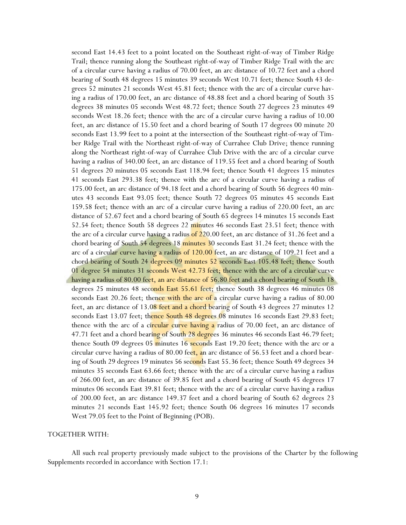second East 14.43 feet to a point located on the Southeast right-of-way of Timber Ridge Trail; thence running along the Southeast right-of-way of Timber Ridge Trail with the arc of a circular curve having a radius of 70.00 feet, an arc distance of 10.72 feet and a chord bearing of South 48 degrees 15 minutes 39 seconds West 10.71 feet; thence South 43 degrees 52 minutes 21 seconds West 45.81 feet; thence with the arc of a circular curve having a radius of 170.00 feet, an arc distance of 48.88 feet and a chord bearing of South 35 degrees 38 minutes 05 seconds West 48.72 feet; thence South 27 degrees 23 minutes 49 seconds West 18.26 feet; thence with the arc of a circular curve having a radius of 10.00 feet, an arc distance of 15.50 feet and a chord bearing of South 17 degrees 00 minute 20 seconds East 13.99 feet to a point at the intersection of the Southeast right-of-way of Timber Ridge Trail with the Northeast right-of-way of Currahee Club Drive; thence running along the Northeast right-of-way of Currahee Club Drive with the arc of a circular curve having a radius of 340.00 feet, an arc distance of 119.55 feet and a chord bearing of South 51 degrees 20 minutes 05 seconds East 118.94 feet; thence South 41 degrees 15 minutes 41 seconds East 293.38 feet; thence with the arc of a circular curve having a radius of 175.00 feet, an arc distance of 94.18 feet and a chord bearing of South 56 degrees 40 minutes 43 seconds East 93.05 feet; thence South 72 degrees 05 minutes 45 seconds East 159.58 feet; thence with an arc of a circular curve having a radius of 220.00 feet, an arc distance of 52.67 feet and a chord bearing of South 65 degrees 14 minutes 15 seconds East 52.54 feet; thence South 58 degrees 22 minutes 46 seconds East 23.51 feet; thence with the arc of a circular curve having a radius of  $220.00$  feet, an arc distance of 31.26 feet and a chord bearing of South 54 degrees 18 minutes 30 seconds East 31.24 feet; thence with the arc of a circular curve having a radius of 120.00 feet, an arc distance of 109.21 feet and a chord bearing of South 24 degrees 09 minutes 52 seconds East 105.48 feet; thence South 01 degree 54 minutes 31 seconds West 42.73 feet; thence with the arc of a circular curve having a radius of 80.00 feet, an arc distance of 56.80 feet and a chord bearing of South 18 degrees 25 minutes 48 seconds East 55.61 feet; thence South 38 degrees 46 minutes 08 seconds East 20.26 feet; thence with the arc of a circular curve having a radius of 80.00 feet, an arc distance of 13.08 feet and a chord bearing of South 43 degrees 27 minutes 12 seconds East 13.07 feet; thence South 48 degrees 08 minutes 16 seconds East 29.83 feet; thence with the arc of a circular curve having a radius of 70.00 feet, an arc distance of 47.71 feet and a chord bearing of South 28 degrees 36 minutes 46 seconds East 46.79 feet; thence South 09 degrees 05 minutes 16 seconds East 19.20 feet; thence with the arc or a circular curve having a radius of 80.00 feet, an arc distance of 56.53 feet and a chord bearing of South 29 degrees 19 minutes 56 seconds East 55.36 feet; thence South 49 degrees 34 minutes 35 seconds East 63.66 feet; thence with the arc of a circular curve having a radius of 266.00 feet, an arc distance of 39.85 feet and a chord bearing of South 45 degrees 17 minutes 06 seconds East 39.81 feet; thence with the arc of a circular curve having a radius of 200.00 feet, an arc distance 149.37 feet and a chord bearing of South 62 degrees 23 minutes 21 seconds East 145.92 feet; thence South 06 degrees 16 minutes 17 seconds West 79.05 feet to the Point of Beginning (POB).

#### TOGETHER WITH:

 All such real property previously made subject to the provisions of the Charter by the following Supplements recorded in accordance with Section 17.1: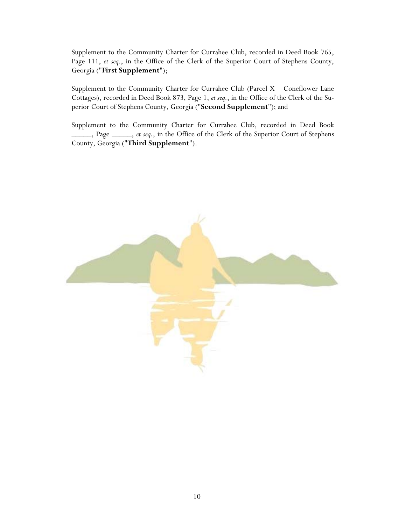Supplement to the Community Charter for Currahee Club, recorded in Deed Book 765, Page 111, *et seq.*, in the Office of the Clerk of the Superior Court of Stephens County, Georgia ("**First Supplement**");

Supplement to the Community Charter for Currahee Club (Parcel  $X -$  Coneflower Lane Cottages), recorded in Deed Book 873, Page 1, *et seq.*, in the Office of the Clerk of the Superior Court of Stephens County, Georgia ("**Second Supplement**"); and

Supplement to the Community Charter for Currahee Club, recorded in Deed Book \_\_\_\_\_, Page \_\_\_\_\_, *et seq.*, in the Office of the Clerk of the Superior Court of Stephens County, Georgia ("**Third Supplement**").

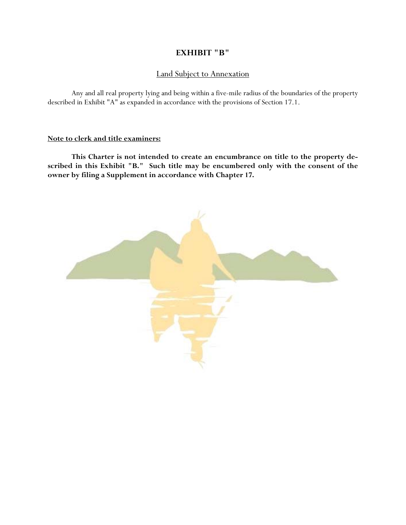## **EXHIBIT "B"**

## Land Subject to Annexation

 Any and all real property lying and being within a five-mile radius of the boundaries of the property described in Exhibit "A" as expanded in accordance with the provisions of Section 17.1.

## **Note to clerk and title examiners:**

 **This Charter is not intended to create an encumbrance on title to the property described in this Exhibit "B." Such title may be encumbered only with the consent of the owner by filing a Supplement in accordance with Chapter 17.** 

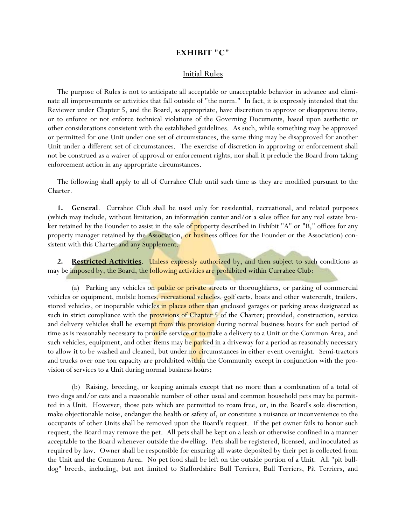#### **EXHIBIT "C"**

#### Initial Rules

The purpose of Rules is not to anticipate all acceptable or unacceptable behavior in advance and eliminate all improvements or activities that fall outside of "the norm." In fact, it is expressly intended that the Reviewer under Chapter 5, and the Board, as appropriate, have discretion to approve or disapprove items, or to enforce or not enforce technical violations of the Governing Documents, based upon aesthetic or other considerations consistent with the established guidelines. As such, while something may be approved or permitted for one Unit under one set of circumstances, the same thing may be disapproved for another Unit under a different set of circumstances. The exercise of discretion in approving or enforcement shall not be construed as a waiver of approval or enforcement rights, nor shall it preclude the Board from taking enforcement action in any appropriate circumstances.

The following shall apply to all of Currahee Club until such time as they are modified pursuant to the Charter.

**1. General**. Currahee Club shall be used only for residential, recreational, and related purposes (which may include, without limitation, an information center and/or a sales office for any real estate broker retained by the Founder to assist in the sale of **property** described in Exhibit "A" or "B," offices for any property manager retained by the Association, or business offices for the Founder or the Association) consistent with this Charter and any Supplement.

**2. Restricted Activities**. Unless expressly authorized by, and then subject to such conditions as may be imposed by, the Board, the following activities are prohibited within Currahee Club:

(a) Parking any vehicles on **public or private streets** or thoroughfares, or parking of commercial vehicles or equipment, mobile homes, recreational vehicles, golf carts, boats and other watercraft, trailers, stored vehicles, or inoperable vehicles in places other than enclosed garages or parking areas designated as such in strict compliance with the **provisions of Chapter 5** of the Charter; provided, construction, service and delivery vehicles shall be exempt from this provision during normal business hours for such period of time as is reasonably necessary to provide service or to make a delivery to a Unit or the Common Area, and such vehicles, equipment, and other items may be **parked** in a driveway for a period as reasonably necessary to allow it to be washed and cleaned, but under no circumstances in either event overnight. Semi-tractors and trucks over one ton capacity are prohibited within the Community except in conjunction with the provision of services to a Unit during normal business hours;

 (b) Raising, breeding, or keeping animals except that no more than a combination of a total of two dogs and/or cats and a reasonable number of other usual and common household pets may be permitted in a Unit. However, those pets which are permitted to roam free, or, in the Board's sole discretion, make objectionable noise, endanger the health or safety of, or constitute a nuisance or inconvenience to the occupants of other Units shall be removed upon the Board's request. If the pet owner fails to honor such request, the Board may remove the pet. All pets shall be kept on a leash or otherwise confined in a manner acceptable to the Board whenever outside the dwelling. Pets shall be registered, licensed, and inoculated as required by law. Owner shall be responsible for ensuring all waste deposited by their pet is collected from the Unit and the Common Area. No pet food shall be left on the outside portion of a Unit. All "pit bulldog" breeds, including, but not limited to Staffordshire Bull Terriers, Bull Terriers, Pit Terriers, and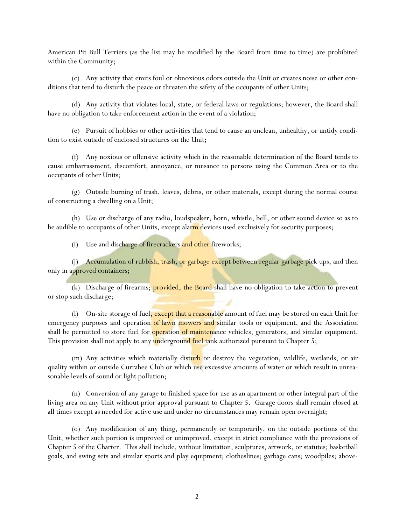American Pit Bull Terriers (as the list may be modified by the Board from time to time) are prohibited within the Community;

 (c) Any activity that emits foul or obnoxious odors outside the Unit or creates noise or other conditions that tend to disturb the peace or threaten the safety of the occupants of other Units;

 (d) Any activity that violates local, state, or federal laws or regulations; however, the Board shall have no obligation to take enforcement action in the event of a violation;

 (e) Pursuit of hobbies or other activities that tend to cause an unclean, unhealthy, or untidy condition to exist outside of enclosed structures on the Unit;

 (f) Any noxious or offensive activity which in the reasonable determination of the Board tends to cause embarrassment, discomfort, annoyance, or nuisance to persons using the Common Area or to the occupants of other Units;

 (g) Outside burning of trash, leaves, debris, or other materials, except during the normal course of constructing a dwelling on a Unit;

 (h) Use or discharge of any radio, loudspeaker, horn, whistle, bell, or other sound device so as to be audible to occupants of other Units, except alarm devices used exclusively for security purposes;

(i) Use and discharge of firecrackers and other fireworks;

(j) Accumulation of rubbish, trash, or garbage except between regular garbage pick ups, and then only in approved containers;

(k) Discharge of firearms; provided, the Board shall have no obligation to take action to prevent or stop such discharge;

(l) On-site storage of fuel, except that a reasonable amount of fuel may be stored on each Unit for emergency purposes and operation of lawn mowers and similar tools or equipment, and the Association shall be permitted to store fuel for **operation of maintenance** vehicles, generators, and similar equipment. This provision shall not apply to any underground fuel tank authorized pursuant to Chapter 5;

(m) Any activities which materially disturb or destroy the vegetation, wildlife, wetlands, or air quality within or outside Currahee Club or which use excessive amounts of water or which result in unreasonable levels of sound or light pollution;

 (n) Conversion of any garage to finished space for use as an apartment or other integral part of the living area on any Unit without prior approval pursuant to Chapter 5. Garage doors shall remain closed at all times except as needed for active use and under no circumstances may remain open overnight;

 (o) Any modification of any thing, permanently or temporarily, on the outside portions of the Unit, whether such portion is improved or unimproved, except in strict compliance with the provisions of Chapter 5 of the Charter. This shall include, without limitation, sculptures, artwork, or statutes; basketball goals, and swing sets and similar sports and play equipment; clotheslines; garbage cans; woodpiles; above-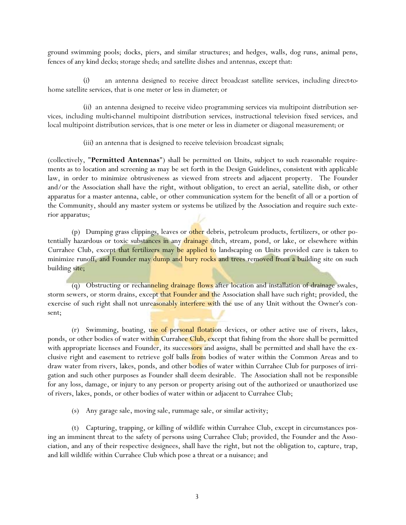ground swimming pools; docks, piers, and similar structures; and hedges, walls, dog runs, animal pens, fences of any kind decks; storage sheds; and satellite dishes and antennas, except that:

 (i) an antenna designed to receive direct broadcast satellite services, including direct-tohome satellite services, that is one meter or less in diameter; or

 (ii) an antenna designed to receive video programming services via multipoint distribution services, including multi-channel multipoint distribution services, instructional television fixed services, and local multipoint distribution services, that is one meter or less in diameter or diagonal measurement; or

(iii) an antenna that is designed to receive television broadcast signals;

(collectively, "**Permitted Antennas**") shall be permitted on Units, subject to such reasonable requirements as to location and screening as may be set forth in the Design Guidelines, consistent with applicable law, in order to minimize obtrusiveness as viewed from streets and adjacent property. The Founder and/or the Association shall have the right, without obligation, to erect an aerial, satellite dish, or other apparatus for a master antenna, cable, or other communication system for the benefit of all or a portion of the Community, should any master system or systems be utilized by the Association and require such exterior apparatus;

(p) Dumping grass clippings, leaves or other debris, petroleum products, fertilizers, or other potentially hazardous or toxic substances in any drainage ditch, stream, pond, or lake, or elsewhere within Currahee Club, except that fertilizers may be applied to landscaping on Units provided care is taken to minimize runoff, and Founder may dump and bury rocks and trees removed from a building site on such building site;

 (q) Obstructing or rechanneling drainage flows after location and installation of drainage swales, storm sewers, or storm drains, except that Founder and the Association shall have such right; provided, the exercise of such right shall not unreasonably interfere with the use of any Unit without the Owner's consent;

(r) Swimming, boating, use of personal flotation devices, or other active use of rivers, lakes, ponds, or other bodies of water within Currahee Club, except that fishing from the shore shall be permitted with appropriate licenses and Founder, its successors and assigns, shall be permitted and shall have the exclusive right and easement to retrieve golf balls *from* bodies of water within the Common Areas and to draw water from rivers, lakes, ponds, and other bodies of water within Currahee Club for purposes of irrigation and such other purposes as Founder shall deem desirable. The Association shall not be responsible for any loss, damage, or injury to any person or property arising out of the authorized or unauthorized use of rivers, lakes, ponds, or other bodies of water within or adjacent to Currahee Club;

(s) Any garage sale, moving sale, rummage sale, or similar activity;

 (t) Capturing, trapping, or killing of wildlife within Currahee Club, except in circumstances posing an imminent threat to the safety of persons using Currahee Club; provided, the Founder and the Association, and any of their respective designees, shall have the right, but not the obligation to, capture, trap, and kill wildlife within Currahee Club which pose a threat or a nuisance; and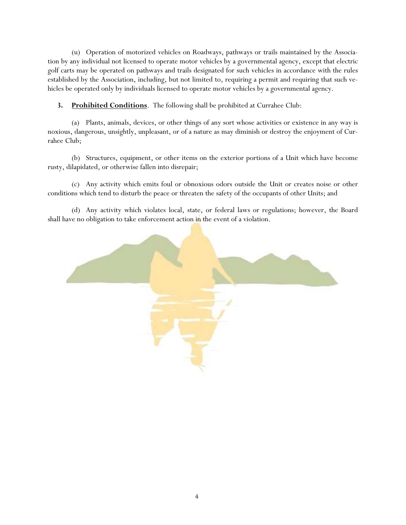(u) Operation of motorized vehicles on Roadways, pathways or trails maintained by the Association by any individual not licensed to operate motor vehicles by a governmental agency, except that electric golf carts may be operated on pathways and trails designated for such vehicles in accordance with the rules established by the Association, including, but not limited to, requiring a permit and requiring that such vehicles be operated only by individuals licensed to operate motor vehicles by a governmental agency.

**3. Prohibited Conditions**. The following shall be prohibited at Currahee Club:

 (a) Plants, animals, devices, or other things of any sort whose activities or existence in any way is noxious, dangerous, unsightly, unpleasant, or of a nature as may diminish or destroy the enjoyment of Currahee Club;

 (b) Structures, equipment, or other items on the exterior portions of a Unit which have become rusty, dilapidated, or otherwise fallen into disrepair;

 (c) Any activity which emits foul or obnoxious odors outside the Unit or creates noise or other conditions which tend to disturb the peace or threaten the safety of the occupants of other Units; and

 (d) Any activity which violates local, state, or federal laws or regulations; however, the Board shall have no obligation to take enforcement action in the event of a violation.

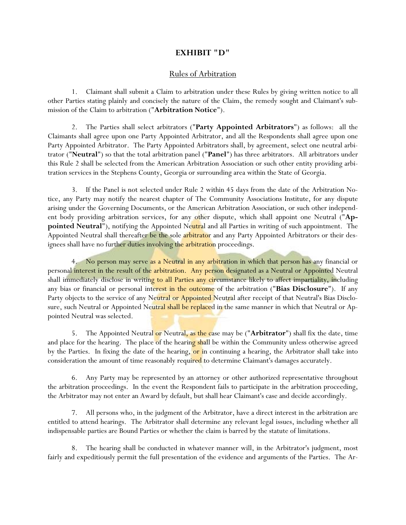## **EXHIBIT "D"**

## Rules of Arbitration

 1. Claimant shall submit a Claim to arbitration under these Rules by giving written notice to all other Parties stating plainly and concisely the nature of the Claim, the remedy sought and Claimant's submission of the Claim to arbitration ("**Arbitration Notice**").

 2. The Parties shall select arbitrators ("**Party Appointed Arbitrators**") as follows: all the Claimants shall agree upon one Party Appointed Arbitrator, and all the Respondents shall agree upon one Party Appointed Arbitrator. The Party Appointed Arbitrators shall, by agreement, select one neutral arbitrator ("**Neutral**") so that the total arbitration panel ("**Panel**") has three arbitrators. All arbitrators under this Rule 2 shall be selected from the American Arbitration Association or such other entity providing arbitration services in the Stephens County, Georgia or surrounding area within the State of Georgia.

 3. If the Panel is not selected under Rule 2 within 45 days from the date of the Arbitration Notice, any Party may notify the nearest chapter of The Community Associations Institute, for any dispute arising under the Governing Documents, or the American Arbitration Association, or such other independent body providing arbitration services, for any other dispute, which shall appoint one Neutral ("**Appointed Neutral**"), notifying the Appointed Neutral and all Parties in writing of such appointment. The Appointed Neutral shall thereafter be the sole arbitrator and any Party Appointed Arbitrators or their designees shall have no further duties involving the arbitration proceedings.

 4. No person may serve as a Neutral in any arbitration in which that person has any financial or personal interest in the result of the arbitration. Any person designated as a Neutral or Appointed Neutral shall immediately disclose in writing to all Parties any circumstance likely to affect impartiality, including any bias or financial or personal interest in the outcome of the arbitration ("**Bias Disclosure**"). If any Party objects to the service of any Neutral or Appointed Neutral after receipt of that Neutral's Bias Disclosure, such Neutral or Appointed Neutral shall be replaced in the same manner in which that Neutral or Appointed Neutral was selected.

 5. The Appointed Neutral or Neutral, as the case may be ("**Arbitrator**") shall fix the date, time and place for the hearing. The place of the hearing shall be within the Community unless otherwise agreed by the Parties. In fixing the date of the hearing, or in continuing a hearing, the Arbitrator shall take into consideration the amount of time reasonably required to determine Claimant's damages accurately.

 6. Any Party may be represented by an attorney or other authorized representative throughout the arbitration proceedings. In the event the Respondent fails to participate in the arbitration proceeding, the Arbitrator may not enter an Award by default, but shall hear Claimant's case and decide accordingly.

 7. All persons who, in the judgment of the Arbitrator, have a direct interest in the arbitration are entitled to attend hearings. The Arbitrator shall determine any relevant legal issues, including whether all indispensable parties are Bound Parties or whether the claim is barred by the statute of limitations.

 8. The hearing shall be conducted in whatever manner will, in the Arbitrator's judgment, most fairly and expeditiously permit the full presentation of the evidence and arguments of the Parties. The Ar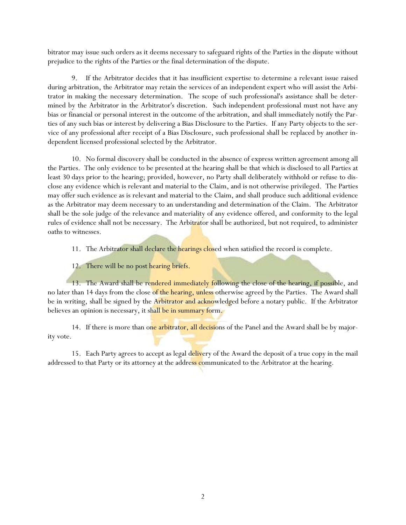bitrator may issue such orders as it deems necessary to safeguard rights of the Parties in the dispute without prejudice to the rights of the Parties or the final determination of the dispute.

 9. If the Arbitrator decides that it has insufficient expertise to determine a relevant issue raised during arbitration, the Arbitrator may retain the services of an independent expert who will assist the Arbitrator in making the necessary determination. The scope of such professional's assistance shall be determined by the Arbitrator in the Arbitrator's discretion. Such independent professional must not have any bias or financial or personal interest in the outcome of the arbitration, and shall immediately notify the Parties of any such bias or interest by delivering a Bias Disclosure to the Parties. If any Party objects to the service of any professional after receipt of a Bias Disclosure, such professional shall be replaced by another independent licensed professional selected by the Arbitrator.

 10. No formal discovery shall be conducted in the absence of express written agreement among all the Parties. The only evidence to be presented at the hearing shall be that which is disclosed to all Parties at least 30 days prior to the hearing; provided, however, no Party shall deliberately withhold or refuse to disclose any evidence which is relevant and material to the Claim, and is not otherwise privileged. The Parties may offer such evidence as is relevant and material to the Claim, and shall produce such additional evidence as the Arbitrator may deem necessary to an understanding and determination of the Claim. The Arbitrator shall be the sole judge of the relevance and materiality of any evidence offered, and conformity to the legal rules of evidence shall not be necessary. The Arbitrator shall be authorized, but not required, to administer oaths to witnesses.

11. The Arbitrator shall declare the hearings closed when satisfied the record is complete.

12. There will be no post hearing briefs.

13. The Award shall be rendered immediately following the close of the hearing, if possible, and no later than 14 days from the close of the hearing, unless otherwise agreed by the Parties. The Award shall be in writing, shall be signed by the Arbitrator and acknowledged before a notary public. If the Arbitrator believes an opinion is necessary, it shall be in summary form.

14. If there is more than one arbitrator, all decisions of the Panel and the Award shall be by majority vote.

15. Each Party agrees to accept as legal delivery of the Award the deposit of a true copy in the mail addressed to that Party or its attorney at the address communicated to the Arbitrator at the hearing.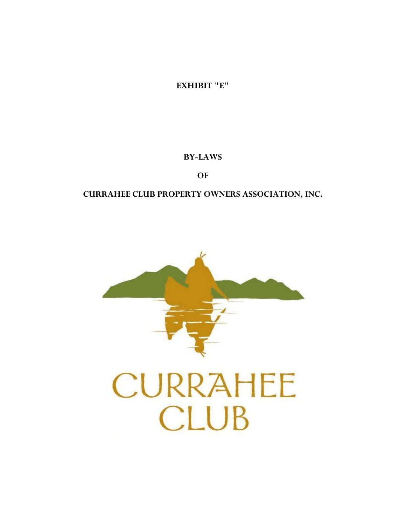

# **CURRAHEE CLUB PROPERTY OWNERS ASSOCIATION, INC.**

**OF** 

**BY-LAWS** 

**EXHIBIT "E"**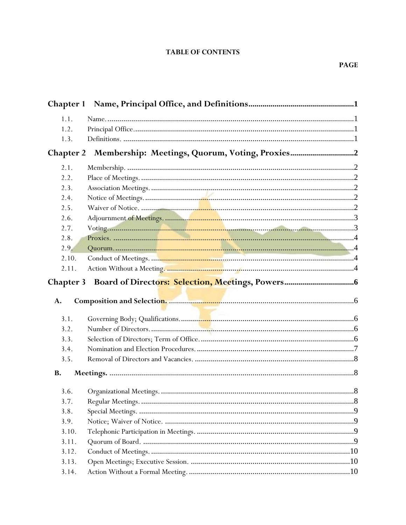## **TABLE OF CONTENTS**

| 1.1.                   |  |
|------------------------|--|
| 1.2.                   |  |
| 1.3.                   |  |
| <b>Chapter 2</b>       |  |
| 2.1.                   |  |
| 2.2.                   |  |
| 2.3.                   |  |
| 2.4.                   |  |
| 2.5.                   |  |
| 2.6.                   |  |
| 2.7.                   |  |
| 2.8.                   |  |
| 2.9.                   |  |
| 2.10.                  |  |
| 2.11.                  |  |
| <b>Chapter 3</b><br>A. |  |
| 3.1.                   |  |
| 3.2.                   |  |
| 3.3.                   |  |
| 3.4.                   |  |
| 3.5.                   |  |
| <b>B.</b>              |  |
| 3.6.                   |  |
| 3.7.                   |  |
| 3.8.                   |  |
| 3.9.                   |  |
| 3.10.                  |  |
| 3.11.                  |  |
| 3.12.                  |  |
| 3.13.                  |  |
| 3.14.                  |  |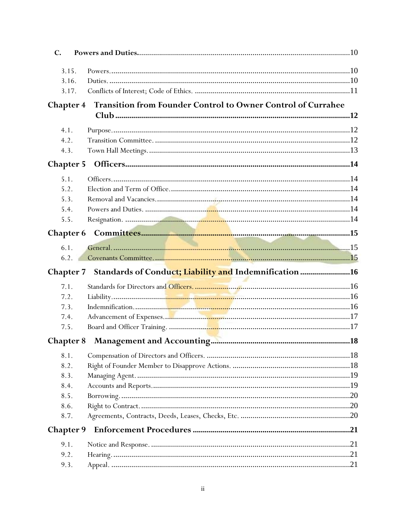| $\mathbf{C}$ .   |                                                                                  |  |  |  |  |
|------------------|----------------------------------------------------------------------------------|--|--|--|--|
| 3.15.            |                                                                                  |  |  |  |  |
| 3.16.            |                                                                                  |  |  |  |  |
| 3.17.            |                                                                                  |  |  |  |  |
|                  | Transition from Founder Control to Owner Control of Currahee<br><b>Chapter 4</b> |  |  |  |  |
|                  |                                                                                  |  |  |  |  |
| 4.1.             |                                                                                  |  |  |  |  |
| 4.2.             |                                                                                  |  |  |  |  |
| 4.3.             |                                                                                  |  |  |  |  |
|                  |                                                                                  |  |  |  |  |
| 5.1.             |                                                                                  |  |  |  |  |
| 5.2.             |                                                                                  |  |  |  |  |
| 5.3.             |                                                                                  |  |  |  |  |
| 5.4.             |                                                                                  |  |  |  |  |
| 5.5.             |                                                                                  |  |  |  |  |
| <b>Chapter 6</b> |                                                                                  |  |  |  |  |
| 6.1.             |                                                                                  |  |  |  |  |
| 6.2.             |                                                                                  |  |  |  |  |
|                  |                                                                                  |  |  |  |  |
|                  | Chapter 7 Standards of Conduct; Liability and Indemnification 16                 |  |  |  |  |
| 7.1.             |                                                                                  |  |  |  |  |
| 7.2.             |                                                                                  |  |  |  |  |
| 7.3.             |                                                                                  |  |  |  |  |
| 7.4.             |                                                                                  |  |  |  |  |
| 7.5.             |                                                                                  |  |  |  |  |
| <b>Chapter 8</b> |                                                                                  |  |  |  |  |
| 8.1.             |                                                                                  |  |  |  |  |
| 8.2.             |                                                                                  |  |  |  |  |
| 8.3.             |                                                                                  |  |  |  |  |
| 8.4.             |                                                                                  |  |  |  |  |
| 8.5.             |                                                                                  |  |  |  |  |
| 8.6.             |                                                                                  |  |  |  |  |
| 8.7.             |                                                                                  |  |  |  |  |
| <b>Chapter 9</b> |                                                                                  |  |  |  |  |
| 9.1.             |                                                                                  |  |  |  |  |
| 9.2.             |                                                                                  |  |  |  |  |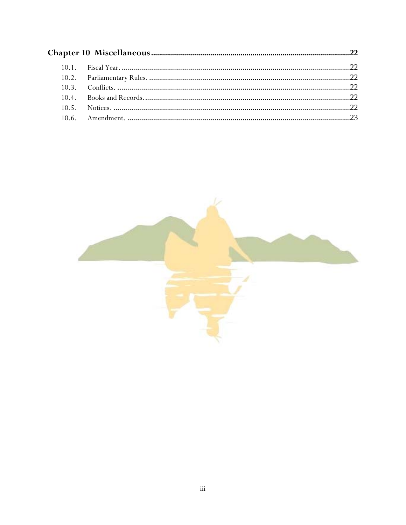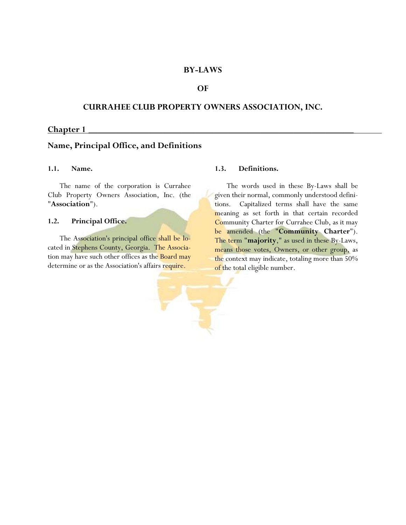#### **BY-LAWS**

### **OF**

### **CURRAHEE CLUB PROPERTY OWNERS ASSOCIATION, INC.**

#### **Chapter 1 \_\_\_\_\_\_\_\_\_\_\_\_\_\_\_\_\_\_\_\_\_\_\_\_\_\_\_\_\_\_\_\_\_\_\_\_\_\_\_\_\_\_\_\_\_\_\_\_\_\_\_\_\_\_\_\_\_**

### **Name, Principal Office, and Definitions**

#### **1.1. Name.**

 The name of the corporation is Currahee Club Property Owners Association, Inc. (the "**Association**").

#### **1.2. Principal Office.**

 The Association's principal office shall be located in Stephens County, Georgia. The Association may have such other offices as the **Board may** determine or as the Association's affairs require.

#### **1.3. Definitions.**

 The words used in these By-Laws shall be given their normal, commonly understood definitions. Capitalized terms shall have the same meaning as set forth in that certain recorded Community Charter for Currahee Club, as it may be amended (the "**Community Charter**"). The term "**majority**," as used in these By-Laws, means those votes, Owners, or other group, as the context may indicate, totaling more than 50% of the total eligible number.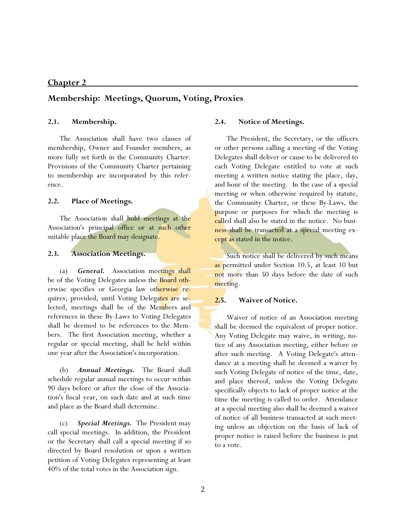## **Membership: Meetings, Quorum, Voting, Proxies**

#### **2.1. Membership.**

 The Association shall have two classes of membership, Owner and Founder members, as more fully set forth in the Community Charter. Provisions of the Community Charter pertaining to membership are incorporated by this reference.

#### **2.2. Place of Meetings.**

The Association shall hold meetings at the Association's principal office or at such other suitable place the Board may designate.

## **2.3. Association Meetings.**

 (a) *General.* Association meetings shall be of the Voting Delegates unless the **Board oth**erwise specifies or Georgia law otherwise requires; provided, until Voting Delegates are selected, meetings shall be of the Members and references in these By-Laws to Voting Delegates shall be deemed to be references to the Members. The first Association meeting, whether a regular or special meeting, shall be held within one year after the Association's incorporation.

 (b) *Annual Meetings.* The Board shall schedule regular annual meetings to occur within 90 days before or after the close of the Association's fiscal year, on such date and at such time and place as the Board shall determine.

 (c) *Special Meetings.* The President may call special meetings. In addition, the President or the Secretary shall call a special meeting if so directed by Board resolution or upon a written petition of Voting Delegates representing at least 40% of the total votes in the Association sign.

#### **2.4. Notice of Meetings.**

 The President, the Secretary, or the officers or other persons calling a meeting of the Voting Delegates shall deliver or cause to be delivered to each Voting Delegate entitled to vote at such meeting a written notice stating the place, day, and hour of the meeting. In the case of a special meeting or when otherwise required by statute, the Community Charter, or these By-Laws, the purpose or purposes for which the meeting is called shall also be stated in the notice. No business shall be transacted at a special meeting except as stated in the notice.

 Such notice shall be delivered by such means as permitted under Section 10.5, at least 10 but not more than 50 days before the date of such meeting.

## **2.5. Waiver of Notice.**

 Waiver of notice of an Association meeting shall be deemed the equivalent of proper notice. Any Voting Delegate may waive, in writing, notice of any Association meeting, either before or after such meeting. A Voting Delegate's attendance at a meeting shall be deemed a waiver by such Voting Delegate of notice of the time, date, and place thereof, unless the Voting Delegate specifically objects to lack of proper notice at the time the meeting is called to order. Attendance at a special meeting also shall be deemed a waiver of notice of all business transacted at such meeting unless an objection on the basis of lack of proper notice is raised before the business is put to a vote.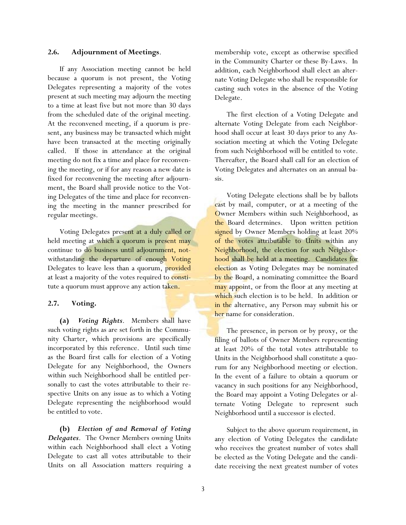### **2.6. Adjournment of Meetings**.

 If any Association meeting cannot be held because a quorum is not present, the Voting Delegates representing a majority of the votes present at such meeting may adjourn the meeting to a time at least five but not more than 30 days from the scheduled date of the original meeting. At the reconvened meeting, if a quorum is present, any business may be transacted which might have been transacted at the meeting originally called. If those in attendance at the original meeting do not fix a time and place for reconvening the meeting, or if for any reason a new date is fixed for reconvening the meeting after adjournment, the Board shall provide notice to the Voting Delegates of the time and place for reconvening the meeting in the manner prescribed for regular meetings.

 Voting Delegates present at a duly called or held meeting at which a quorum is present may continue to do business until adjournment, notwithstanding the departure of enough Voting Delegates to leave less than a quorum, provided at least a majority of the votes required to constitute a quorum must approve any action taken.

### **2.7. Voting.**

**(a)** *Voting Rights*. Members shall have such voting rights as are set forth in the Community Charter, which provisions are specifically incorporated by this reference. Until such time as the Board first calls for election of a Voting Delegate for any Neighborhood, the Owners within such Neighborhood shall be entitled personally to cast the votes attributable to their respective Units on any issue as to which a Voting Delegate representing the neighborhood would be entitled to vote.

**(b)** *Election of and Removal of Voting Delegates*. The Owner Members owning Units within each Neighborhood shall elect a Voting Delegate to cast all votes attributable to their Units on all Association matters requiring a membership vote, except as otherwise specified in the Community Charter or these By-Laws. In addition, each Neighborhood shall elect an alternate Voting Delegate who shall be responsible for casting such votes in the absence of the Voting Delegate.

 The first election of a Voting Delegate and alternate Voting Delegate from each Neighborhood shall occur at least 30 days prior to any Association meeting at which the Voting Delegate from such Neighborhood will be entitled to vote. Thereafter, the Board shall call for an election of Voting Delegates and alternates on an annual basis.

 Voting Delegate elections shall be by ballots cast by mail, computer, or at a meeting of the Owner Members within such Neighborhood, as the Board determines. Upon written petition signed by Owner Members holding at least 20% of the votes attributable to Units within any Neighborhood, the election for such Neighborhood shall be held at a meeting. Candidates for election as Voting Delegates may be nominated by the Board, a nominating committee the Board may appoint, or from the floor at any meeting at which such election is to be held. In addition or in the alternative, any Person may submit his or her name for consideration.

 The presence, in person or by proxy, or the filing of ballots of Owner Members representing at least 20% of the total votes attributable to Units in the Neighborhood shall constitute a quorum for any Neighborhood meeting or election. In the event of a failure to obtain a quorum or vacancy in such positions for any Neighborhood, the Board may appoint a Voting Delegates or alternate Voting Delegate to represent such Neighborhood until a successor is elected.

 Subject to the above quorum requirement, in any election of Voting Delegates the candidate who receives the greatest number of votes shall be elected as the Voting Delegate and the candidate receiving the next greatest number of votes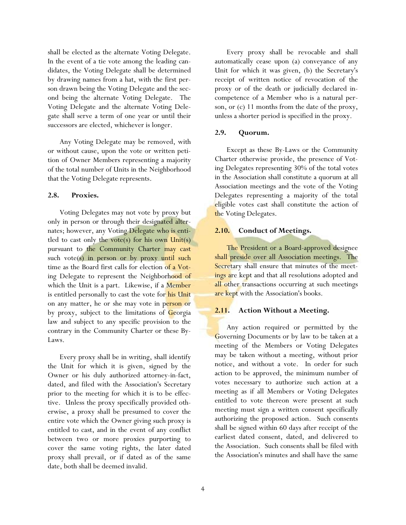shall be elected as the alternate Voting Delegate. In the event of a tie vote among the leading candidates, the Voting Delegate shall be determined by drawing names from a hat, with the first person drawn being the Voting Delegate and the second being the alternate Voting Delegate. The Voting Delegate and the alternate Voting Delegate shall serve a term of one year or until their successors are elected, whichever is longer.

 Any Voting Delegate may be removed, with or without cause, upon the vote or written petition of Owner Members representing a majority of the total number of Units in the Neighborhood that the Voting Delegate represents.

#### **2.8. Proxies.**

 Voting Delegates may not vote by proxy but only in person or through their designated alternates; however, any Voting Delegate who is entitled to cast only the vote(s) for his own  $Unit(s)$ pursuant to the Community Charter may cast such vote $(s)$  in person or by proxy until such time as the Board first calls for election of a Voting Delegate to represent the Neighborhood of which the Unit is a part. Likewise, if a Member is entitled personally to cast the vote for his Unit on any matter, he or she may vote in person or by proxy, subject to the limitations of Georgia law and subject to any specific provision to the contrary in the Community Charter or these By-Laws.

 Every proxy shall be in writing, shall identify the Unit for which it is given, signed by the Owner or his duly authorized attorney-in-fact, dated, and filed with the Association's Secretary prior to the meeting for which it is to be effective. Unless the proxy specifically provided otherwise, a proxy shall be presumed to cover the entire vote which the Owner giving such proxy is entitled to cast, and in the event of any conflict between two or more proxies purporting to cover the same voting rights, the later dated proxy shall prevail, or if dated as of the same date, both shall be deemed invalid.

 Every proxy shall be revocable and shall automatically cease upon (a) conveyance of any Unit for which it was given, (b) the Secretary's receipt of written notice of revocation of the proxy or of the death or judicially declared incompetence of a Member who is a natural person, or (c) 11 months from the date of the proxy, unless a shorter period is specified in the proxy.

### **2.9. Quorum.**

 Except as these By-Laws or the Community Charter otherwise provide, the presence of Voting Delegates representing 30% of the total votes in the Association shall constitute a quorum at all Association meetings and the vote of the Voting Delegates representing a majority of the total eligible votes cast shall constitute the action of the Voting Delegates.

### **2.10. Conduct of Meetings.**

 The President or a Board-approved designee shall preside over all Association meetings. The Secretary shall ensure that minutes of the meetings are kept and that all resolutions adopted and all other transactions occurring at such meetings are kept with the Association's books.

#### **2.11. Action Without a Meeting.**

 Any action required or permitted by the Governing Documents or by law to be taken at a meeting of the Members or Voting Delegates may be taken without a meeting, without prior notice, and without a vote. In order for such action to be approved, the minimum number of votes necessary to authorize such action at a meeting as if all Members or Voting Delegates entitled to vote thereon were present at such meeting must sign a written consent specifically authorizing the proposed action. Such consents shall be signed within 60 days after receipt of the earliest dated consent, dated, and delivered to the Association. Such consents shall be filed with the Association's minutes and shall have the same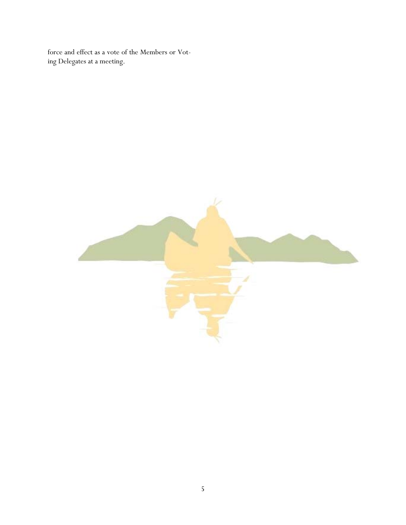force and effect as a vote of the Members or Voting Delegates at a meeting.

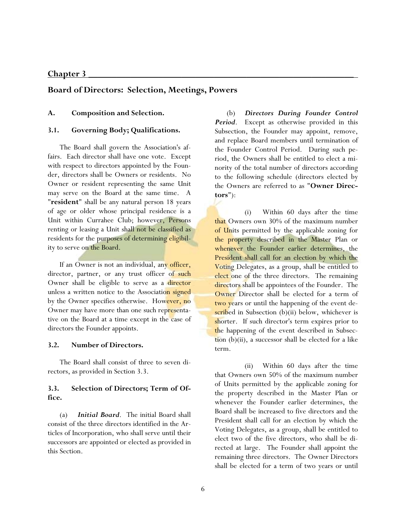### **Chapter 3 \_\_\_\_\_\_\_\_\_\_\_\_\_\_\_\_\_\_\_\_\_\_\_\_\_\_\_\_\_\_\_\_\_\_\_\_\_\_\_\_\_\_\_\_\_\_\_\_\_\_\_\_\_\_\_\_\_**

# **Board of Directors: Selection, Meetings, Powers**

### **A. Composition and Selection.**

#### **3.1. Governing Body; Qualifications.**

 The Board shall govern the Association's affairs. Each director shall have one vote. Except with respect to directors appointed by the Founder, directors shall be Owners or residents. No Owner or resident representing the same Unit may serve on the Board at the same time. A "**resident**" shall be any natural person 18 years of age or older whose principal residence is a Unit within Currahee Club; however, Persons renting or leasing a Unit shall not be classified as residents for the purposes of determining eligibility to serve on the Board.

If an Owner is not an individual, any officer, director, partner, or any trust officer of such Owner shall be eligible to serve as a director unless a written notice to the Association signed by the Owner specifies otherwise. However, no Owner may have more than one such representative on the Board at a time except in the case of directors the Founder appoints.

#### **3.2. Number of Directors.**

 The Board shall consist of three to seven directors, as provided in Section 3.3.

## **3.3. Selection of Directors; Term of Office.**

 (a) *Initial Board*. The initial Board shall consist of the three directors identified in the Articles of Incorporation, who shall serve until their successors are appointed or elected as provided in this Section.

 (b) *Directors During Founder Control Period*. Except as otherwise provided in this Subsection, the Founder may appoint, remove, and replace Board members until termination of the Founder Control Period. During such period, the Owners shall be entitled to elect a minority of the total number of directors according to the following schedule (directors elected by the Owners are referred to as "**Owner Directors**"):

 (i) Within 60 days after the time that Owners own 30% of the maximum number of Units permitted by the applicable zoning for the property described in the Master Plan or whenever the Founder earlier determines, the President shall call for an election by which the Voting Delegates, as a group, shall be entitled to elect one of the three directors. The remaining directors shall be appointees of the Founder. The Owner Director shall be elected for a term of two years or until the happening of the event described in Subsection  $(b)(ii)$  below, whichever is shorter. If such director's term expires prior to the happening of the event described in Subsection  $(b)(ii)$ , a successor shall be elected for a like term.

 (ii) Within 60 days after the time that Owners own 50% of the maximum number of Units permitted by the applicable zoning for the property described in the Master Plan or whenever the Founder earlier determines, the Board shall be increased to five directors and the President shall call for an election by which the Voting Delegates, as a group, shall be entitled to elect two of the five directors, who shall be directed at large. The Founder shall appoint the remaining three directors. The Owner Directors shall be elected for a term of two years or until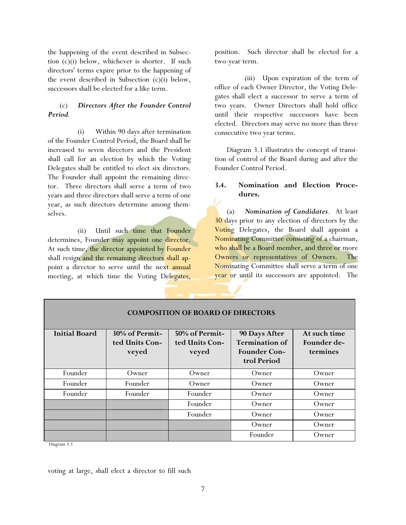the happening of the event described in Subsection (c)(i) below, whichever is shorter. If such directors' terms expire prior to the happening of the event described in Subsection (c)(i) below, successors shall be elected for a like term.

# (c) *Directors After the Founder Control Period.*

 (i) Within 90 days after termination of the Founder Control Period, the Board shall be increased to seven directors and the President shall call for an election by which the Voting Delegates shall be entitled to elect six directors. The Founder shall appoint the remaining director. Three directors shall serve a term of two years and three directors shall serve a term of one year, as such directors determine among themselves.

 (ii) Until such time that Founder determines, Founder may appoint one director. At such time, the director appointed by Founder shall resign and the remaining directors shall appoint a director to serve until the next annual meeting, at which time the Voting Delegates,

position. Such director shall be elected for a two-year term.

 (iii) Upon expiration of the term of office of each Owner Director, the Voting Delegates shall elect a successor to serve a term of two years. Owner Directors shall hold office until their respective successors have been elected. Directors may serve no more than three consecutive two year terms.

 Diagram 3.1 illustrates the concept of transition of control of the Board during and after the Founder Control Period.

# **3.4. Nomination and Election Procedures.**

 (a) *Nomination of Candidates*. At least 30 days prior to any election of directors by the Voting Delegates, the Board shall appoint a Nominating Committee consisting of a chairman, who shall be a Board member, and three or more Owners or representatives of Owners. The Nominating Committee shall serve a term of one year or until its successors are appointed. The

| <b>Initial Board</b> | $30\%$ of Permit-<br>ted Units Con-<br>veyed | 50% of Permit-<br>ted Units Con-<br>veyed | <b>90 Days After</b><br><b>Termination of</b><br><b>Founder Con-</b><br>trol Period | At such time<br>Founder de-<br>termines |
|----------------------|----------------------------------------------|-------------------------------------------|-------------------------------------------------------------------------------------|-----------------------------------------|
| Founder              | Owner                                        | Owner                                     | Owner                                                                               | Owner                                   |
| Founder              | Founder                                      | Owner                                     | Owner                                                                               | Owner                                   |
| Founder              | Founder                                      | Founder                                   | Owner                                                                               | Owner                                   |
|                      |                                              | Founder                                   | Owner                                                                               | Owner                                   |
|                      |                                              | Founder                                   | Owner                                                                               | Owner                                   |
|                      |                                              |                                           | Owner                                                                               | Owner                                   |
|                      |                                              |                                           | Founder                                                                             | Owner                                   |

# **COMPOSITION OF BOARD OF DIRECTORS**

Diagram 3.1

voting at large, shall elect a director to fill such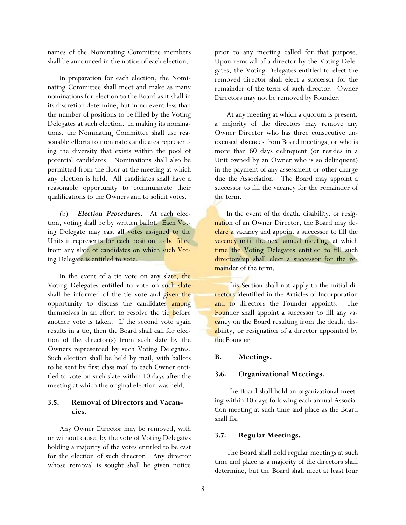names of the Nominating Committee members shall be announced in the notice of each election.

 In preparation for each election, the Nominating Committee shall meet and make as many nominations for election to the Board as it shall in its discretion determine, but in no event less than the number of positions to be filled by the Voting Delegates at such election. In making its nominations, the Nominating Committee shall use reasonable efforts to nominate candidates representing the diversity that exists within the pool of potential candidates. Nominations shall also be permitted from the floor at the meeting at which any election is held. All candidates shall have a reasonable opportunity to communicate their qualifications to the Owners and to solicit votes.

 (b) *Election Procedures*. At each election, voting shall be by written ballot. Each Voting Delegate may cast all votes assigned to the Units it represents for each position to be filled from any slate of candidates on which such Voting Delegate is entitled to vote.

In the event of a tie vote on any slate, the Voting Delegates entitled to vote on such slate shall be informed of the tie vote and given the opportunity to discuss the candidates among themselves in an effort to resolve the tie before another vote is taken. If the second vote again results in a tie, then the Board shall call for election of the director(s) from such slate by the Owners represented by such Voting Delegates. Such election shall be held by mail, with ballots to be sent by first class mail to each Owner entitled to vote on such slate within 10 days after the meeting at which the original election was held.

# **3.5. Removal of Directors and Vacancies.**

 Any Owner Director may be removed, with or without cause, by the vote of Voting Delegates holding a majority of the votes entitled to be cast for the election of such director. Any director whose removal is sought shall be given notice

prior to any meeting called for that purpose. Upon removal of a director by the Voting Delegates, the Voting Delegates entitled to elect the removed director shall elect a successor for the remainder of the term of such director. Owner Directors may not be removed by Founder.

 At any meeting at which a quorum is present, a majority of the directors may remove any Owner Director who has three consecutive unexcused absences from Board meetings, or who is more than 60 days delinquent (or resides in a Unit owned by an Owner who is so delinquent) in the payment of any assessment or other charge due the Association. The Board may appoint a successor to fill the vacancy for the remainder of the term.

 In the event of the death, disability, or resignation of an Owner Director, the Board may declare a vacancy and appoint a successor to fill the vacancy until the next annual meeting, at which time the Voting Delegates entitled to fill such directorship shall elect a successor for the remainder of the term.

 This Section shall not apply to the initial directors identified in the Articles of Incorporation and to directors the Founder appoints. The Founder shall appoint a successor to fill any vacancy on the Board resulting from the death, disability, or resignation of a director appointed by the Founder.

## **B. Meetings.**

## **3.6. Organizational Meetings.**

 The Board shall hold an organizational meeting within 10 days following each annual Association meeting at such time and place as the Board shall fix.

# **3.7. Regular Meetings.**

 The Board shall hold regular meetings at such time and place as a majority of the directors shall determine, but the Board shall meet at least four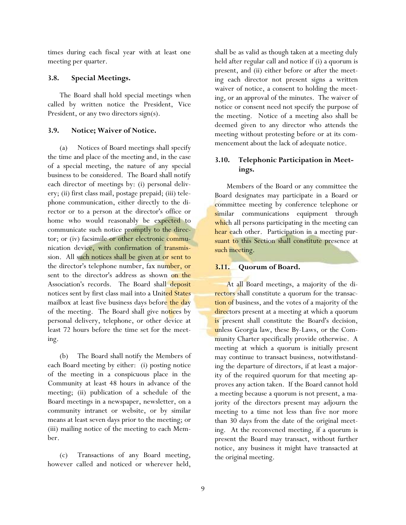times during each fiscal year with at least one meeting per quarter.

### **3.8. Special Meetings.**

 The Board shall hold special meetings when called by written notice the President, Vice President, or any two directors sign(s).

## **3.9. Notice; Waiver of Notice.**

 (a) Notices of Board meetings shall specify the time and place of the meeting and, in the case of a special meeting, the nature of any special business to be considered. The Board shall notify each director of meetings by: (i) personal delivery; (ii) first class mail, postage prepaid; (iii) telephone communication, either directly to the director or to a person at the director's office or home who would reasonably be expected to communicate such notice promptly to the director; or (iv) facsimile or other electronic communication device, with confirmation of transmission. All such notices shall be given at or sent to the director's telephone number, fax number, or sent to the director's address as shown on the Association's records. The Board shall deposit notices sent by first class mail into a United States mailbox at least five business days before the day of the meeting. The Board shall give notices by personal delivery, telephone, or other device at least 72 hours before the time set for the meeting.

 (b) The Board shall notify the Members of each Board meeting by either: (i) posting notice of the meeting in a conspicuous place in the Community at least 48 hours in advance of the meeting; (ii) publication of a schedule of the Board meetings in a newspaper, newsletter, on a community intranet or website, or by similar means at least seven days prior to the meeting; or (iii) mailing notice of the meeting to each Member.

 (c) Transactions of any Board meeting, however called and noticed or wherever held, shall be as valid as though taken at a meeting duly held after regular call and notice if (i) a quorum is present, and (ii) either before or after the meeting each director not present signs a written waiver of notice, a consent to holding the meeting, or an approval of the minutes. The waiver of notice or consent need not specify the purpose of the meeting. Notice of a meeting also shall be deemed given to any director who attends the meeting without protesting before or at its commencement about the lack of adequate notice.

# **3.10. Telephonic Participation in Meetings.**

 Members of the Board or any committee the Board designates may participate in a Board or committee meeting by conference telephone or similar communications equipment through which all persons participating in the meeting can hear each other. Participation in a meeting pursuant to this Section shall constitute presence at such meeting.

## **3.11. Quorum of Board.**

 At all Board meetings, a majority of the directors shall constitute a quorum for the transaction of business, and the votes of a majority of the directors present at a meeting at which a quorum is present shall constitute the Board's decision, unless Georgia law, these By-Laws, or the Community Charter specifically provide otherwise. A meeting at which a quorum is initially present may continue to transact business, notwithstanding the departure of directors, if at least a majority of the required quorum for that meeting approves any action taken. If the Board cannot hold a meeting because a quorum is not present, a majority of the directors present may adjourn the meeting to a time not less than five nor more than 30 days from the date of the original meeting. At the reconvened meeting, if a quorum is present the Board may transact, without further notice, any business it might have transacted at the original meeting.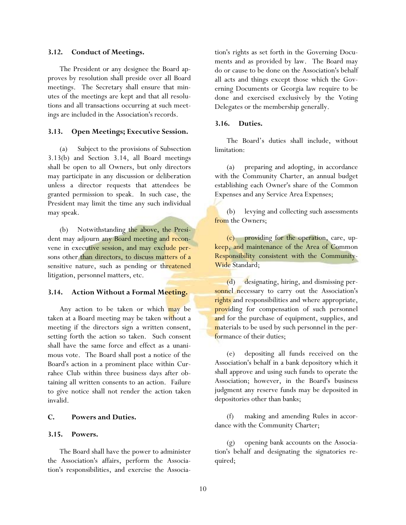#### **3.12. Conduct of Meetings.**

 The President or any designee the Board approves by resolution shall preside over all Board meetings. The Secretary shall ensure that minutes of the meetings are kept and that all resolutions and all transactions occurring at such meetings are included in the Association's records.

#### **3.13. Open Meetings; Executive Session.**

 (a) Subject to the provisions of Subsection 3.13(b) and Section 3.14, all Board meetings shall be open to all Owners, but only directors may participate in any discussion or deliberation unless a director requests that attendees be granted permission to speak. In such case, the President may limit the time any such individual may speak.

 (b) Notwithstanding the above, the President may adjourn any Board meeting and reconvene in executive session, and may exclude persons other than directors, to discuss matters of a sensitive nature, such as pending or threatened litigation, personnel matters, etc.

#### **3.14. Action Without a Formal Meeting.**

Any action to be taken or which may be taken at a Board meeting may be taken without a meeting if the directors sign a written consent, setting forth the action so taken. Such consent shall have the same force and effect as a unanimous vote. The Board shall post a notice of the Board's action in a prominent place within Currahee Club within three business days after obtaining all written consents to an action. Failure to give notice shall not render the action taken invalid.

#### **C. Powers and Duties.**

#### **3.15. Powers.**

 The Board shall have the power to administer the Association's affairs, perform the Association's responsibilities, and exercise the Association's rights as set forth in the Governing Documents and as provided by law. The Board may do or cause to be done on the Association's behalf all acts and things except those which the Governing Documents or Georgia law require to be done and exercised exclusively by the Voting Delegates or the membership generally.

#### **3.16. Duties.**

 The Board's duties shall include, without limitation:

 (a) preparing and adopting, in accordance with the Community Charter, an annual budget establishing each Owner's share of the Common Expenses and any Service Area Expenses;

 (b) levying and collecting such assessments from the Owners;

 (c) providing for the operation, care, upkeep, and maintenance of the Area of Common Responsibility consistent with the Community-Wide Standard;

 (d) designating, hiring, and dismissing personnel necessary to carry out the Association's rights and responsibilities and where appropriate, providing for compensation of such personnel and for the purchase of equipment, supplies, and materials to be used by such personnel in the performance of their duties;

 (e) depositing all funds received on the Association's behalf in a bank depository which it shall approve and using such funds to operate the Association; however, in the Board's business judgment any reserve funds may be deposited in depositories other than banks;

 (f) making and amending Rules in accordance with the Community Charter;

 (g) opening bank accounts on the Association's behalf and designating the signatories required;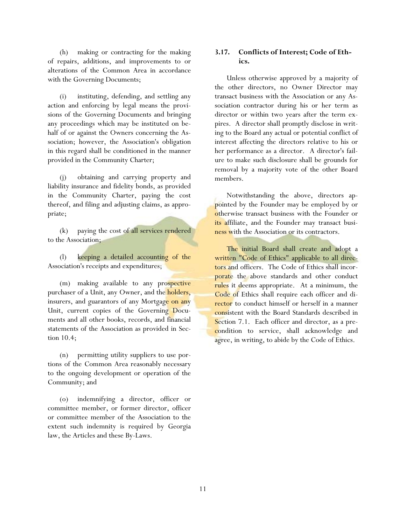(h) making or contracting for the making of repairs, additions, and improvements to or alterations of the Common Area in accordance with the Governing Documents;

 (i) instituting, defending, and settling any action and enforcing by legal means the provisions of the Governing Documents and bringing any proceedings which may be instituted on behalf of or against the Owners concerning the Association; however, the Association's obligation in this regard shall be conditioned in the manner provided in the Community Charter;

 (j) obtaining and carrying property and liability insurance and fidelity bonds, as provided in the Community Charter, paying the cost thereof, and filing and adjusting claims, as appropriate;

 (k) paying the cost of all services rendered to the Association;

 (l) keeping a detailed accounting of the Association's receipts and expenditures;

(m) making available to any prospective purchaser of a Unit, any Owner, and the **holders**, insurers, and guarantors of any Mortgage on any Unit, current copies of the Governing Documents and all other books, records, and financial statements of the Association as provided in Section 10.4;

 (n) permitting utility suppliers to use portions of the Common Area reasonably necessary to the ongoing development or operation of the Community; and

 (o) indemnifying a director, officer or committee member, or former director, officer or committee member of the Association to the extent such indemnity is required by Georgia law, the Articles and these By-Laws.

# **3.17. Conflicts of Interest; Code of Ethics.**

 Unless otherwise approved by a majority of the other directors, no Owner Director may transact business with the Association or any Association contractor during his or her term as director or within two years after the term expires. A director shall promptly disclose in writing to the Board any actual or potential conflict of interest affecting the directors relative to his or her performance as a director. A director's failure to make such disclosure shall be grounds for removal by a majority vote of the other Board members.

 Notwithstanding the above, directors appointed by the Founder may be employed by or otherwise transact business with the Founder or its affiliate, and the Founder may transact business with the Association or its contractors.

 The initial Board shall create and adopt a written "Code of Ethics" applicable to all directors and officers. The Code of Ethics shall incorporate the above standards and other conduct rules it deems appropriate. At a minimum, the Code of Ethics shall require each officer and director to conduct himself or herself in a manner consistent with the Board Standards described in Section 7.1. Each officer and director, as a precondition to service, shall acknowledge and agree, in writing, to abide by the Code of Ethics.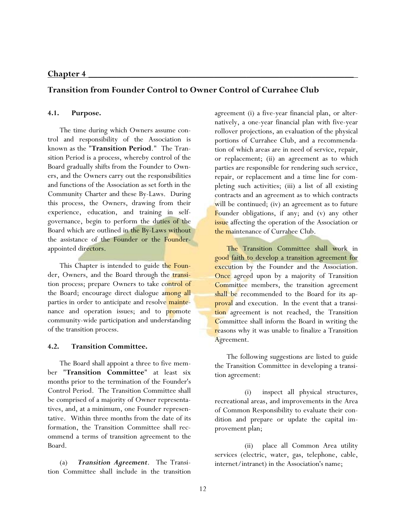# **Chapter 4 \_\_\_\_\_\_\_\_\_\_\_\_\_\_\_\_\_\_\_\_\_\_\_\_\_\_\_\_\_\_\_\_\_\_\_\_\_\_\_\_\_\_\_\_\_\_\_\_\_\_\_\_\_\_\_\_\_**

# **Transition from Founder Control to Owner Control of Currahee Club**

## **4.1. Purpose.**

 The time during which Owners assume control and responsibility of the Association is known as the "**Transition Period**." The Transition Period is a process, whereby control of the Board gradually shifts from the Founder to Owners, and the Owners carry out the responsibilities and functions of the Association as set forth in the Community Charter and these By-Laws. During this process, the Owners, drawing from their experience, education, and training in selfgovernance, begin to perform the duties of the Board which are outlined in the By-Laws without the assistance of the Founder or the Founderappointed directors.

This Chapter is intended to guide the Founder, Owners, and the Board through the transition process; prepare Owners to take control of the Board; encourage direct dialogue among all parties in order to anticipate and resolve maintenance and operation issues; and to promote community-wide participation and understanding of the transition process.

#### **4.2. Transition Committee.**

 The Board shall appoint a three to five member "**Transition Committee**" at least six months prior to the termination of the Founder's Control Period. The Transition Committee shall be comprised of a majority of Owner representatives, and, at a minimum, one Founder representative. Within three months from the date of its formation, the Transition Committee shall recommend a terms of transition agreement to the Board.

 (a) *Transition Agreement*. The Transition Committee shall include in the transition agreement (i) a five-year financial plan, or alternatively, a one-year financial plan with five-year rollover projections, an evaluation of the physical portions of Currahee Club, and a recommendation of which areas are in need of service, repair, or replacement; (ii) an agreement as to which parties are responsible for rendering such service, repair, or replacement and a time line for completing such activities; (iii) a list of all existing contracts and an agreement as to which contracts will be continued; (iv) an agreement as to future Founder obligations, if any; and (v) any other issue affecting the operation of the Association or the maintenance of Currahee Club.

 The Transition Committee shall work in good faith to develop a transition agreement for execution by the Founder and the Association. Once agreed upon by a majority of Transition Committee members, the transition agreement shall be recommended to the Board for its approval and execution. In the event that a transition agreement is not reached, the Transition Committee shall inform the Board in writing the reasons why it was unable to finalize a Transition Agreement.

 The following suggestions are listed to guide the Transition Committee in developing a transition agreement:

 (i) inspect all physical structures, recreational areas, and improvements in the Area of Common Responsibility to evaluate their condition and prepare or update the capital improvement plan;

 (ii) place all Common Area utility services (electric, water, gas, telephone, cable, internet/intranet) in the Association's name;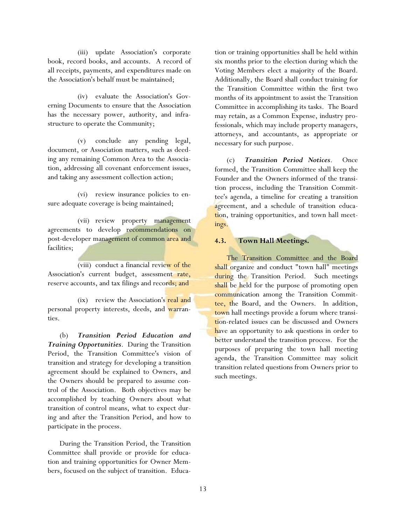(iii) update Association's corporate book, record books, and accounts. A record of all receipts, payments, and expenditures made on the Association's behalf must be maintained;

 (iv) evaluate the Association's Governing Documents to ensure that the Association has the necessary power, authority, and infrastructure to operate the Community;

 (v) conclude any pending legal, document, or Association matters, such as deeding any remaining Common Area to the Association, addressing all covenant enforcement issues, and taking any assessment collection action;

 (vi) review insurance policies to ensure adequate coverage is being maintained;

 (vii) review property management agreements to develop recommendations on post-developer management of common area and facilities;

 (viii) conduct a financial review of the Association's current budget, assessment rate, reserve accounts, and tax filings and records; and

 (ix) review the Association's real and personal property interests, deeds, and warranties.

 (b) *Transition Period Education and Training Opportunities*. During the Transition Period, the Transition Committee's vision of transition and strategy for developing a transition agreement should be explained to Owners, and the Owners should be prepared to assume control of the Association. Both objectives may be accomplished by teaching Owners about what transition of control means, what to expect during and after the Transition Period, and how to participate in the process.

 During the Transition Period, the Transition Committee shall provide or provide for education and training opportunities for Owner Members, focused on the subject of transition. Education or training opportunities shall be held within six months prior to the election during which the Voting Members elect a majority of the Board. Additionally, the Board shall conduct training for the Transition Committee within the first two months of its appointment to assist the Transition Committee in accomplishing its tasks. The Board may retain, as a Common Expense, industry professionals, which may include property managers, attorneys, and accountants, as appropriate or necessary for such purpose.

(c) *Transition Period Notices*. Once formed, the Transition Committee shall keep the Founder and the Owners informed of the transition process, including the Transition Committee's agenda, a timeline for creating a transition agreement, and a schedule of transition education, training opportunities, and town hall meetings.

### **4.3. Town Hall Meetings.**

The Transition Committee and the Board shall organize and conduct "town hall" meetings during the Transition Period. Such meetings shall be held for the purpose of promoting open communication among the Transition Committee, the Board, and the Owners. In addition, town hall meetings provide a forum where transition-related issues can be discussed and Owners have an opportunity to ask questions in order to better understand the transition process. For the purposes of preparing the town hall meeting agenda, the Transition Committee may solicit transition related questions from Owners prior to such meetings.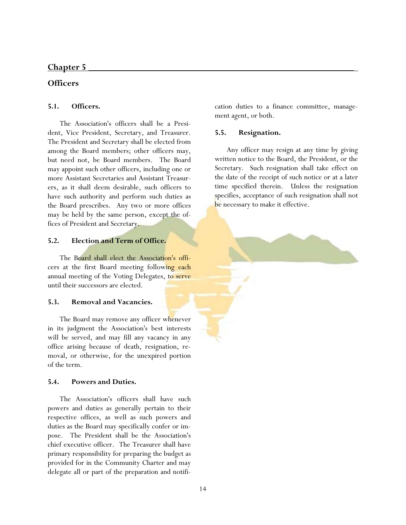# **Chapter 5 \_\_\_\_\_\_\_\_\_\_\_\_\_\_\_\_\_\_\_\_\_\_\_\_\_\_\_\_\_\_\_\_\_\_\_\_\_\_\_\_\_\_\_\_\_\_\_\_\_\_\_\_\_\_\_\_\_**

# **Officers**

# **5.1. Officers.**

 The Association's officers shall be a President, Vice President, Secretary, and Treasurer. The President and Secretary shall be elected from among the Board members; other officers may, but need not, be Board members. The Board may appoint such other officers, including one or more Assistant Secretaries and Assistant Treasurers, as it shall deem desirable, such officers to have such authority and perform such duties as the Board prescribes. Any two or more offices may be held by the same person, except the offices of President and Secretary.

# **5.2. Election and Term of Office.**

 The Board shall elect the Association's officers at the first Board meeting following each annual meeting of the Voting Delegates, to serve until their successors are elected.

# **5.3. Removal and Vacancies.**

 The Board may remove any officer whenever in its judgment the Association's best interests will be served, and may fill any vacancy in any office arising because of death, resignation, removal, or otherwise, for the unexpired portion of the term.

# **5.4. Powers and Duties.**

 The Association's officers shall have such powers and duties as generally pertain to their respective offices, as well as such powers and duties as the Board may specifically confer or impose. The President shall be the Association's chief executive officer. The Treasurer shall have primary responsibility for preparing the budget as provided for in the Community Charter and may delegate all or part of the preparation and notification duties to a finance committee, management agent, or both.

# **5.5. Resignation.**

 Any officer may resign at any time by giving written notice to the Board, the President, or the Secretary. Such resignation shall take effect on the date of the receipt of such notice or at a later time specified therein. Unless the resignation specifies, acceptance of such resignation shall not be necessary to make it effective.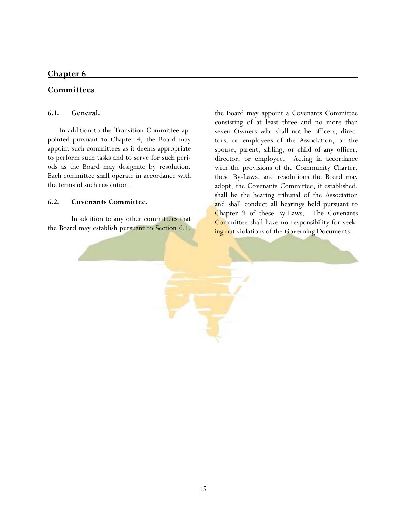# Chapter 6

# **Committees**

## **6.1. General.**

 In addition to the Transition Committee appointed pursuant to Chapter 4, the Board may appoint such committees as it deems appropriate to perform such tasks and to serve for such periods as the Board may designate by resolution. Each committee shall operate in accordance with the terms of such resolution.

### **6.2. Covenants Committee.**

 In addition to any other committees that the Board may establish pursuant to Section 6.1, the Board may appoint a Covenants Committee consisting of at least three and no more than seven Owners who shall not be officers, directors, or employees of the Association, or the spouse, parent, sibling, or child of any officer, director, or employee. Acting in accordance with the provisions of the Community Charter, these By-Laws, and resolutions the Board may adopt, the Covenants Committee, if established, shall be the hearing tribunal of the Association and shall conduct all hearings held pursuant to Chapter 9 of these By-Laws. The Covenants Committee shall have no responsibility for seeking out violations of the Governing Documents.

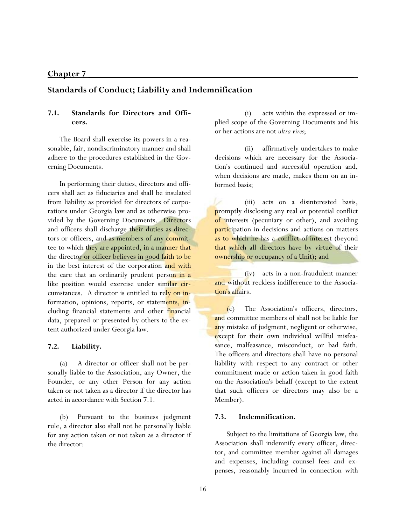# **Standards of Conduct; Liability and Indemnification**

# **7.1. Standards for Directors and Officers.**

 The Board shall exercise its powers in a reasonable, fair, nondiscriminatory manner and shall adhere to the procedures established in the Governing Documents.

 In performing their duties, directors and officers shall act as fiduciaries and shall be insulated from liability as provided for directors of corporations under Georgia law and as otherwise provided by the Governing Documents. Directors and officers shall discharge their duties as directors or officers, and as members of any committee to which they are appointed, in a manner that the director or officer believes in good faith to be in the best interest of the corporation and with the care that an ordinarily prudent person in a like position would exercise under similar circumstances. A director is entitled to rely on information, opinions, reports, or statements, including financial statements and other financial data, prepared or presented by others to the extent authorized under Georgia law.

#### **7.2. Liability.**

 (a) A director or officer shall not be personally liable to the Association, any Owner, the Founder, or any other Person for any action taken or not taken as a director if the director has acted in accordance with Section 7.1.

 (b) Pursuant to the business judgment rule, a director also shall not be personally liable for any action taken or not taken as a director if the director:

 (i) acts within the expressed or implied scope of the Governing Documents and his or her actions are not *ultra vires*;

 (ii) affirmatively undertakes to make decisions which are necessary for the Association's continued and successful operation and, when decisions are made, makes them on an informed basis;

 (iii) acts on a disinterested basis, promptly disclosing any real or potential conflict of interests (pecuniary or other), and avoiding participation in decisions and actions on matters as to which he has a conflict of interest (beyond that which all directors have by virtue of their ownership or occupancy of a Unit); and

 (iv) acts in a non-fraudulent manner and without reckless indifference to the Association's affairs.

 (c) The Association's officers, directors, and committee members of shall not be liable for any mistake of judgment, negligent or otherwise, except for their own individual willful misfeasance, malfeasance, misconduct, or bad faith. The officers and directors shall have no personal liability with respect to any contract or other commitment made or action taken in good faith on the Association's behalf (except to the extent that such officers or directors may also be a Member).

### **7.3. Indemnification.**

 Subject to the limitations of Georgia law, the Association shall indemnify every officer, director, and committee member against all damages and expenses, including counsel fees and expenses, reasonably incurred in connection with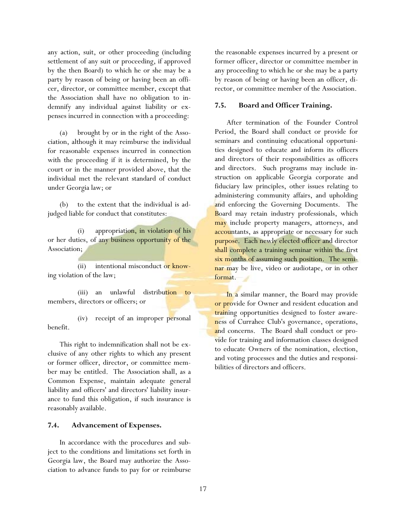any action, suit, or other proceeding (including settlement of any suit or proceeding, if approved by the then Board) to which he or she may be a party by reason of being or having been an officer, director, or committee member, except that the Association shall have no obligation to indemnify any individual against liability or expenses incurred in connection with a proceeding:

 (a) brought by or in the right of the Association, although it may reimburse the individual for reasonable expenses incurred in connection with the proceeding if it is determined, by the court or in the manner provided above, that the individual met the relevant standard of conduct under Georgia law; or

 (b) to the extent that the individual is adjudged liable for conduct that constitutes:

 (i) appropriation, in violation of his or her duties, of any business opportunity of the Association;

(ii) intentional misconduct or knowing violation of the law;

 (iii) an unlawful distribution to members, directors or officers; or

 (iv) receipt of an improper personal benefit.

 This right to indemnification shall not be exclusive of any other rights to which any present or former officer, director, or committee member may be entitled. The Association shall, as a Common Expense, maintain adequate general liability and officers' and directors' liability insurance to fund this obligation, if such insurance is reasonably available.

### **7.4. Advancement of Expenses.**

 In accordance with the procedures and subject to the conditions and limitations set forth in Georgia law, the Board may authorize the Association to advance funds to pay for or reimburse

the reasonable expenses incurred by a present or former officer, director or committee member in any proceeding to which he or she may be a party by reason of being or having been an officer, director, or committee member of the Association.

### **7.5. Board and Officer Training.**

 After termination of the Founder Control Period, the Board shall conduct or provide for seminars and continuing educational opportunities designed to educate and inform its officers and directors of their responsibilities as officers and directors. Such programs may include instruction on applicable Georgia corporate and fiduciary law principles, other issues relating to administering community affairs, and upholding and enforcing the Governing Documents. The Board may retain industry professionals, which may include property managers, attorneys, and accountants, as appropriate or necessary for such purpose. Each newly elected officer and director shall complete a training seminar within the first six months of assuming such position. The seminar may be live, video or audiotape, or in other format.

In a similar manner, the Board may provide or provide for Owner and resident education and training opportunities designed to foster awareness of Currahee Club's governance, operations, and concerns. The Board shall conduct or provide for training and information classes designed to educate Owners of the nomination, election, and voting processes and the duties and responsibilities of directors and officers.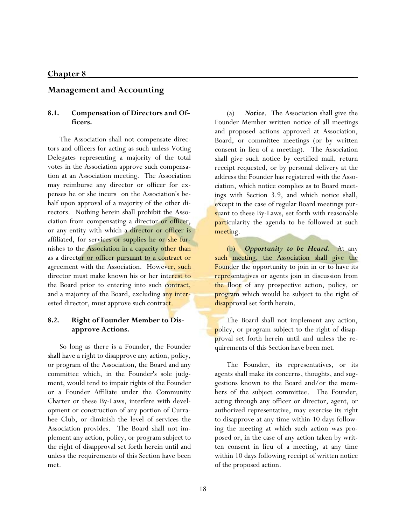## **Management and Accounting**

## **8.1. Compensation of Directors and Officers.**

 The Association shall not compensate directors and officers for acting as such unless Voting Delegates representing a majority of the total votes in the Association approve such compensation at an Association meeting. The Association may reimburse any director or officer for expenses he or she incurs on the Association's behalf upon approval of a majority of the other directors. Nothing herein shall prohibit the Association from compensating a director or officer, or any entity with which a director or officer is affiliated, for services or supplies he or she furnishes to the Association in a capacity other than as a director or officer pursuant to a contract or agreement with the Association. However, such director must make known his or her interest to the Board prior to entering into such contract, and a majority of the Board, excluding any interested director, must approve such contract.

# **8.2. Right of Founder Member to Disapprove Actions.**

 So long as there is a Founder, the Founder shall have a right to disapprove any action, policy, or program of the Association, the Board and any committee which, in the Founder's sole judgment, would tend to impair rights of the Founder or a Founder Affiliate under the Community Charter or these By-Laws, interfere with development or construction of any portion of Currahee Club, or diminish the level of services the Association provides. The Board shall not implement any action, policy, or program subject to the right of disapproval set forth herein until and unless the requirements of this Section have been met.

 (a) *Notice*. The Association shall give the Founder Member written notice of all meetings and proposed actions approved at Association, Board, or committee meetings (or by written consent in lieu of a meeting). The Association shall give such notice by certified mail, return receipt requested, or by personal delivery at the address the Founder has registered with the Association, which notice complies as to Board meetings with Section 3.9, and which notice shall, except in the case of regular Board meetings pursuant to these By-Laws, set forth with reasonable **particularity** the agenda to be followed at such meeting.

 (b) *Opportunity to be Heard*. At any such meeting, the Association shall give the **Founder** the opportunity to join in or to have its representatives or agents join in discussion from the floor of any prospective action, policy, or program which would be subject to the right of disapproval set forth herein.

 The Board shall not implement any action, policy, or program subject to the right of disapproval set forth herein until and unless the requirements of this Section have been met.

 The Founder, its representatives, or its agents shall make its concerns, thoughts, and suggestions known to the Board and/or the members of the subject committee. The Founder, acting through any officer or director, agent, or authorized representative, may exercise its right to disapprove at any time within 10 days following the meeting at which such action was proposed or, in the case of any action taken by written consent in lieu of a meeting, at any time within 10 days following receipt of written notice of the proposed action.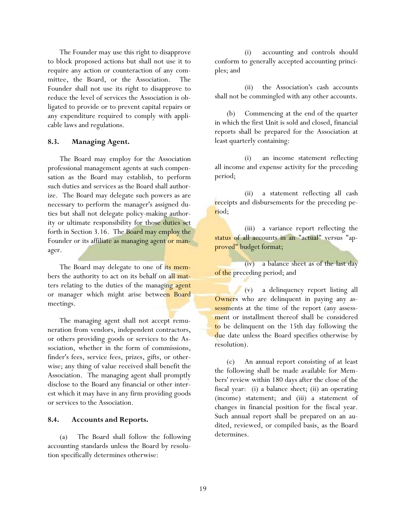The Founder may use this right to disapprove to block proposed actions but shall not use it to require any action or counteraction of any committee, the Board, or the Association. The Founder shall not use its right to disapprove to reduce the level of services the Association is obligated to provide or to prevent capital repairs or any expenditure required to comply with applicable laws and regulations.

## **8.3. Managing Agent.**

 The Board may employ for the Association professional management agents at such compensation as the Board may establish, to perform such duties and services as the Board shall authorize. The Board may delegate such powers as are necessary to perform the manager's assigned duties but shall not delegate policy-making authority or ultimate responsibility for those duties set forth in Section 3.16. The Board may employ the Founder or its affiliate as managing agent or manager.

The Board may delegate to one of its members the authority to act on its behalf on all matters relating to the duties of the managing agent or manager which might arise between Board meetings.

 The managing agent shall not accept remuneration from vendors, independent contractors, or others providing goods or services to the Association, whether in the form of commissions, finder's fees, service fees, prizes, gifts, or otherwise; any thing of value received shall benefit the Association. The managing agent shall promptly disclose to the Board any financial or other interest which it may have in any firm providing goods or services to the Association.

## **8.4. Accounts and Reports.**

 (a) The Board shall follow the following accounting standards unless the Board by resolution specifically determines otherwise:

 (i) accounting and controls should conform to generally accepted accounting principles; and

 (ii) the Association's cash accounts shall not be commingled with any other accounts.

 (b) Commencing at the end of the quarter in which the first Unit is sold and closed, financial reports shall be prepared for the Association at least quarterly containing:

 (i) an income statement reflecting all income and expense activity for the preceding period;

 (ii) a statement reflecting all cash receipts and disbursements for the preceding period;

 (iii) a variance report reflecting the status of all accounts in an "actual" versus "approved" budget format;

 (iv) a balance sheet as of the last day of the preceding period; and

 (v) a delinquency report listing all Owners who are delinquent in paying any assessments at the time of the report (any assessment or installment thereof shall be considered to be delinquent on the 15th day following the due date unless the Board specifies otherwise by resolution).

 (c) An annual report consisting of at least the following shall be made available for Members' review within 180 days after the close of the fiscal year: (i) a balance sheet; (ii) an operating (income) statement; and (iii) a statement of changes in financial position for the fiscal year. Such annual report shall be prepared on an audited, reviewed, or compiled basis, as the Board determines.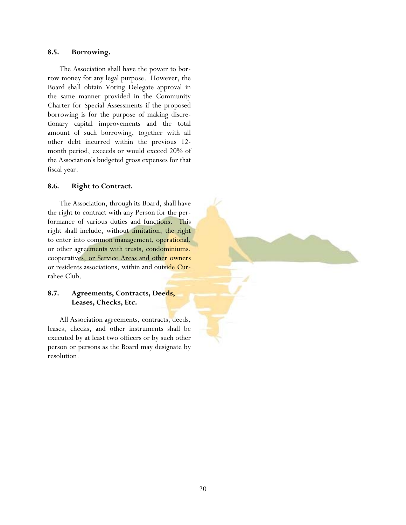### **8.5. Borrowing.**

 The Association shall have the power to borrow money for any legal purpose. However, the Board shall obtain Voting Delegate approval in the same manner provided in the Community Charter for Special Assessments if the proposed borrowing is for the purpose of making discretionary capital improvements and the total amount of such borrowing, together with all other debt incurred within the previous 12 month period, exceeds or would exceed 20% of the Association's budgeted gross expenses for that fiscal year.

### **8.6. Right to Contract.**

 The Association, through its Board, shall have the right to contract with any Person for the performance of various duties and functions. This right shall include, without limitation, the right to enter into common management, operational, or other agreements with trusts, condominiums, cooperatives, or Service Areas and other owners or residents associations, within and outside Currahee Club.

# **8.7. Agreements, Contracts, Deeds, Leases, Checks, Etc.**

 All Association agreements, contracts, deeds, leases, checks, and other instruments shall be executed by at least two officers or by such other person or persons as the Board may designate by resolution.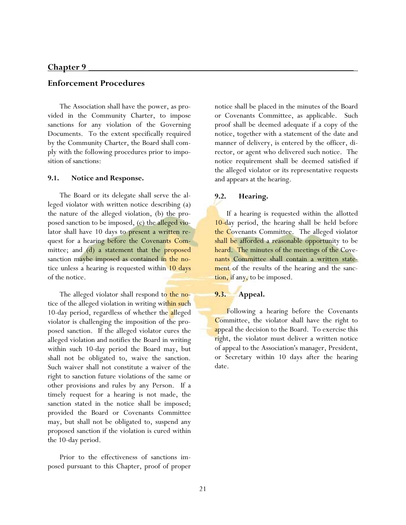# **Chapter 9 \_\_\_\_\_\_\_\_\_\_\_\_\_\_\_\_\_\_\_\_\_\_\_\_\_\_\_\_\_\_\_\_\_\_\_\_\_\_\_\_\_\_\_\_\_\_\_\_\_\_\_\_\_\_\_\_\_**

## **Enforcement Procedures**

 The Association shall have the power, as provided in the Community Charter, to impose sanctions for any violation of the Governing Documents. To the extent specifically required by the Community Charter, the Board shall comply with the following procedures prior to imposition of sanctions:

### **9.1. Notice and Response.**

 The Board or its delegate shall serve the alleged violator with written notice describing (a) the nature of the alleged violation, (b) the proposed sanction to be imposed, (c) the alleged violator shall have 10 days to present a written request for a hearing before the Covenants Committee; and (d) a statement that the proposed sanction maybe imposed as contained in the notice unless a hearing is requested within 10 days of the notice.

The alleged violator shall respond to the notice of the alleged violation in writing within such 10-day period, regardless of whether the alleged violator is challenging the imposition of the proposed sanction. If the alleged violator cures the alleged violation and notifies the Board in writing within such 10-day period the Board may, but shall not be obligated to, waive the sanction. Such waiver shall not constitute a waiver of the right to sanction future violations of the same or other provisions and rules by any Person. If a timely request for a hearing is not made, the sanction stated in the notice shall be imposed; provided the Board or Covenants Committee may, but shall not be obligated to, suspend any proposed sanction if the violation is cured within the 10-day period.

 Prior to the effectiveness of sanctions imposed pursuant to this Chapter, proof of proper notice shall be placed in the minutes of the Board or Covenants Committee, as applicable. Such proof shall be deemed adequate if a copy of the notice, together with a statement of the date and manner of delivery, is entered by the officer, director, or agent who delivered such notice. The notice requirement shall be deemed satisfied if the alleged violator or its representative requests and appears at the hearing.

# **9.2. Hearing.**

 If a hearing is requested within the allotted 10-day period, the hearing shall be held before the Covenants Committee. The alleged violator shall be afforded a reasonable opportunity to be heard. The minutes of the meetings of the Covenants Committee shall contain a written statement of the results of the hearing and the sanction, if any, to be imposed.

# **9.3. Appeal.**

 Following a hearing before the Covenants Committee, the violator shall have the right to appeal the decision to the Board. To exercise this right, the violator must deliver a written notice of appeal to the Association's manager, President, or Secretary within 10 days after the hearing date.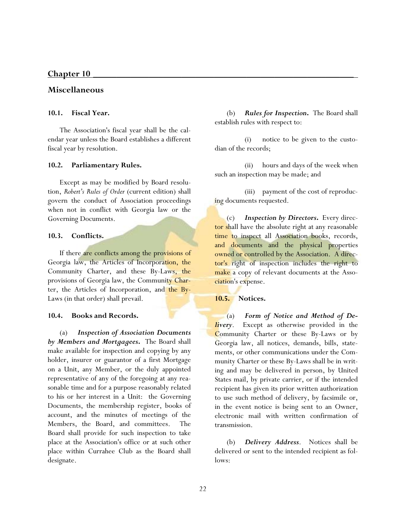## <u>Chapter 10</u>

## **Miscellaneous**

### **10.1. Fiscal Year.**

 The Association's fiscal year shall be the calendar year unless the Board establishes a different fiscal year by resolution.

#### **10.2. Parliamentary Rules.**

 Except as may be modified by Board resolution, *Robert's Rules of Order* (current edition) shall govern the conduct of Association proceedings when not in conflict with Georgia law or the Governing Documents.

#### **10.3. Conflicts.**

 If there are conflicts among the provisions of Georgia law, the Articles of Incorporation, the Community Charter, and these By-Laws, the provisions of Georgia law, the Community Charter, the Articles of Incorporation, and the By-Laws (in that order) shall prevail.

#### **10.4. Books and Records.**

 (a) *Inspection of Association Documents by Members and Mortgagees***.** The Board shall make available for inspection and copying by any holder, insurer or guarantor of a first Mortgage on a Unit, any Member, or the duly appointed representative of any of the foregoing at any reasonable time and for a purpose reasonably related to his or her interest in a Unit: the Governing Documents, the membership register, books of account, and the minutes of meetings of the Members, the Board, and committees. The Board shall provide for such inspection to take place at the Association's office or at such other place within Currahee Club as the Board shall designate.

 (b) *Rules for Inspection***.** The Board shall establish rules with respect to:

 (i) notice to be given to the custodian of the records;

 (ii) hours and days of the week when such an inspection may be made; and

 (iii) payment of the cost of reproducing documents requested.

 (c) *Inspection by Directors***.** Every director shall have the absolute right at any reasonable time to inspect all Association books, records, and documents and the physical properties owned or controlled by the Association. A director's right of inspection includes the right to make a copy of relevant documents at the Association's expense.

#### **10.5. Notices.**

 (a) *Form of Notice and Method of Delivery*. Except as otherwise provided in the Community Charter or these By-Laws or by Georgia law, all notices, demands, bills, statements, or other communications under the Community Charter or these By-Laws shall be in writing and may be delivered in person, by United States mail, by private carrier, or if the intended recipient has given its prior written authorization to use such method of delivery, by facsimile or, in the event notice is being sent to an Owner, electronic mail with written confirmation of transmission.

 (b) *Delivery Address*. Notices shall be delivered or sent to the intended recipient as follows: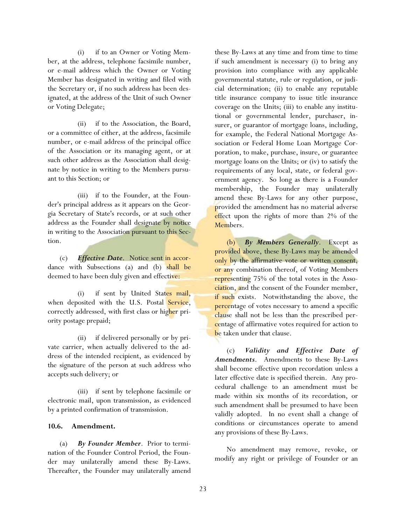(i) if to an Owner or Voting Member, at the address, telephone facsimile number, or e-mail address which the Owner or Voting Member has designated in writing and filed with the Secretary or, if no such address has been designated, at the address of the Unit of such Owner or Voting Delegate;

 (ii) if to the Association, the Board, or a committee of either, at the address, facsimile number, or e-mail address of the principal office of the Association or its managing agent, or at such other address as the Association shall designate by notice in writing to the Members pursuant to this Section; or

 (iii) if to the Founder, at the Founder's principal address as it appears on the Georgia Secretary of State's records, or at such other address as the Founder shall designate by notice in writing to the Association pursuant to this Section.

 (c) *Effective Date*. Notice sent in accordance with Subsections (a) and (b) shall be deemed to have been duly given and effective:

 (i) if sent by United States mail, when deposited with the U.S. Postal Service, correctly addressed, with first class or higher priority postage prepaid;

 (ii) if delivered personally or by private carrier, when actually delivered to the address of the intended recipient, as evidenced by the signature of the person at such address who accepts such delivery; or

 (iii) if sent by telephone facsimile or electronic mail, upon transmission, as evidenced by a printed confirmation of transmission.

## **10.6. Amendment.**

 (a) *By Founder Member*. Prior to termination of the Founder Control Period, the Founder may unilaterally amend these By-Laws. Thereafter, the Founder may unilaterally amend these By-Laws at any time and from time to time if such amendment is necessary (i) to bring any provision into compliance with any applicable governmental statute, rule or regulation, or judicial determination; (ii) to enable any reputable title insurance company to issue title insurance coverage on the Units; (iii) to enable any institutional or governmental lender, purchaser, insurer, or guarantor of mortgage loans, including, for example, the Federal National Mortgage Association or Federal Home Loan Mortgage Corporation, to make, purchase, insure, or guarantee mortgage loans on the Units; or (iv) to satisfy the requirements of any local, state, or federal government agency. So long as there is a Founder membership, the Founder may unilaterally amend these By-Laws for any other purpose, provided the amendment has no material adverse effect upon the rights of more than 2% of the Members.

**By Members Generally.** Except as provided above, these By-Laws may be amended only by the affirmative vote or written consent, or any combination thereof, of Voting Members representing 75% of the total votes in the Association, and the consent of the Founder member, if such exists. Notwithstanding the above, the percentage of votes necessary to amend a specific clause shall not be less than the prescribed percentage of affirmative votes required for action to be taken under that clause.

 (c) *Validity and Effective Date of Amendments*. Amendments to these By-Laws shall become effective upon recordation unless a later effective date is specified therein. Any procedural challenge to an amendment must be made within six months of its recordation, or such amendment shall be presumed to have been validly adopted. In no event shall a change of conditions or circumstances operate to amend any provisions of these By-Laws.

 No amendment may remove, revoke, or modify any right or privilege of Founder or an